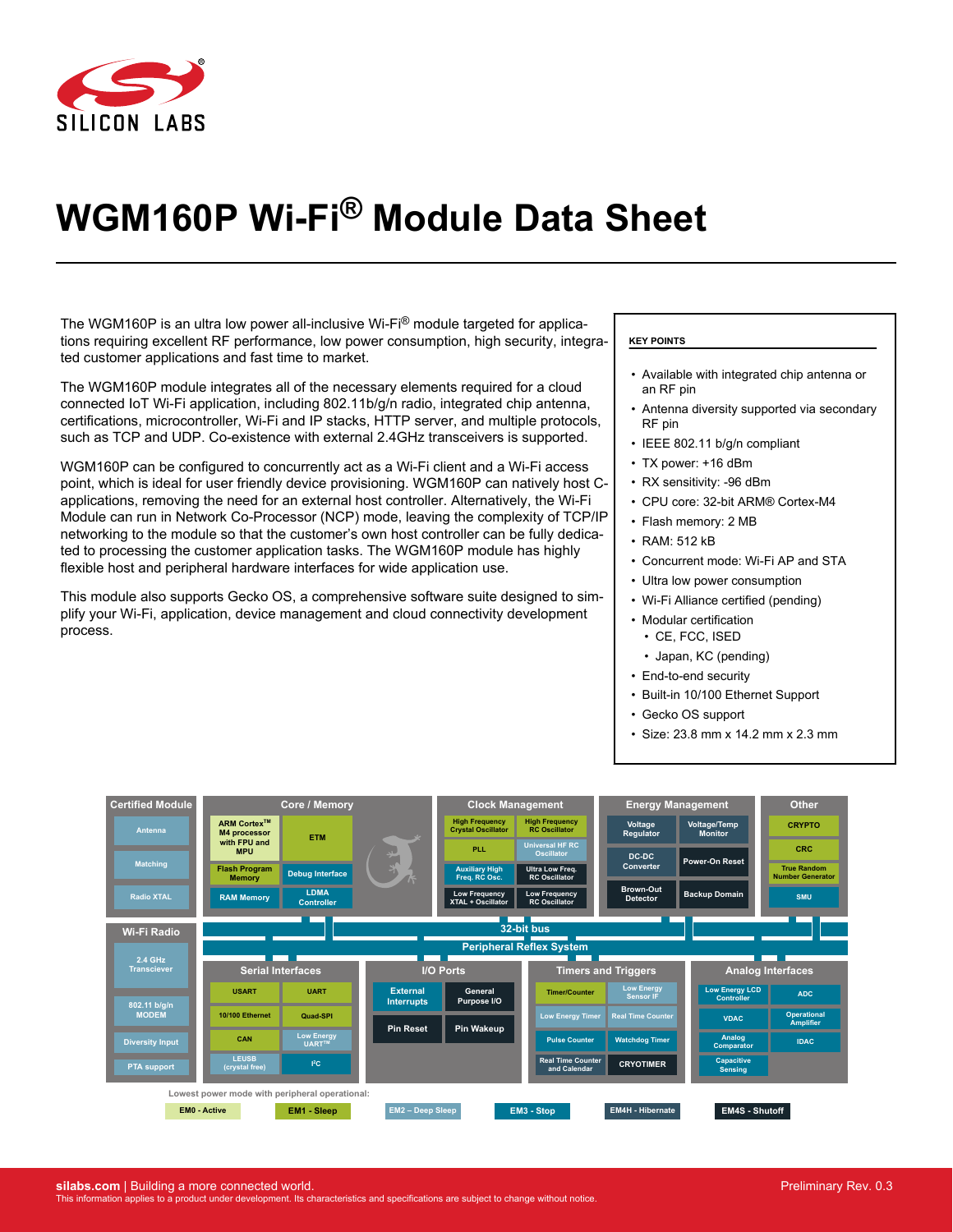

# **WGM160P Wi-Fi® Module Data Sheet**

The WGM160P is an ultra low power all-inclusive Wi-Fi $^{\circledR}$  module targeted for applications requiring excellent RF performance, low power consumption, high security, integrated customer applications and fast time to market.

The WGM160P module integrates all of the necessary elements required for a cloud connected IoT Wi-Fi application, including 802.11b/g/n radio, integrated chip antenna, certifications, microcontroller, Wi-Fi and IP stacks, HTTP server, and multiple protocols, such as TCP and UDP. Co-existence with external 2.4GHz transceivers is supported.

WGM160P can be configured to concurrently act as a Wi-Fi client and a Wi-Fi access point, which is ideal for user friendly device provisioning. WGM160P can natively host Capplications, removing the need for an external host controller. Alternatively, the Wi-Fi Module can run in Network Co-Processor (NCP) mode, leaving the complexity of TCP/IP networking to the module so that the customer's own host controller can be fully dedicated to processing the customer application tasks. The WGM160P module has highly flexible host and peripheral hardware interfaces for wide application use.

This module also supports Gecko OS, a comprehensive software suite designed to simplify your Wi-Fi, application, device management and cloud connectivity development process.

#### **KEY POINTS**

- Available with integrated chip antenna or an RF pin
- Antenna diversity supported via secondary RF pin
- IEEE 802.11 b/g/n compliant
- TX power: +16 dBm
- RX sensitivity: -96 dBm
- CPU core: 32-bit ARM® Cortex-M4
- Flash memory: 2 MB
- RAM: 512 kB
- Concurrent mode: Wi-Fi AP and STA
- Ultra low power consumption
- Wi-Fi Alliance certified (pending)
- Modular certification
- CE, FCC, ISED
- Japan, KC (pending)
- End-to-end security
- Built-in 10/100 Ethernet Support
- Gecko OS support
- Size: 23.8 mm x 14.2 mm x 2.3 mm

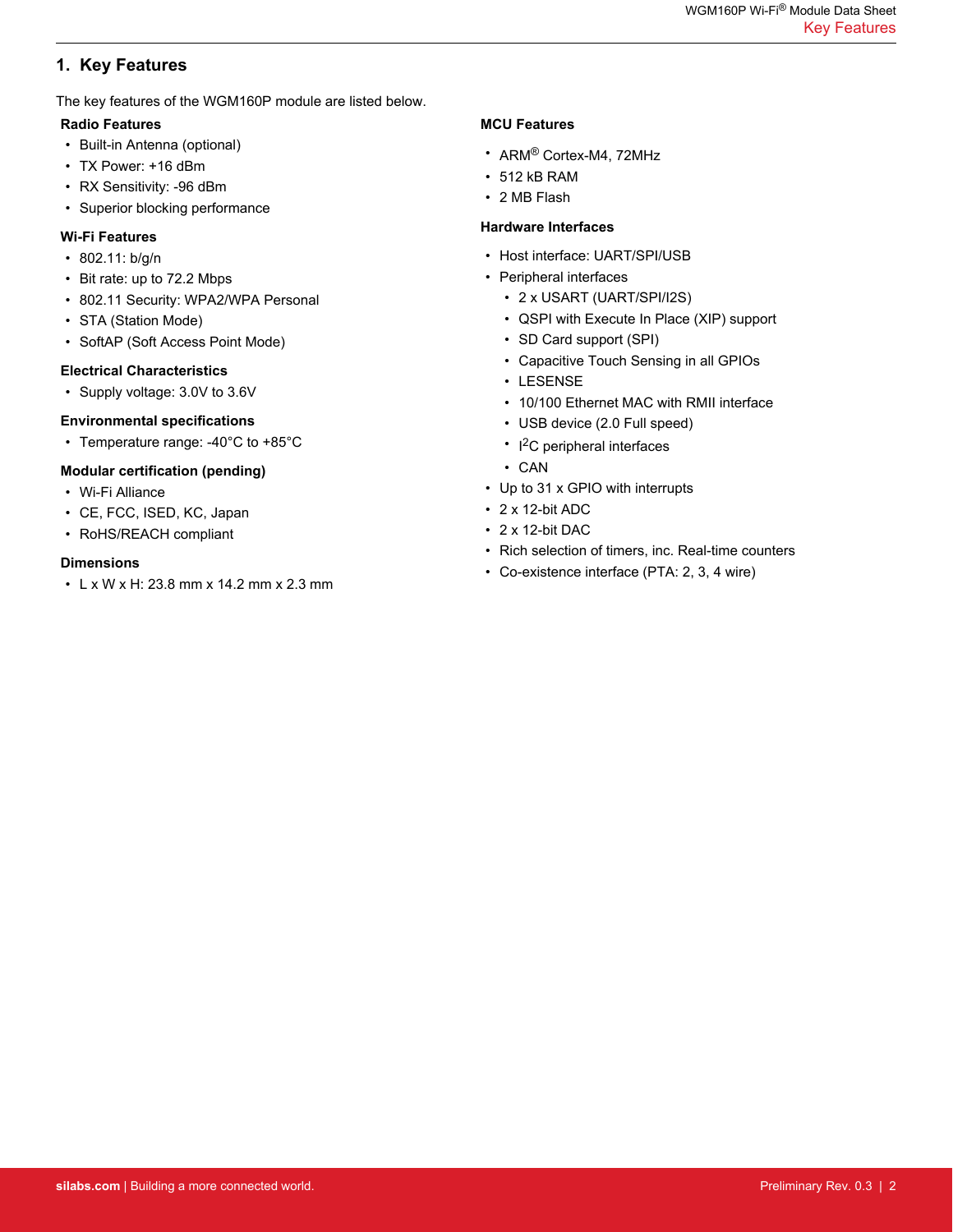# <span id="page-1-0"></span>**1. Key Features**

The key features of the WGM160P module are listed below.

# **Radio Features**

- Built-in Antenna (optional)
- TX Power: +16 dBm
- RX Sensitivity: -96 dBm
- Superior blocking performance

# **Wi-Fi Features**

- 802.11: b/g/n
- Bit rate: up to 72.2 Mbps
- 802.11 Security: WPA2/WPA Personal
- STA (Station Mode)
- SoftAP (Soft Access Point Mode)

# **Electrical Characteristics**

• Supply voltage: 3.0V to 3.6V

# **Environmental specifications**

• Temperature range: -40°C to +85°C

# **Modular certification (pending)**

- Wi-Fi Alliance
- CE, FCC, ISED, KC, Japan
- RoHS/REACH compliant

# **Dimensions**

• L x W x H: 23.8 mm x 14.2 mm x 2.3 mm

# **MCU Features**

- ARM® Cortex-M4, 72MHz
- 512 kB RAM
- 2 MB Flash

# **Hardware Interfaces**

- Host interface: UART/SPI/USB
- Peripheral interfaces
	- 2 x USART (UART/SPI/I2S)
	- QSPI with Execute In Place (XIP) support
	- SD Card support (SPI)
	- Capacitive Touch Sensing in all GPIOs
	- LESENSE
	- 10/100 Ethernet MAC with RMII interface
	- USB device (2.0 Full speed)
	- I<sup>2</sup>C peripheral interfaces
	- CAN
- Up to 31 x GPIO with interrupts
- 2 x 12-bit ADC
- 2 x 12-bit DAC
- Rich selection of timers, inc. Real-time counters
- Co-existence interface (PTA: 2, 3, 4 wire)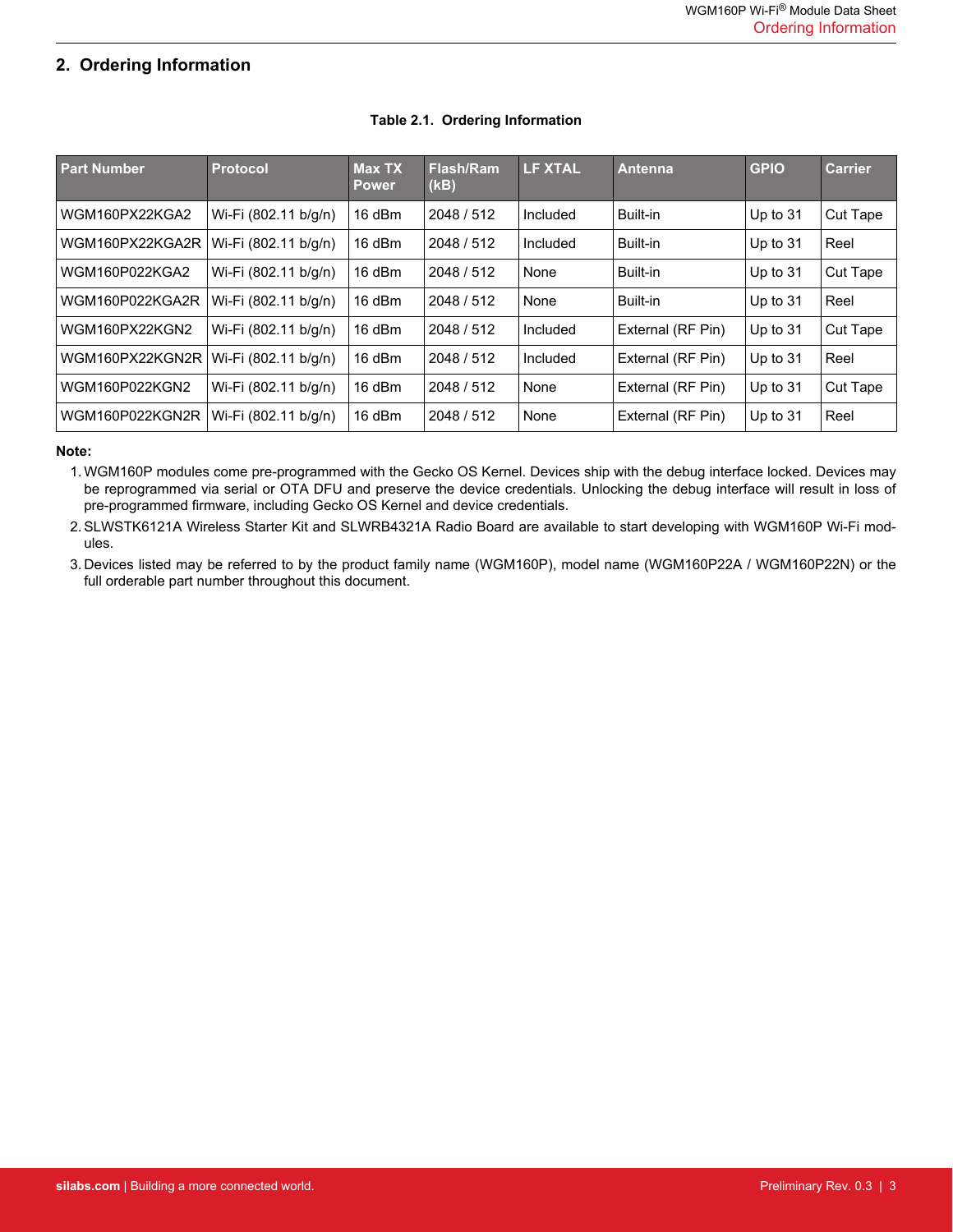# <span id="page-2-0"></span>**2. Ordering Information**

| <b>Part Number</b> | <b>Protocol</b>      | <b>Max TX</b><br><b>Power</b> | Flash/Ram<br>(kB) | <b>LF XTAL</b> | Antenna           | <b>GPIO</b> | <b>Carrier</b> |
|--------------------|----------------------|-------------------------------|-------------------|----------------|-------------------|-------------|----------------|
| WGM160PX22KGA2     | Wi-Fi (802.11 b/g/n) | 16 dBm                        | 2048 / 512        | Included       | Built-in          | Up to $31$  | Cut Tape       |
| WGM160PX22KGA2R    | Wi-Fi (802.11 b/g/n) | 16 dBm                        | 2048 / 512        | Included       | Built-in          | Up to $31$  | Reel           |
| WGM160P022KGA2     | Wi-Fi (802.11 b/g/n) | $16$ dBm                      | 2048 / 512        | None           | Built-in          | Up to $31$  | Cut Tape       |
| WGM160P022KGA2R    | Wi-Fi (802.11 b/g/n) | $16$ dBm                      | 2048 / 512        | None           | Built-in          | Up to $31$  | Reel           |
| WGM160PX22KGN2     | Wi-Fi (802.11 b/g/n) | 16 dBm                        | 2048 / 512        | Included       | External (RF Pin) | Up to $31$  | Cut Tape       |
| WGM160PX22KGN2R    | Wi-Fi (802.11 b/g/n) | 16 dBm                        | 2048 / 512        | Included       | External (RF Pin) | Up to $31$  | Reel           |
| WGM160P022KGN2     | Wi-Fi (802.11 b/g/n) | $16$ dBm                      | 2048 / 512        | None           | External (RF Pin) | Up to $31$  | Cut Tape       |
| WGM160P022KGN2R    | Wi-Fi (802.11 b/g/n) | 16 dBm                        | 2048 / 512        | None           | External (RF Pin) | Up to $31$  | Reel           |

# **Table 2.1. Ordering Information**

#### **Note:**

1.WGM160P modules come pre-programmed with the Gecko OS Kernel. Devices ship with the debug interface locked. Devices may be reprogrammed via serial or OTA DFU and preserve the device credentials. Unlocking the debug interface will result in loss of pre-programmed firmware, including Gecko OS Kernel and device credentials.

2.SLWSTK6121A Wireless Starter Kit and SLWRB4321A Radio Board are available to start developing with WGM160P Wi-Fi modules.

3. Devices listed may be referred to by the product family name (WGM160P), model name (WGM160P22A / WGM160P22N) or the full orderable part number throughout this document.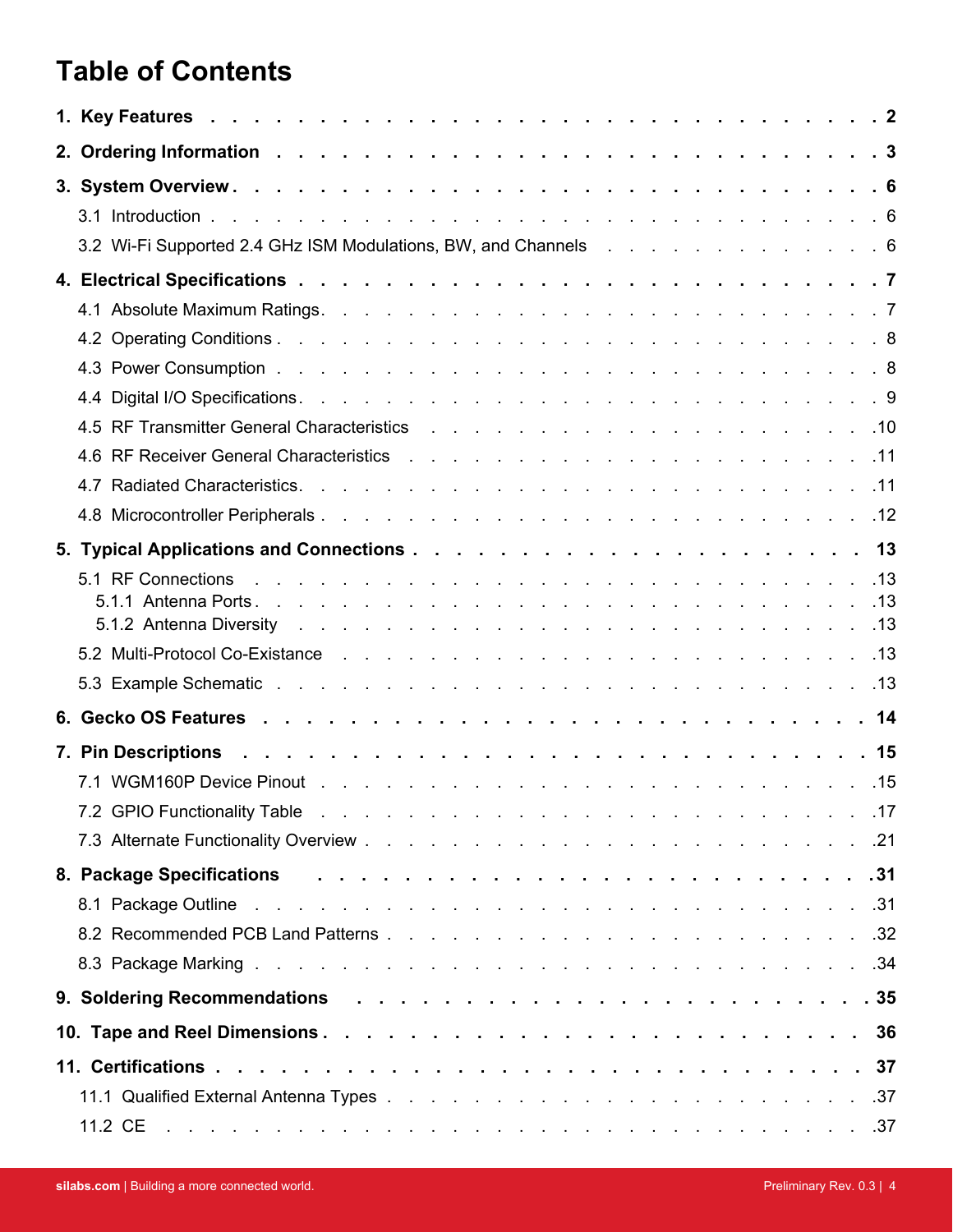# **Table of Contents**

| 3.2 Wi-Fi Supported 2.4 GHz ISM Modulations, BW, and Channels 6                                                                                                                                                                |  |
|--------------------------------------------------------------------------------------------------------------------------------------------------------------------------------------------------------------------------------|--|
|                                                                                                                                                                                                                                |  |
|                                                                                                                                                                                                                                |  |
|                                                                                                                                                                                                                                |  |
|                                                                                                                                                                                                                                |  |
|                                                                                                                                                                                                                                |  |
|                                                                                                                                                                                                                                |  |
|                                                                                                                                                                                                                                |  |
|                                                                                                                                                                                                                                |  |
|                                                                                                                                                                                                                                |  |
|                                                                                                                                                                                                                                |  |
|                                                                                                                                                                                                                                |  |
|                                                                                                                                                                                                                                |  |
|                                                                                                                                                                                                                                |  |
| 13. In the Protocol Co-Existance enters and the contract of the contract of the contract of the contract of the contract of the contract of the contract of the contract of the contract of the contract of the contract of th |  |
|                                                                                                                                                                                                                                |  |
|                                                                                                                                                                                                                                |  |
|                                                                                                                                                                                                                                |  |
|                                                                                                                                                                                                                                |  |
|                                                                                                                                                                                                                                |  |
|                                                                                                                                                                                                                                |  |
| 8. Package Specifications research research research research research research research and a set of the set o                                                                                                                |  |
|                                                                                                                                                                                                                                |  |
|                                                                                                                                                                                                                                |  |
|                                                                                                                                                                                                                                |  |
|                                                                                                                                                                                                                                |  |
|                                                                                                                                                                                                                                |  |
|                                                                                                                                                                                                                                |  |
|                                                                                                                                                                                                                                |  |
| 11.2 CE between the contract the contract of the contract of the contract of $37$                                                                                                                                              |  |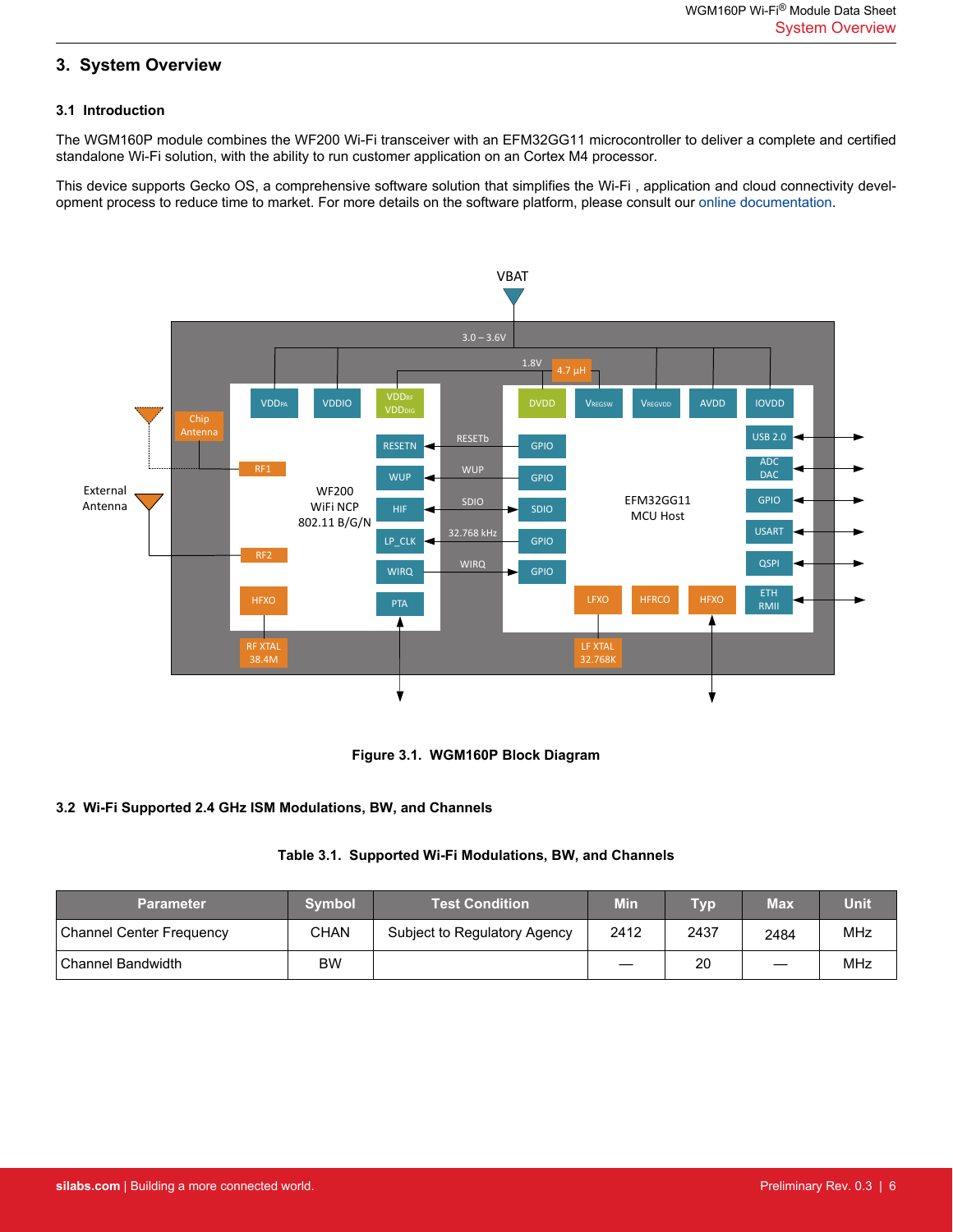# <span id="page-5-0"></span>**3. System Overview**

#### **3.1 Introduction**

The WGM160P module combines the WF200 Wi-Fi transceiver with an EFM32GG11 microcontroller to deliver a complete and certified standalone Wi-Fi solution, with the ability to run customer application on an Cortex M4 processor.

This device supports Gecko OS, a comprehensive software solution that simplifies the Wi-Fi , application and cloud connectivity development process to reduce time to market. For more details on the software platform, please consult our [online documentation.](https://docs.silabs.com/gecko-os/latest/)





#### **3.2 Wi-Fi Supported 2.4 GHz ISM Modulations, BW, and Channels**

#### **Table 3.1. Supported Wi-Fi Modulations, BW, and Channels**

| <b>Parameter</b>                | <b>Symbol</b> | <b>Test Condition</b>        | <b>Min</b> | Тур  | Max  | Unit |
|---------------------------------|---------------|------------------------------|------------|------|------|------|
| <b>Channel Center Frequency</b> | <b>CHAN</b>   | Subject to Regulatory Agency | 2412       | 2437 | 2484 | MHz  |
| Channel Bandwidth               | <b>BW</b>     |                              |            | 20   | –    | MHz  |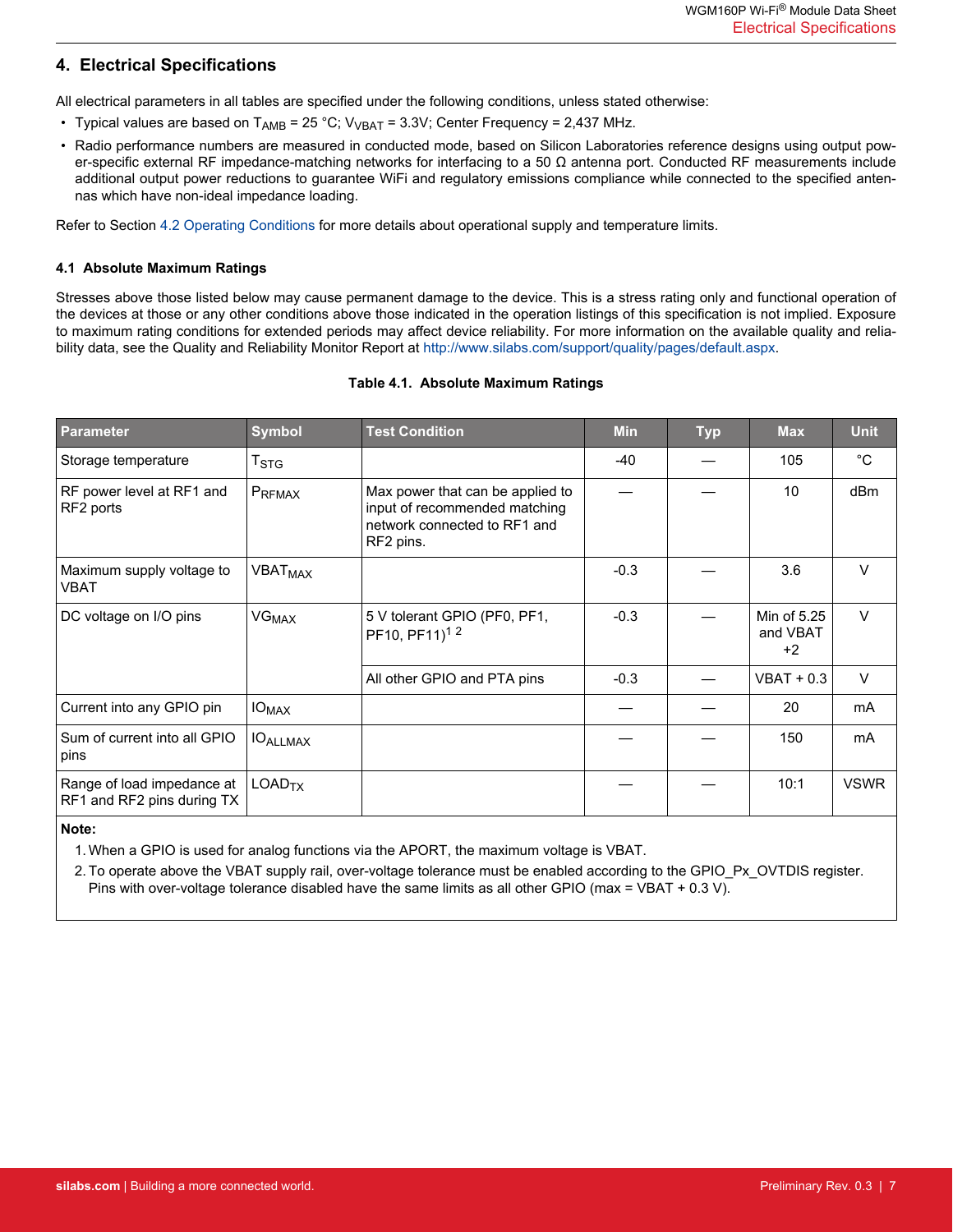# <span id="page-6-0"></span>**4. Electrical Specifications**

All electrical parameters in all tables are specified under the following conditions, unless stated otherwise:

- Typical values are based on  $T_{AMB}$  = 25 °C;  $V_{VBAT}$  = 3.3V; Center Frequency = 2,437 MHz.
- Radio performance numbers are measured in conducted mode, based on Silicon Laboratories reference designs using output power-specific external RF impedance-matching networks for interfacing to a 50  $\Omega$  antenna port. Conducted RF measurements include additional output power reductions to guarantee WiFi and regulatory emissions compliance while connected to the specified antennas which have non-ideal impedance loading.

Refer to Section [4.2 Operating Conditions](#page-7-0) for more details about operational supply and temperature limits.

#### **4.1 Absolute Maximum Ratings**

Stresses above those listed below may cause permanent damage to the device. This is a stress rating only and functional operation of the devices at those or any other conditions above those indicated in the operation listings of this specification is not implied. Exposure to maximum rating conditions for extended periods may affect device reliability. For more information on the available quality and reliability data, see the Quality and Reliability Monitor Report at<http://www.silabs.com/support/quality/pages/default.aspx>.

#### **Table 4.1. Absolute Maximum Ratings**

| <b>Parameter</b>                                         | <b>Symbol</b>             | <b>Test Condition</b>                                                                                          | <b>Min</b> | <b>Typ</b> | <b>Max</b>                      | <b>Unit</b>  |
|----------------------------------------------------------|---------------------------|----------------------------------------------------------------------------------------------------------------|------------|------------|---------------------------------|--------------|
| Storage temperature                                      | $\mathsf{T}_{\text{STG}}$ |                                                                                                                | -40        |            | 105                             | $^{\circ}$ C |
| RF power level at RF1 and<br>RF2 ports                   | PRFMAX                    | Max power that can be applied to<br>input of recommended matching<br>network connected to RF1 and<br>RF2 pins. |            |            | 10                              | dBm          |
| Maximum supply voltage to<br>VBAT                        | VBAT <sub>MAX</sub>       |                                                                                                                | $-0.3$     |            | 3.6                             | $\vee$       |
| DC voltage on I/O pins                                   | VG <sub>MAX</sub>         | 5 V tolerant GPIO (PF0, PF1,<br>PF10, PF11) <sup>12</sup>                                                      | $-0.3$     |            | Min of 5.25<br>and VBAT<br>$+2$ | $\vee$       |
|                                                          |                           | All other GPIO and PTA pins                                                                                    | $-0.3$     |            | $VBAT + 0.3$                    | $\vee$       |
| Current into any GPIO pin                                | $IO_{MAX}$                |                                                                                                                |            |            | 20                              | mA           |
| Sum of current into all GPIO<br>pins                     | <b>IOALLMAX</b>           |                                                                                                                |            |            | 150                             | mA           |
| Range of load impedance at<br>RF1 and RF2 pins during TX | LOAD <sub>TX</sub>        |                                                                                                                |            |            | 10:1                            | <b>VSWR</b>  |

#### **Note:**

1. When a GPIO is used for analog functions via the APORT, the maximum voltage is VBAT.

2. To operate above the VBAT supply rail, over-voltage tolerance must be enabled according to the GPIO\_Px\_OVTDIS register. Pins with over-voltage tolerance disabled have the same limits as all other GPIO (max = VBAT + 0.3 V).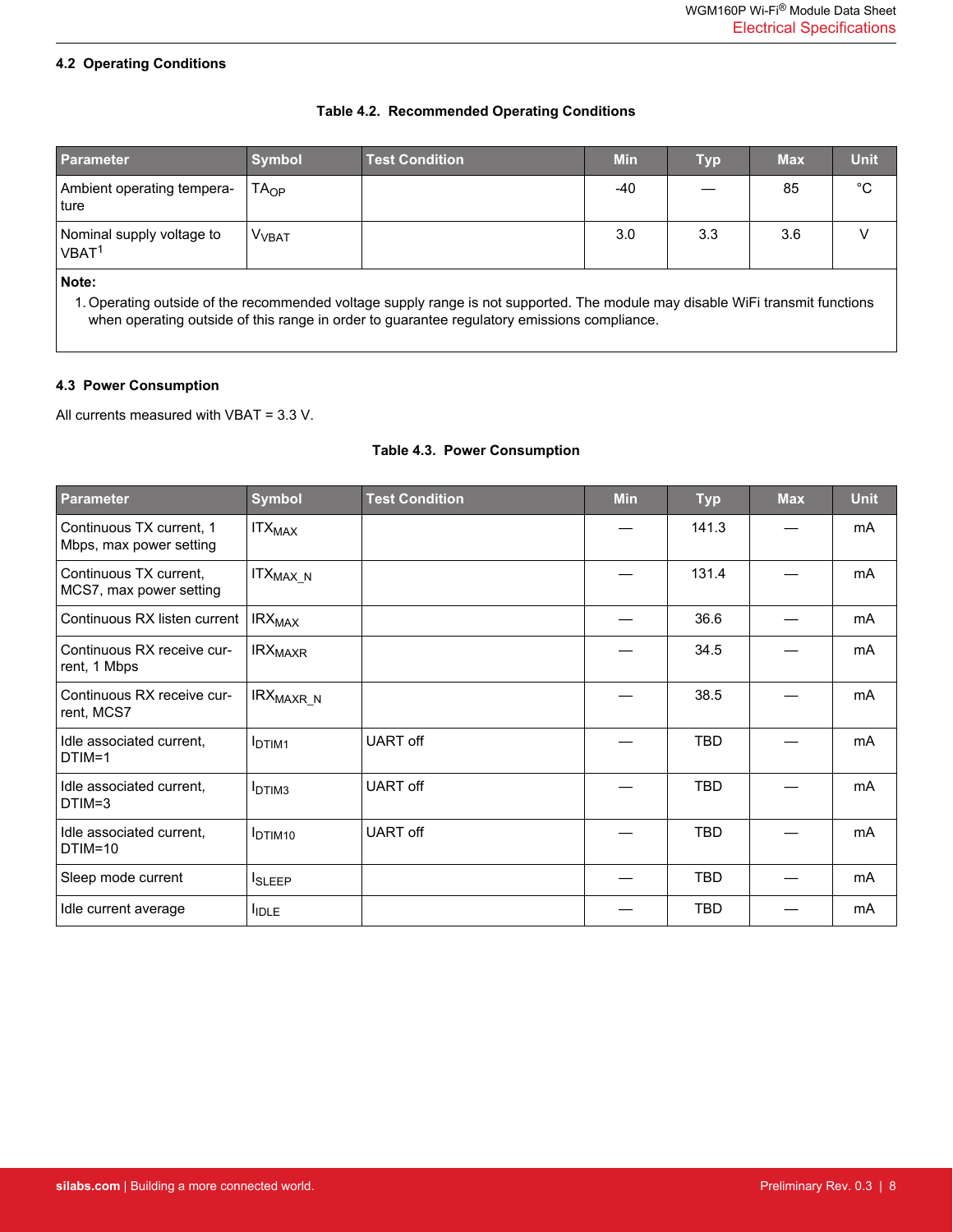#### <span id="page-7-0"></span>**4.2 Operating Conditions**

#### **Table 4.2. Recommended Operating Conditions**

| Parameter                                      | <b>Symbol</b>           | <b>Test Condition</b> | <b>Min</b> | <b>Typ</b> | <b>Max</b> | Unit        |
|------------------------------------------------|-------------------------|-----------------------|------------|------------|------------|-------------|
| Ambient operating tempera-<br>∣ ture           | $TA_{OP}$               |                       | -40        |            | 85         | $^{\circ}C$ |
| Nominal supply voltage to<br>VBAT <sup>1</sup> | <b>V<sub>VBAT</sub></b> |                       | 3.0        | 3.3        | 3.6        |             |
| ∣ Note∙                                        |                         |                       |            |            |            |             |

**Note:**

1. Operating outside of the recommended voltage supply range is not supported. The module may disable WiFi transmit functions when operating outside of this range in order to guarantee regulatory emissions compliance.

#### **4.3 Power Consumption**

All currents measured with VBAT = 3.3 V.

#### **Table 4.3. Power Consumption**

| <b>Parameter</b>                                    | <b>Symbol</b>               | <b>Test Condition</b> | <b>Min</b> | <b>Typ</b> | <b>Max</b> | <b>Unit</b> |
|-----------------------------------------------------|-----------------------------|-----------------------|------------|------------|------------|-------------|
| Continuous TX current, 1<br>Mbps, max power setting | <b>ITX<sub>MAX</sub></b>    |                       |            | 141.3      |            | mA          |
| Continuous TX current,<br>MCS7, max power setting   | ITX <sub>MAX_N</sub>        |                       |            | 131.4      |            | mA          |
| Continuous RX listen current                        | <b>IRX<sub>MAX</sub></b>    |                       |            | 36.6       |            | mA          |
| Continuous RX receive cur-<br>rent, 1 Mbps          | <b>IRX<sub>MAXR</sub></b>   |                       |            | 34.5       |            | mA          |
| Continuous RX receive cur-<br>rent, MCS7            | IRX <sub>MAXR_N</sub>       |                       |            | 38.5       |            | <b>mA</b>   |
| Idle associated current.<br>$DTIM=1$                | <b>I</b> DTIM1              | <b>UART</b> off       |            | <b>TBD</b> |            | mA          |
| Idle associated current.<br>DTIM=3                  | <b>IDTIM3</b>               | UART off              |            | TBD        |            | mA          |
| Idle associated current,<br>$DTIM=10$               | <b>I</b> DTIM <sub>10</sub> | <b>UART</b> off       |            | <b>TBD</b> |            | mA          |
| Sleep mode current                                  | <b>I</b> SLEEP              |                       |            | <b>TBD</b> |            | mA          |
| Idle current average                                | <b>IDLE</b>                 |                       |            | <b>TBD</b> |            | mA          |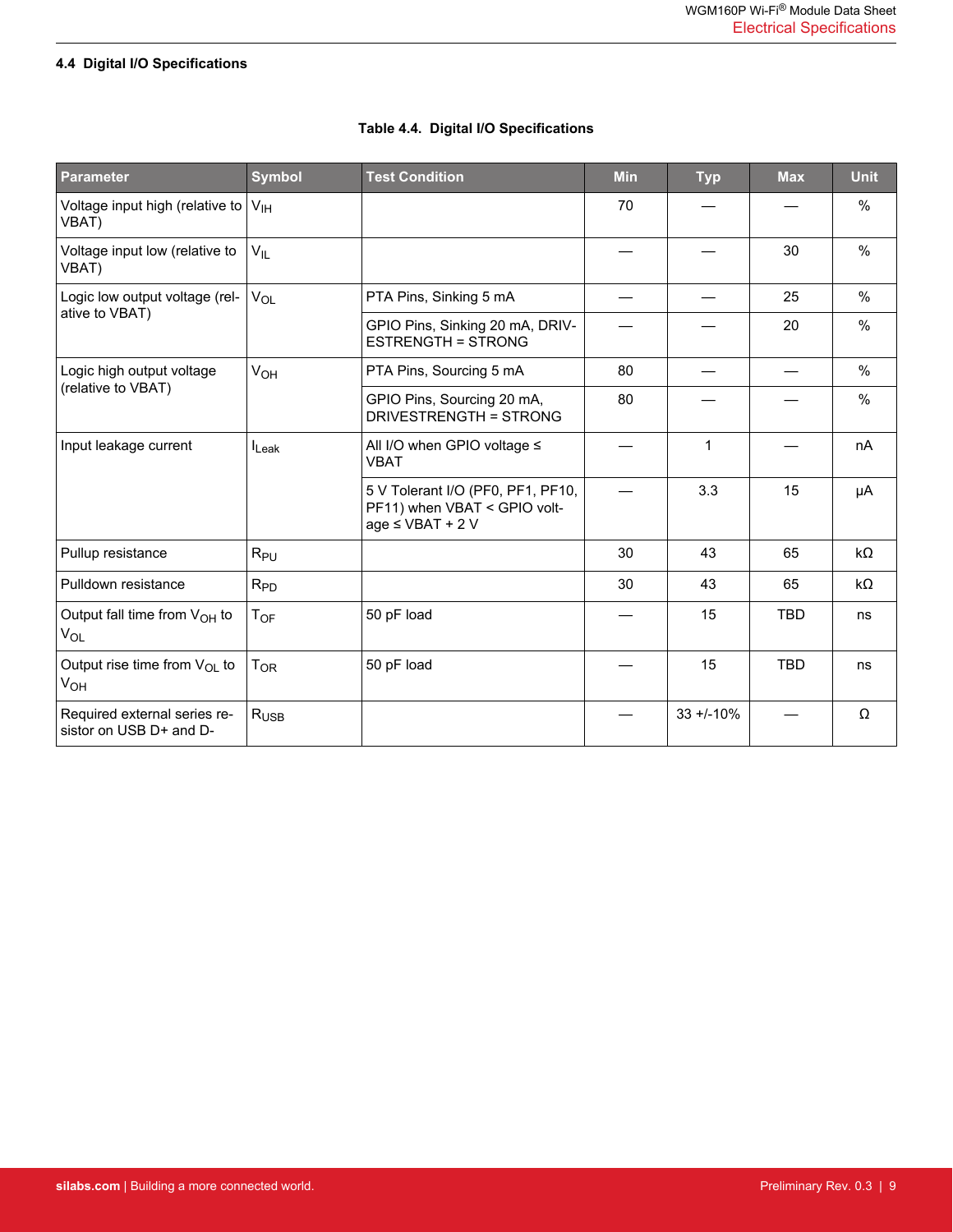# <span id="page-8-0"></span>**4.4 Digital I/O Specifications**

| <b>Parameter</b>                                            | <b>Symbol</b>              | <b>Test Condition</b>                                                                      | <b>Min</b> | <b>Typ</b>     | <b>Max</b> | <b>Unit</b> |
|-------------------------------------------------------------|----------------------------|--------------------------------------------------------------------------------------------|------------|----------------|------------|-------------|
| Voltage input high (relative to<br>VBAT)                    | V <sub>IH</sub>            |                                                                                            | 70         |                |            | %           |
| Voltage input low (relative to<br>VBAT)                     | $V_{IL}$                   |                                                                                            |            |                | 30         | %           |
| Logic low output voltage (rel-                              | $V_{OL}$                   | PTA Pins, Sinking 5 mA                                                                     |            |                | 25         | %           |
| ative to VBAT)                                              |                            | GPIO Pins, Sinking 20 mA, DRIV-<br><b>ESTRENGTH = STRONG</b>                               |            |                | 20         | $\%$        |
| Logic high output voltage                                   | VOH                        | PTA Pins, Sourcing 5 mA                                                                    | 80         |                |            | %           |
| (relative to VBAT)                                          |                            | GPIO Pins, Sourcing 20 mA,<br><b>DRIVESTRENGTH = STRONG</b>                                | 80         |                |            | %           |
| Input leakage current                                       | $I_{\text{Leak}}$          | All I/O when GPIO voltage $\leq$<br><b>VBAT</b>                                            |            | 1              |            | nA          |
|                                                             |                            | 5 V Tolerant I/O (PF0, PF1, PF10,<br>PF11) when VBAT < GPIO volt-<br>$age \leq VBAT + 2 V$ |            | 3.3            | 15         | μA          |
| Pullup resistance                                           | $R_{PU}$                   |                                                                                            | 30         | 43             | 65         | $k\Omega$   |
| Pulldown resistance                                         | $R_{PD}$                   |                                                                                            | 30         | 43             | 65         | kΩ          |
| Output fall time from $V_{OH}$ to<br><b>V<sub>OL</sub></b>  | $\mathsf{T}_{\mathsf{OF}}$ | 50 pF load                                                                                 |            | 15             | <b>TBD</b> | ns          |
| Output rise time from V <sub>OL</sub> to<br>V <sub>OH</sub> | T <sub>OR</sub>            | 50 pF load                                                                                 |            | 15             | <b>TBD</b> | ns          |
| Required external series re-<br>sistor on USB D+ and D-     | $R_{\text{USE}}$           |                                                                                            |            | $33 + 1 - 10%$ |            | Ω           |

# **Table 4.4. Digital I/O Specifications**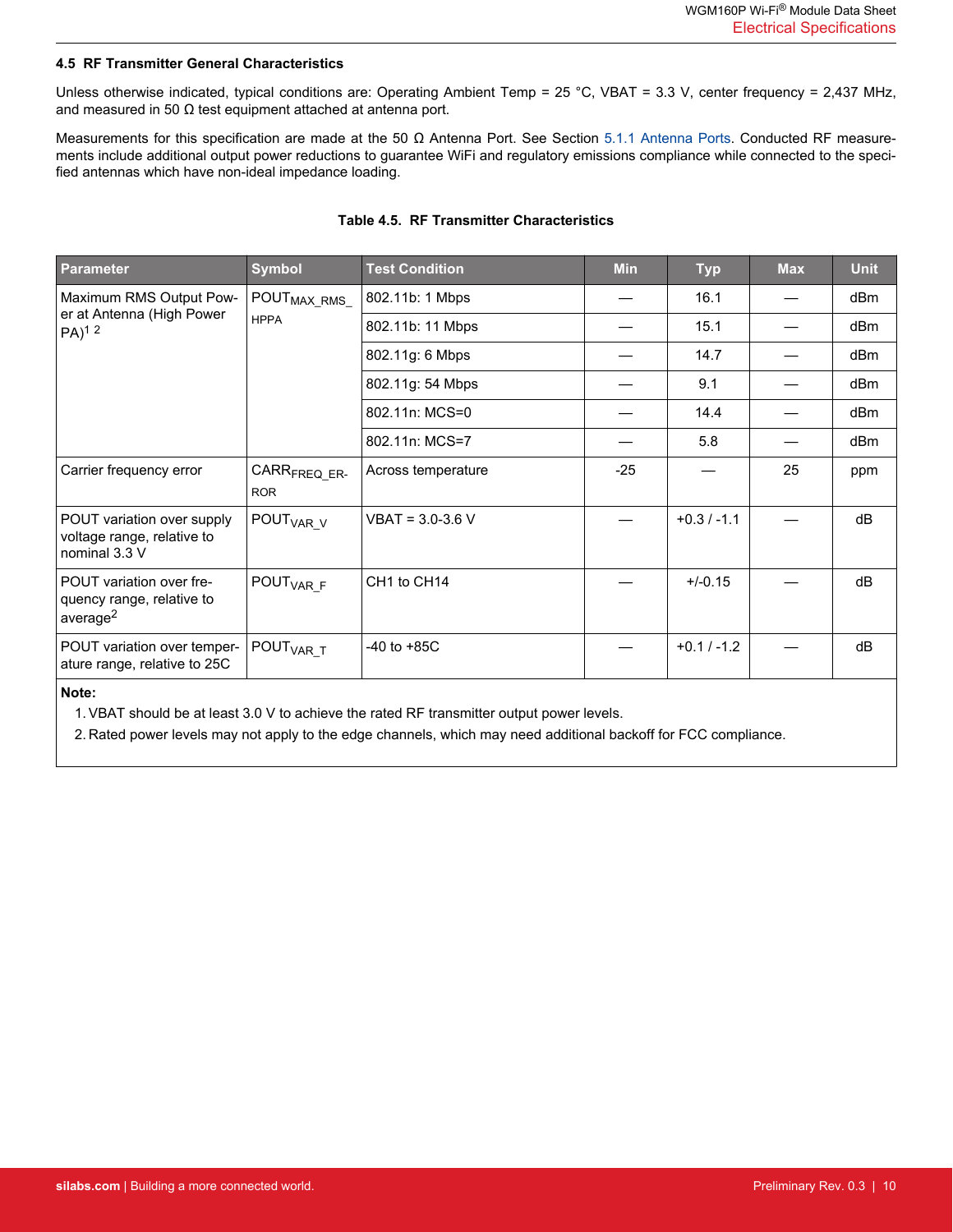#### <span id="page-9-0"></span>**4.5 RF Transmitter General Characteristics**

Unless otherwise indicated, typical conditions are: Operating Ambient Temp = 25 °C, VBAT = 3.3 V, center frequency = 2,437 MHz, and measured in 50  $\Omega$  test equipment attached at antenna port.

Measurements for this specification are made at the 50 Ω Antenna Port. See Section [5.1.1 Antenna Ports.](#page-12-0) Conducted RF measurements include additional output power reductions to guarantee WiFi and regulatory emissions compliance while connected to the specified antennas which have non-ideal impedance loading.

| <b>Parameter</b>                                                              | <b>Symbol</b>                          | <b>Test Condition</b> | <b>Min</b> | <b>Typ</b>    | <b>Max</b> | <b>Unit</b>     |
|-------------------------------------------------------------------------------|----------------------------------------|-----------------------|------------|---------------|------------|-----------------|
| Maximum RMS Output Pow-                                                       | POUT <sub>MAX_RMS_</sub>               | 802.11b: 1 Mbps       |            | 16.1          |            | dB <sub>m</sub> |
| er at Antenna (High Power<br>$PA)^{12}$                                       | <b>HPPA</b>                            | 802.11b: 11 Mbps      |            | 15.1          |            | dB <sub>m</sub> |
|                                                                               |                                        | 802.11g: 6 Mbps       |            | 14.7          |            | dBm             |
|                                                                               |                                        | 802.11g: 54 Mbps      |            | 9.1           |            | dBm             |
|                                                                               |                                        | 802.11n: MCS=0        |            | 14.4          |            | dB <sub>m</sub> |
|                                                                               |                                        | 802.11n: MCS=7        |            | 5.8           |            | dB <sub>m</sub> |
| Carrier frequency error                                                       | CARR <sub>FREQ</sub> ER-<br><b>ROR</b> | Across temperature    | $-25$      |               | 25         | ppm             |
| POUT variation over supply<br>voltage range, relative to<br>nominal 3.3 V     | POUT <sub>VAR_V</sub>                  | $VBAT = 3.0 - 3.6 V$  |            | $+0.3 / -1.1$ |            | dB              |
| POUT variation over fre-<br>quency range, relative to<br>average <sup>2</sup> | POUT <sub>VARF</sub>                   | CH1 to CH14           |            | $+/-0.15$     |            | dB              |
| POUT variation over temper-<br>ature range, relative to 25C                   | POUT <sub>VAR_T</sub>                  | $-40$ to $+85C$       |            | $+0.1 / -1.2$ |            | dB              |

#### **Table 4.5. RF Transmitter Characteristics**

#### **Note:**

1. VBAT should be at least 3.0 V to achieve the rated RF transmitter output power levels.

2. Rated power levels may not apply to the edge channels, which may need additional backoff for FCC compliance.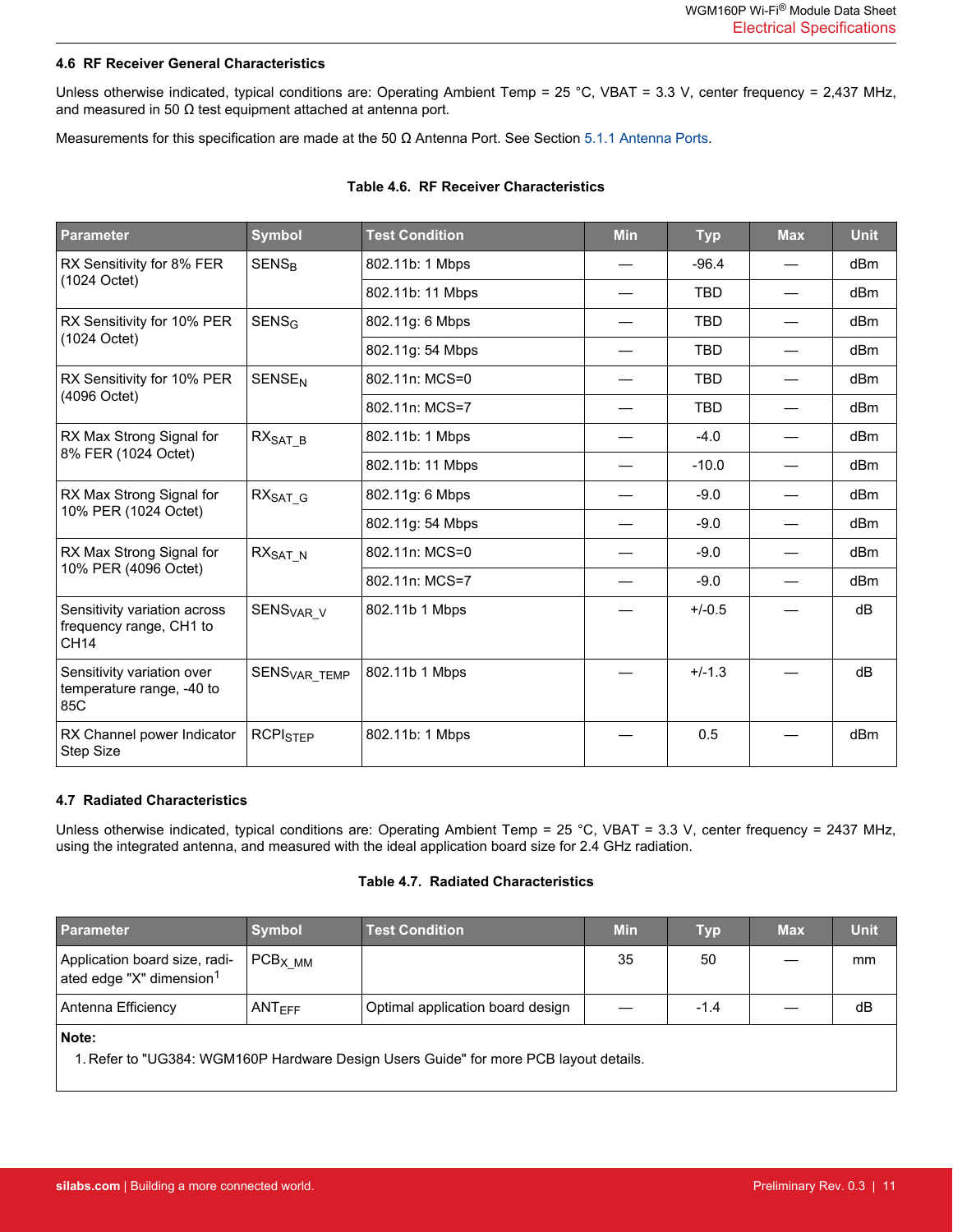#### <span id="page-10-0"></span>**4.6 RF Receiver General Characteristics**

Unless otherwise indicated, typical conditions are: Operating Ambient Temp = 25 °C, VBAT = 3.3 V, center frequency = 2,437 MHz, and measured in 50  $\Omega$  test equipment attached at antenna port.

Measurements for this specification are made at the 50 Ω Antenna Port. See Section [5.1.1 Antenna Ports](#page-12-0).

| <b>Parameter</b>                                                | <b>Symbol</b>            | <b>Test Condition</b> | <b>Min</b> | <b>Typ</b> | <b>Max</b>               | <b>Unit</b>     |
|-----------------------------------------------------------------|--------------------------|-----------------------|------------|------------|--------------------------|-----------------|
| RX Sensitivity for 8% FER                                       | <b>SENS<sub>R</sub></b>  | 802.11b: 1 Mbps       |            | $-96.4$    |                          | dBm             |
| (1024 Octet)                                                    |                          | 802.11b: 11 Mbps      |            | <b>TBD</b> |                          | dBm             |
| RX Sensitivity for 10% PER                                      | $SENS_G$                 | 802.11g: 6 Mbps       |            | <b>TBD</b> |                          | dBm             |
| (1024 Octet)                                                    |                          | 802.11g: 54 Mbps      |            | <b>TBD</b> |                          | dBm             |
| RX Sensitivity for 10% PER                                      | <b>SENSE<sub>N</sub></b> | 802.11n: MCS=0        |            | <b>TBD</b> |                          | dBm             |
| (4096 Octet)                                                    |                          | 802.11n: MCS=7        |            | <b>TBD</b> |                          | dBm             |
| RX Max Strong Signal for                                        | $RXSAT_B$                | 802.11b: 1 Mbps       |            | $-4.0$     | $\overline{\phantom{0}}$ | dBm             |
| 8% FER (1024 Octet)                                             |                          | 802.11b: 11 Mbps      |            | $-10.0$    | $\overline{\phantom{0}}$ | dBm             |
| RX Max Strong Signal for                                        | $RXSAT_G$                | 802.11g: 6 Mbps       |            | $-9.0$     |                          | dBm             |
| 10% PER (1024 Octet)                                            |                          | 802.11g: 54 Mbps      |            | $-9.0$     |                          | dBm             |
| RX Max Strong Signal for                                        | $RX_{SAT_N}$             | 802.11n: MCS=0        |            | $-9.0$     |                          | dBm             |
| 10% PER (4096 Octet)                                            |                          | 802.11n: MCS=7        |            | $-9.0$     |                          | dBm             |
| Sensitivity variation across<br>frequency range, CH1 to<br>CH14 | SENS <sub>VAR V</sub>    | 802.11b 1 Mbps        |            | $+/-0.5$   |                          | dB              |
| Sensitivity variation over<br>temperature range, -40 to<br>85C  | SENS <sub>VAR_TEMP</sub> | 802.11b 1 Mbps        |            | $+/-1.3$   |                          | dB              |
| RX Channel power Indicator<br>Step Size                         | <b>RCPISTEP</b>          | 802.11b: 1 Mbps       |            | 0.5        |                          | dB <sub>m</sub> |

#### **Table 4.6. RF Receiver Characteristics**

#### **4.7 Radiated Characteristics**

Unless otherwise indicated, typical conditions are: Operating Ambient Temp = 25 °C, VBAT = 3.3 V, center frequency = 2437 MHz, using the integrated antenna, and measured with the ideal application board size for 2.4 GHz radiation.

#### **Table 4.7. Radiated Characteristics**

| <b>Parameter</b>                                                                               | <b>Symbol</b> | <b>Test Condition</b>            | <b>Min</b> | <b>Typ</b> | <b>Max</b> | <b>Unit</b> |  |
|------------------------------------------------------------------------------------------------|---------------|----------------------------------|------------|------------|------------|-------------|--|
| Application board size, radi-<br>ated edge "X" dimension <sup>1</sup>                          | $PCBX$ MM     |                                  | 35         | 50         |            | mm          |  |
| Antenna Efficiency                                                                             | $ANT_{FFF}$   | Optimal application board design |            | $-1.4$     |            | dB          |  |
| Note:<br>1. Refer to "UG384: WGM160P Hardware Design Users Guide" for more PCB layout details. |               |                                  |            |            |            |             |  |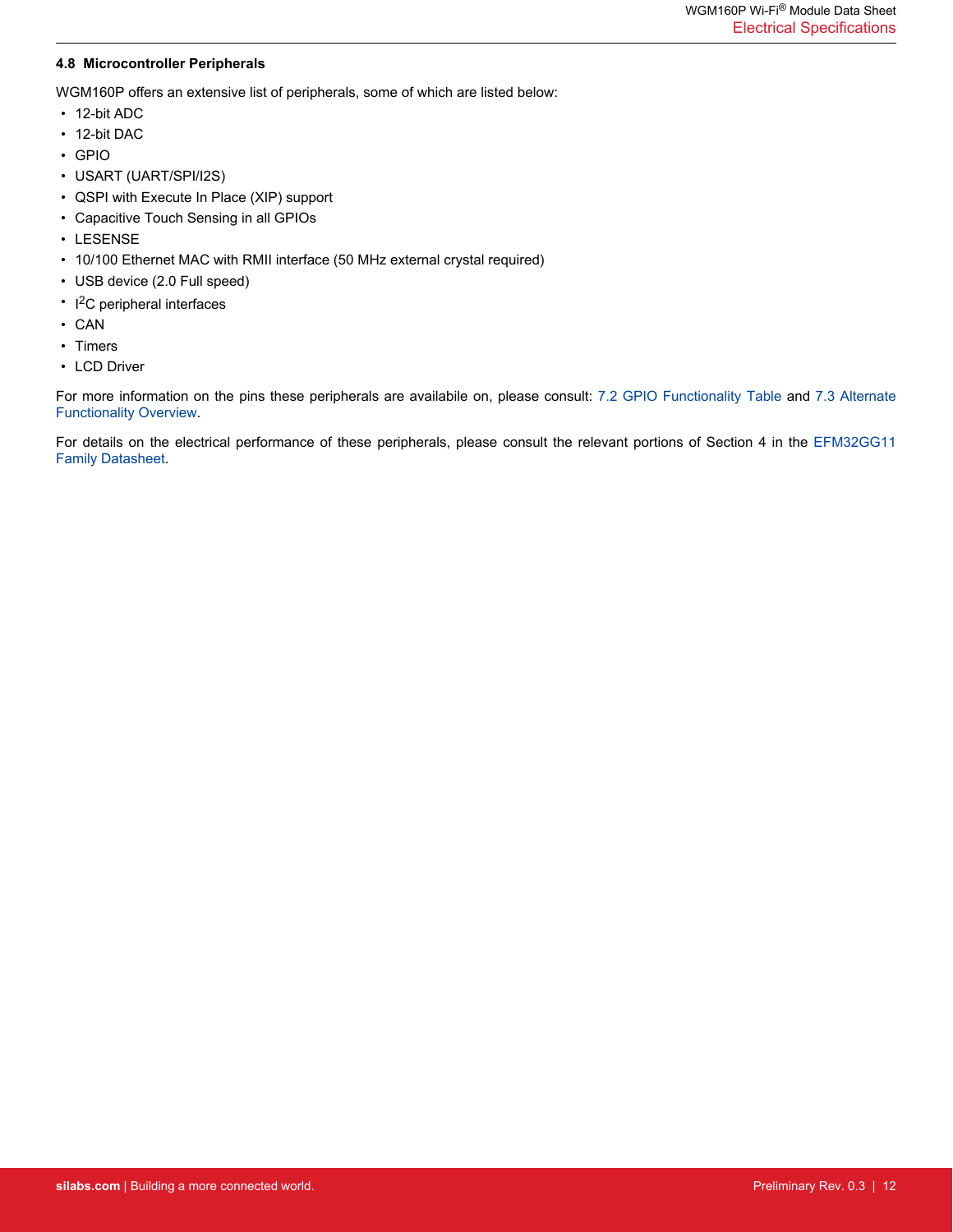#### <span id="page-11-0"></span>**4.8 Microcontroller Peripherals**

WGM160P offers an extensive list of peripherals, some of which are listed below:

- 12-bit ADC
- 12-bit DAC
- GPIO
- USART (UART/SPI/I2S)
- QSPI with Execute In Place (XIP) support
- Capacitive Touch Sensing in all GPIOs
- LESENSE
- 10/100 Ethernet MAC with RMII interface (50 MHz external crystal required)
- USB device (2.0 Full speed)
- I<sup>2</sup>C peripheral interfaces
- CAN
- Timers
- LCD Driver

For more information on the pins these peripherals are availabile on, please consult: [7.2 GPIO Functionality Table](#page-16-0) and [7.3 Alternate](#page-20-0) [Functionality Overview.](#page-20-0)

For details on the electrical performance of these peripherals, please consult the relevant portions of Section 4 in the [EFM32GG11](https://www.silabs.com/documents/public/data-sheets/efm32gg11-datasheet.pdf) [Family Datasheet](https://www.silabs.com/documents/public/data-sheets/efm32gg11-datasheet.pdf).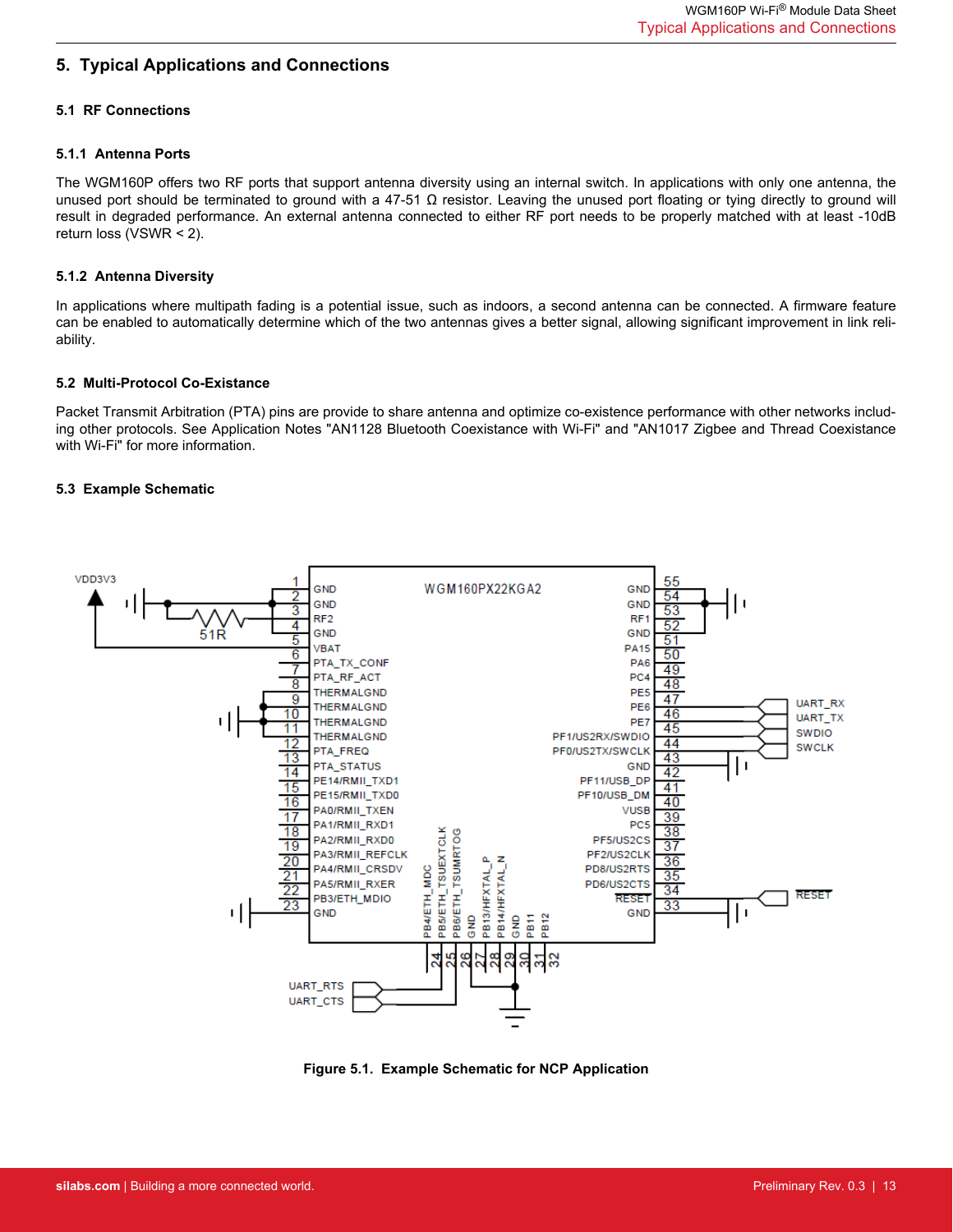# <span id="page-12-0"></span>**5. Typical Applications and Connections**

#### **5.1 RF Connections**

#### **5.1.1 Antenna Ports**

The WGM160P offers two RF ports that support antenna diversity using an internal switch. In applications with only one antenna, the unused port should be terminated to ground with a 47-51  $\Omega$  resistor. Leaving the unused port floating or tying directly to ground will result in degraded performance. An external antenna connected to either RF port needs to be properly matched with at least -10dB return loss (VSWR < 2).

#### **5.1.2 Antenna Diversity**

In applications where multipath fading is a potential issue, such as indoors, a second antenna can be connected. A firmware feature can be enabled to automatically determine which of the two antennas gives a better signal, allowing significant improvement in link reliability.

#### **5.2 Multi-Protocol Co-Existance**

Packet Transmit Arbitration (PTA) pins are provide to share antenna and optimize co-existence performance with other networks including other protocols. See Application Notes "AN1128 Bluetooth Coexistance with Wi-Fi" and "AN1017 Zigbee and Thread Coexistance with Wi-Fi" for more information.

#### **5.3 Example Schematic**



**Figure 5.1. Example Schematic for NCP Application**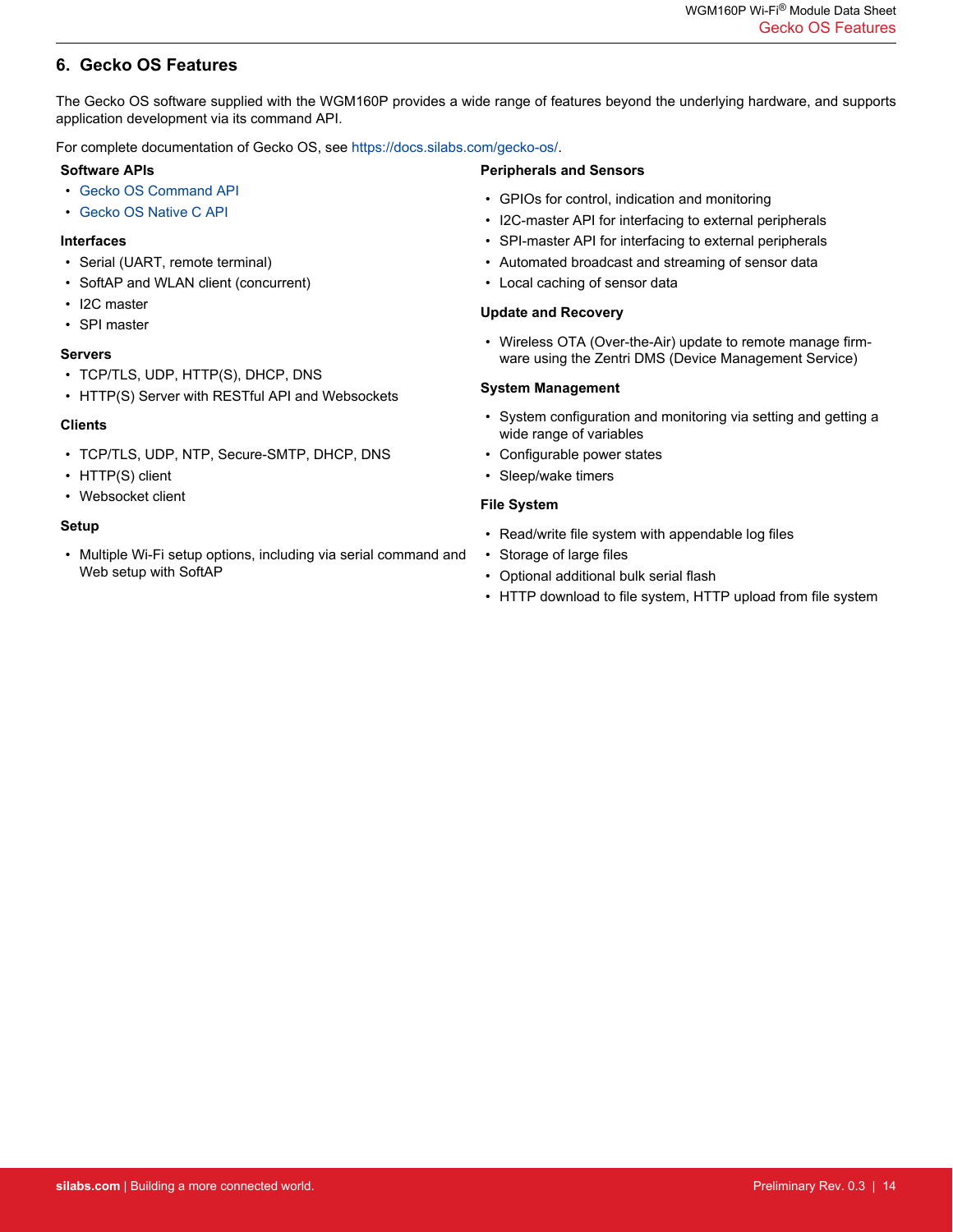# <span id="page-13-0"></span>**6. Gecko OS Features**

The Gecko OS software supplied with the WGM160P provides a wide range of features beyond the underlying hardware, and supports application development via its command API.

For complete documentation of Gecko OS, see [https://docs.silabs.com/gecko-os/.](https://docs.silabs.com/gecko-os/)

#### **Software APIs**

- [Gecko OS Command API](https://docs.silabs.com/gecko-os/4/standard/latest/cmd/commands)
- [Gecko OS Native C API](https://docs.silabs.com/gecko-os/4/standard/latest/sdk/modules)

#### **Interfaces**

- Serial (UART, remote terminal)
- SoftAP and WLAN client (concurrent)
- I2C master
- SPI master

#### **Servers**

- TCP/TLS, UDP, HTTP(S), DHCP, DNS
- HTTP(S) Server with RESTful API and Websockets

#### **Clients**

- TCP/TLS, UDP, NTP, Secure-SMTP, DHCP, DNS
- HTTP(S) client
- Websocket client

#### **Setup**

• Multiple Wi-Fi setup options, including via serial command and Web setup with SoftAP

# **Peripherals and Sensors**

- GPIOs for control, indication and monitoring
- I2C-master API for interfacing to external peripherals
- SPI-master API for interfacing to external peripherals
- Automated broadcast and streaming of sensor data
- Local caching of sensor data

#### **Update and Recovery**

• Wireless OTA (Over-the-Air) update to remote manage firmware using the Zentri DMS (Device Management Service)

#### **System Management**

- System configuration and monitoring via setting and getting a wide range of variables
- Configurable power states
- Sleep/wake timers

#### **File System**

- Read/write file system with appendable log files
- Storage of large files
- Optional additional bulk serial flash
- HTTP download to file system, HTTP upload from file system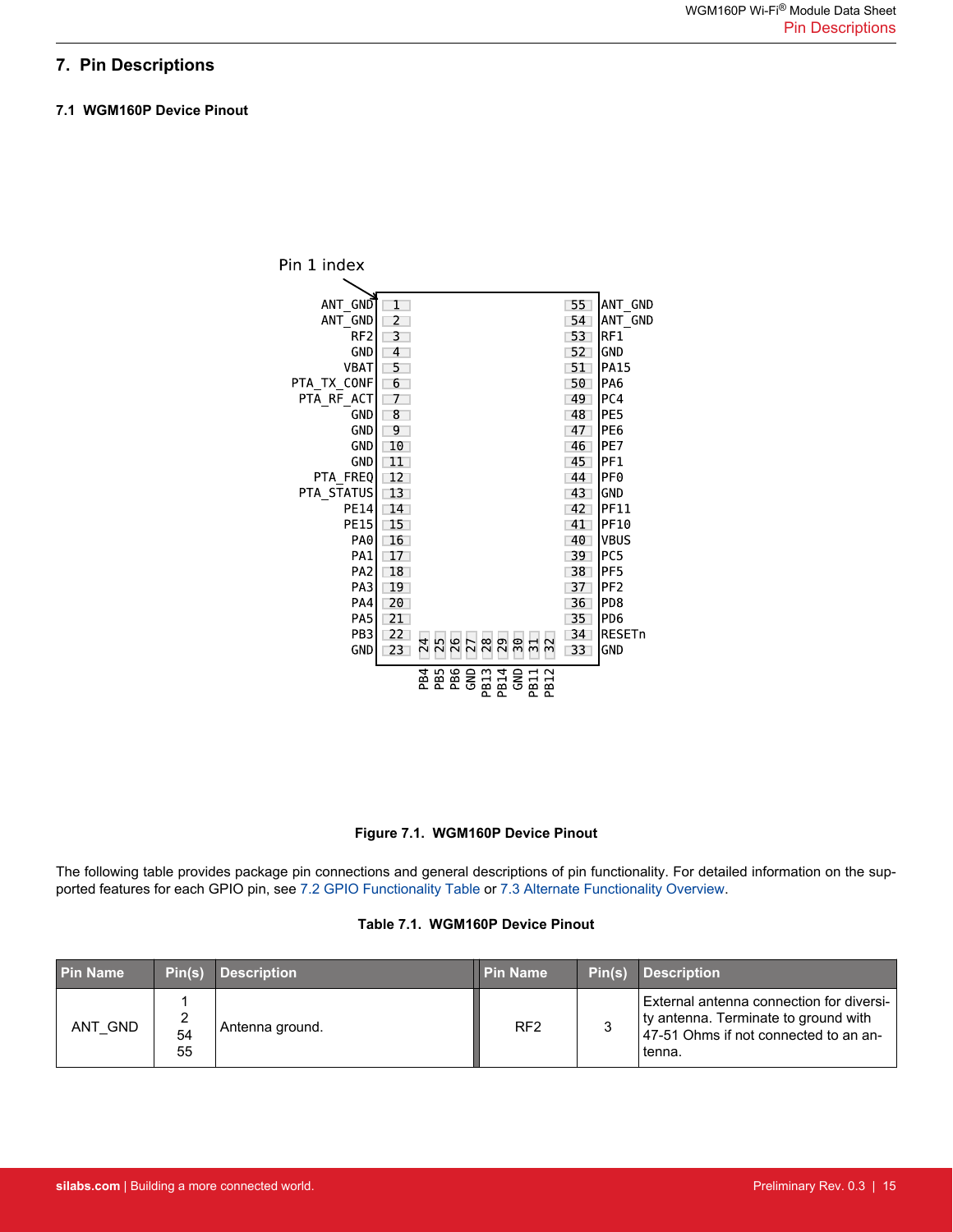# <span id="page-14-0"></span>**7. Pin Descriptions**

#### **7.1 WGM160P Device Pinout**



#### **Figure 7.1. WGM160P Device Pinout**

The following table provides package pin connections and general descriptions of pin functionality. For detailed information on the supported features for each GPIO pin, see [7.2 GPIO Functionality Table](#page-16-0) or [7.3 Alternate Functionality Overview.](#page-20-0)

#### **Table 7.1. WGM160P Device Pinout**

| l Pin Name | Pin(s)        | <b>Description</b> | <b>Pin Name</b> | Pin(s) | <b>Description</b>                                                                                                                  |
|------------|---------------|--------------------|-----------------|--------|-------------------------------------------------------------------------------------------------------------------------------------|
| ANT GND    | ∼<br>54<br>55 | Antenna ground.    | RF <sub>2</sub> |        | External antenna connection for diversi-<br>ty antenna. Terminate to ground with<br>47-51 Ohms if not connected to an an-<br>tenna. |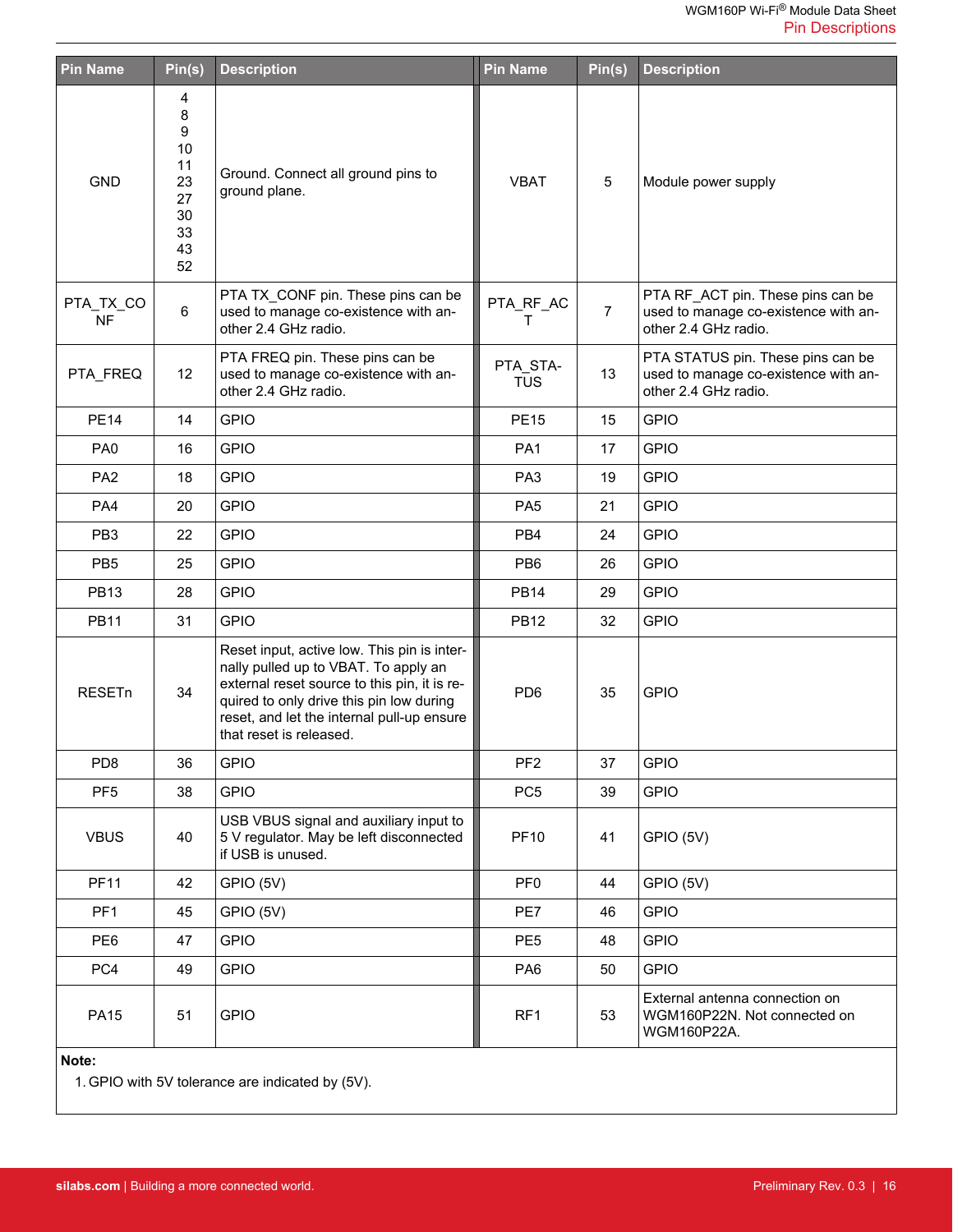| <b>Pin Name</b>        | Pin(s)                                                      | <b>Description</b>                                                                                                                                                                                                                                       | <b>Pin Name</b>        | Pin(s)         | <b>Description</b>                                                                                |
|------------------------|-------------------------------------------------------------|----------------------------------------------------------------------------------------------------------------------------------------------------------------------------------------------------------------------------------------------------------|------------------------|----------------|---------------------------------------------------------------------------------------------------|
| <b>GND</b>             | 4<br>8<br>9<br>10<br>11<br>23<br>27<br>30<br>33<br>43<br>52 | Ground. Connect all ground pins to<br>ground plane.                                                                                                                                                                                                      | <b>VBAT</b>            | 5              | Module power supply                                                                               |
| PTA_TX_CO<br><b>NF</b> | $\,6\,$                                                     | PTA TX_CONF pin. These pins can be<br>used to manage co-existence with an-<br>other 2.4 GHz radio.                                                                                                                                                       | PTA_RF_AC<br>т         | $\overline{7}$ | PTA RF_ACT pin. These pins can be<br>used to manage co-existence with an-<br>other 2.4 GHz radio. |
| PTA FREQ               | 12                                                          | PTA FREQ pin. These pins can be<br>used to manage co-existence with an-<br>other 2.4 GHz radio.                                                                                                                                                          | PTA_STA-<br><b>TUS</b> | 13             | PTA STATUS pin. These pins can be<br>used to manage co-existence with an-<br>other 2.4 GHz radio. |
| <b>PE14</b>            | 14                                                          | <b>GPIO</b>                                                                                                                                                                                                                                              | <b>PE15</b>            | 15             | <b>GPIO</b>                                                                                       |
| PA <sub>0</sub>        | 16                                                          | <b>GPIO</b>                                                                                                                                                                                                                                              | PA <sub>1</sub>        | 17             | <b>GPIO</b>                                                                                       |
| PA <sub>2</sub>        | 18                                                          | <b>GPIO</b>                                                                                                                                                                                                                                              | PA <sub>3</sub>        | 19             | <b>GPIO</b>                                                                                       |
| PA4                    | 20                                                          | <b>GPIO</b>                                                                                                                                                                                                                                              | PA <sub>5</sub>        | 21             | <b>GPIO</b>                                                                                       |
| PB <sub>3</sub>        | 22                                                          | <b>GPIO</b>                                                                                                                                                                                                                                              | PB4                    | 24             | <b>GPIO</b>                                                                                       |
| PB <sub>5</sub>        | 25                                                          | <b>GPIO</b>                                                                                                                                                                                                                                              | PB <sub>6</sub>        | 26             | <b>GPIO</b>                                                                                       |
| <b>PB13</b>            | 28                                                          | <b>GPIO</b>                                                                                                                                                                                                                                              | <b>PB14</b>            | 29             | <b>GPIO</b>                                                                                       |
| <b>PB11</b>            | 31                                                          | <b>GPIO</b>                                                                                                                                                                                                                                              | <b>PB12</b>            | 32             | <b>GPIO</b>                                                                                       |
| <b>RESETn</b>          | 34                                                          | Reset input, active low. This pin is inter-<br>nally pulled up to VBAT. To apply an<br>external reset source to this pin, it is re-<br>quired to only drive this pin low during<br>reset, and let the internal pull-up ensure<br>that reset is released. | PD <sub>6</sub>        | 35             | <b>GPIO</b>                                                                                       |
| PD <sub>8</sub>        | 36                                                          | <b>GPIO</b>                                                                                                                                                                                                                                              | PF <sub>2</sub>        | 37             | <b>GPIO</b>                                                                                       |
| PF <sub>5</sub>        | 38                                                          | <b>GPIO</b>                                                                                                                                                                                                                                              | PC <sub>5</sub>        | 39             | <b>GPIO</b>                                                                                       |
| <b>VBUS</b>            | 40                                                          | USB VBUS signal and auxiliary input to<br>5 V regulator. May be left disconnected<br>if USB is unused.                                                                                                                                                   | <b>PF10</b>            | 41             | GPIO (5V)                                                                                         |
| <b>PF11</b>            | 42                                                          | GPIO (5V)                                                                                                                                                                                                                                                | PF <sub>0</sub>        | 44             | GPIO (5V)                                                                                         |
| PF <sub>1</sub>        | 45                                                          | GPIO (5V)                                                                                                                                                                                                                                                | PE7                    | 46             | <b>GPIO</b>                                                                                       |
| PE <sub>6</sub>        | 47                                                          | <b>GPIO</b>                                                                                                                                                                                                                                              | PE <sub>5</sub>        | 48             | <b>GPIO</b>                                                                                       |
| PC4                    | 49                                                          | <b>GPIO</b>                                                                                                                                                                                                                                              | PA <sub>6</sub>        | 50             | <b>GPIO</b>                                                                                       |
| <b>PA15</b>            | 51                                                          | <b>GPIO</b>                                                                                                                                                                                                                                              | RF1                    | 53             | External antenna connection on<br>WGM160P22N. Not connected on<br>WGM160P22A.                     |

**Note:**

1. GPIO with 5V tolerance are indicated by (5V).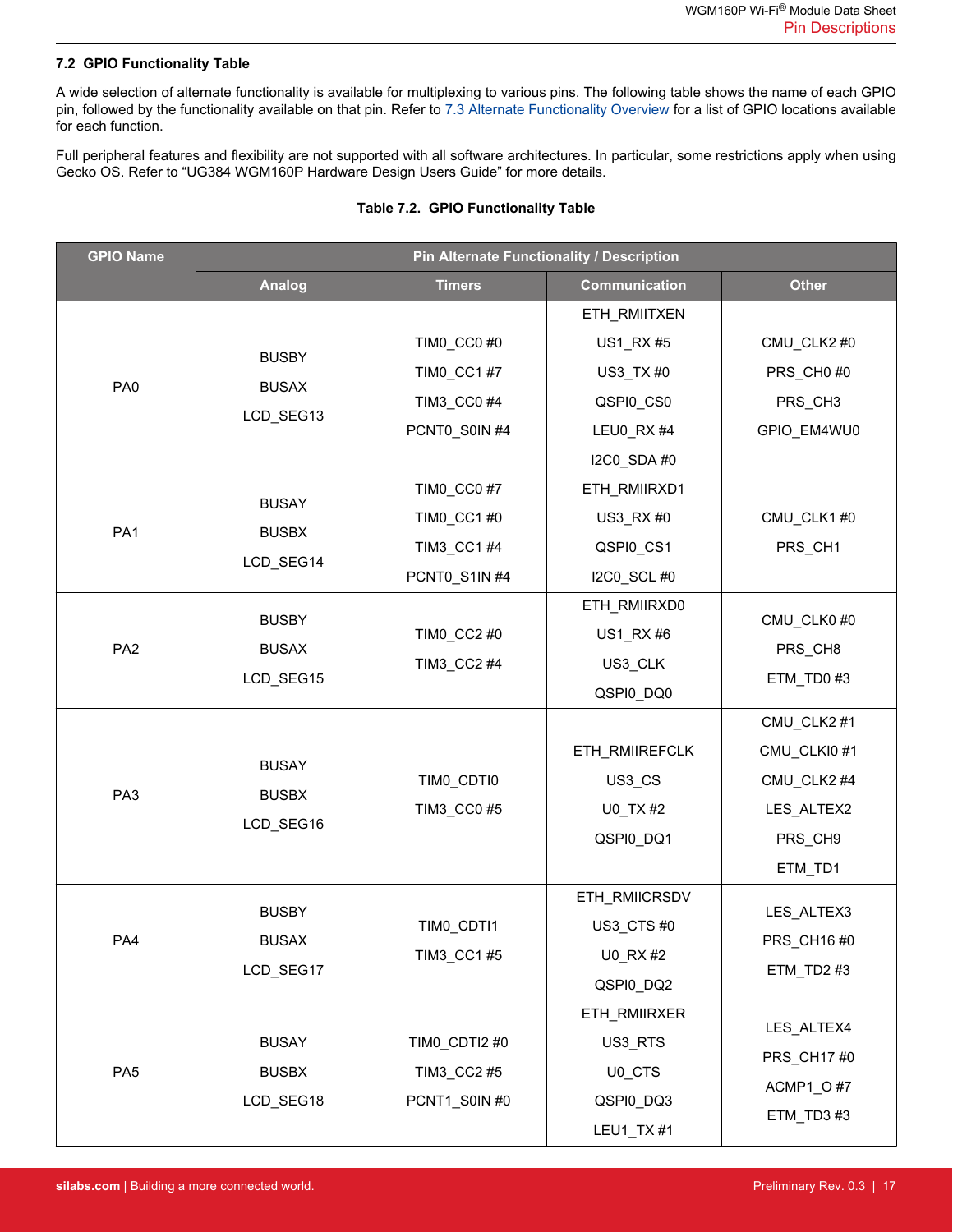#### <span id="page-16-0"></span>**7.2 GPIO Functionality Table**

A wide selection of alternate functionality is available for multiplexing to various pins. The following table shows the name of each GPIO pin, followed by the functionality available on that pin. Refer to [7.3 Alternate Functionality Overview](#page-20-0) for a list of GPIO locations available for each function.

Full peripheral features and flexibility are not supported with all software architectures. In particular, some restrictions apply when using Gecko OS. Refer to "UG384 WGM160P Hardware Design Users Guide" for more details.

|  | Table 7.2. GPIO Functionality Table |  |
|--|-------------------------------------|--|
|  |                                     |  |

| <b>GPIO Name</b> | Pin Alternate Functionality / Description |               |                      |                          |  |  |
|------------------|-------------------------------------------|---------------|----------------------|--------------------------|--|--|
|                  | <b>Analog</b>                             | <b>Timers</b> | <b>Communication</b> | <b>Other</b>             |  |  |
|                  |                                           |               | ETH_RMIITXEN         |                          |  |  |
|                  |                                           | TIMO_CC0 #0   | US1_RX #5            | CMU_CLK2 #0              |  |  |
| PA <sub>0</sub>  | <b>BUSBY</b><br><b>BUSAX</b>              | TIM0_CC1 #7   | US3_TX #0            | PRS_CH0#0                |  |  |
|                  |                                           | TIM3_CC0 #4   | QSPI0_CS0            | PRS CH3                  |  |  |
|                  | LCD_SEG13                                 | PCNT0_S0IN #4 | LEU0 RX #4           | GPIO_EM4WU0              |  |  |
|                  |                                           |               | I2C0_SDA #0          |                          |  |  |
|                  | <b>BUSAY</b>                              | TIM0_CC0 #7   | ETH_RMIIRXD1         |                          |  |  |
| PA <sub>1</sub>  | <b>BUSBX</b>                              | TIM0_CC1 #0   | US3_RX #0            | CMU_CLK1#0               |  |  |
|                  | LCD_SEG14                                 | TIM3_CC1 #4   | QSPI0_CS1            | PRS CH1                  |  |  |
|                  |                                           | PCNT0_S1IN #4 | I2C0_SCL #0          |                          |  |  |
|                  | <b>BUSBY</b>                              |               | ETH_RMIIRXD0         | CMU_CLK0 #0              |  |  |
| PA <sub>2</sub>  | <b>BUSAX</b><br>LCD SEG15                 | TIM0_CC2 #0   | US1_RX #6            | PRS CH8                  |  |  |
|                  |                                           | TIM3_CC2 #4   | US3_CLK              | ETM TD0#3                |  |  |
|                  |                                           |               | QSPI0_DQ0            |                          |  |  |
|                  | <b>BUSAY</b>                              |               |                      | CMU_CLK2 #1              |  |  |
|                  |                                           |               | ETH_RMIIREFCLK       | CMU_CLKI0#1              |  |  |
| PA3              | <b>BUSBX</b>                              | TIMO_CDTIO    | US3_CS               | CMU_CLK2 #4              |  |  |
|                  | LCD_SEG16                                 | TIM3_CC0 #5   | U0_TX #2             | LES_ALTEX2               |  |  |
|                  |                                           |               | QSPI0_DQ1            | PRS_CH9                  |  |  |
|                  |                                           |               |                      | ETM_TD1                  |  |  |
|                  | <b>BUSBY</b>                              |               | ETH_RMIICRSDV        | LES_ALTEX3               |  |  |
| PA4              | <b>BUSAX</b>                              | TIMO_CDTI1    | US3 CTS #0           | PRS_CH16 #0              |  |  |
|                  | LCD_SEG17                                 | TIM3_CC1 #5   | U0 RX #2             | ETM_TD2#3                |  |  |
|                  |                                           |               | QSPI0_DQ2            |                          |  |  |
|                  |                                           |               | ETH_RMIIRXER         | LES_ALTEX4               |  |  |
|                  | <b>BUSAY</b>                              | TIMO_CDTI2 #0 | US3_RTS              | PRS_CH17 #0<br>ACMP1_O#7 |  |  |
| PA <sub>5</sub>  | <b>BUSBX</b>                              | TIM3_CC2 #5   | U0_CTS               |                          |  |  |
|                  | LCD_SEG18                                 | PCNT1_S0IN #0 | QSPI0_DQ3            | ETM_TD3#3                |  |  |
|                  |                                           |               | LEU1_TX #1           |                          |  |  |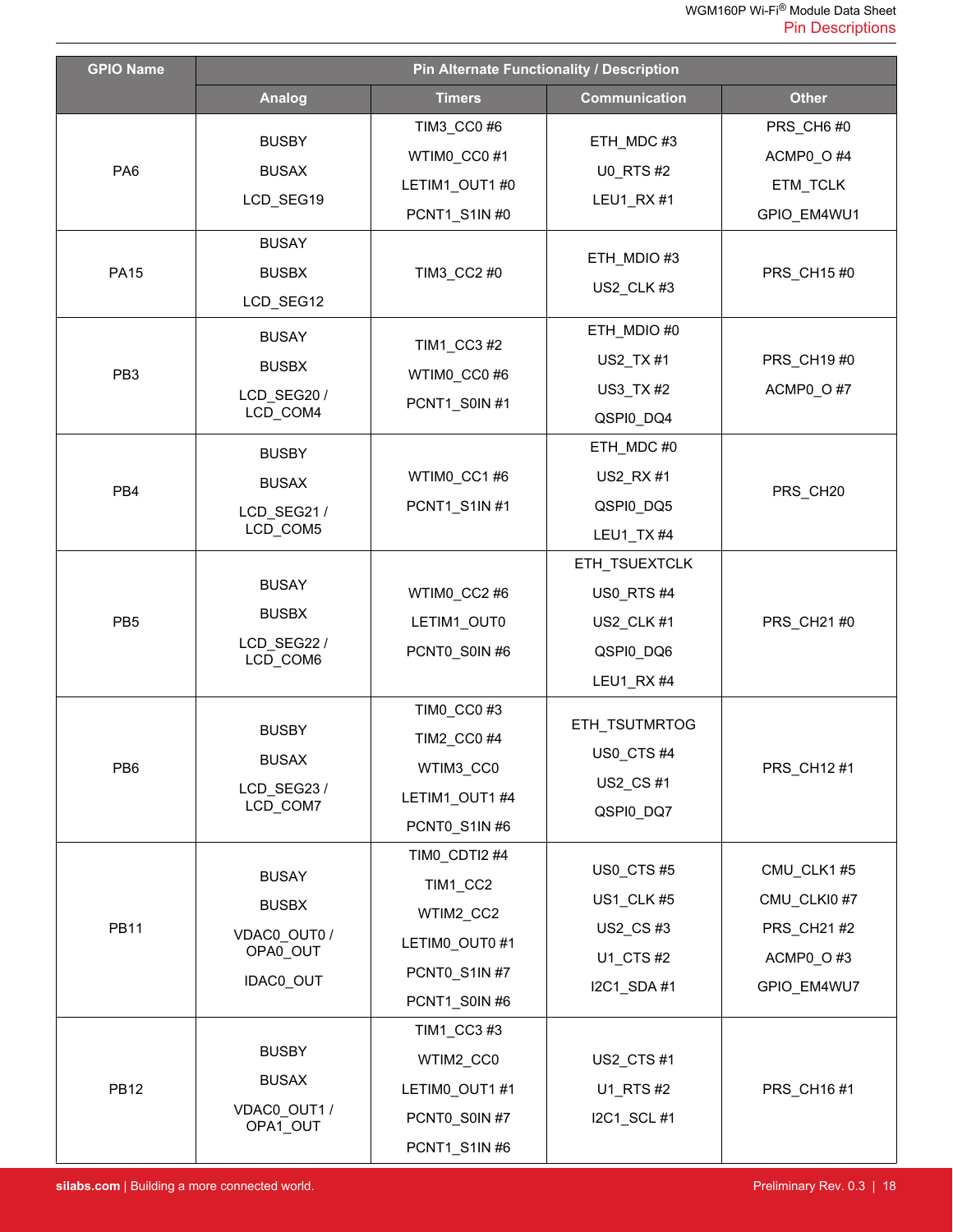| <b>GPIO Name</b> | <b>Pin Alternate Functionality / Description</b>                      |                                                                                            |                                                                            |                                                                      |  |  |
|------------------|-----------------------------------------------------------------------|--------------------------------------------------------------------------------------------|----------------------------------------------------------------------------|----------------------------------------------------------------------|--|--|
|                  | <b>Analog</b>                                                         | <b>Timers</b>                                                                              | <b>Communication</b>                                                       | <b>Other</b>                                                         |  |  |
| PA <sub>6</sub>  | <b>BUSBY</b><br><b>BUSAX</b><br>LCD_SEG19                             | TIM3_CC0 #6<br>WTIMO CCO#1<br>LETIM1_OUT1 #0<br>PCNT1_S1IN #0                              | ETH_MDC#3<br><b>U0_RTS#2</b><br>LEU1_RX#1                                  | PRS_CH6#0<br>ACMP0_O#4<br>ETM_TCLK<br>GPIO_EM4WU1                    |  |  |
| <b>PA15</b>      | <b>BUSAY</b><br><b>BUSBX</b><br>LCD_SEG12                             | TIM3_CC2 #0                                                                                | ETH_MDIO #3<br>US2_CLK#3                                                   | PRS CH15 #0                                                          |  |  |
| PB <sub>3</sub>  | <b>BUSAY</b><br><b>BUSBX</b><br>LCD SEG20/<br>LCD COM4                | TIM1_CC3 #2<br>WTIMO_CC0#6<br>PCNT1_S0IN #1                                                | ETH_MDIO #0<br>US2_TX #1<br>US3_TX #2<br>QSPI0_DQ4                         | PRS_CH19 #0<br>ACMP0_O#7                                             |  |  |
| PB4              | <b>BUSBY</b><br><b>BUSAX</b><br>LCD_SEG21/<br>LCD_COM5                | WTIM0_CC1#6<br>PCNT1_S1IN #1                                                               | ETH_MDC#0<br>US2_RX #1<br>QSPI0_DQ5<br>LEU1_TX #4                          | PRS_CH20                                                             |  |  |
| PB <sub>5</sub>  | <b>BUSAY</b><br><b>BUSBX</b><br>LCD_SEG22 /<br>LCD_COM6               | WTIM0_CC2 #6<br>LETIM1_OUT0<br>PCNT0_S0IN #6                                               | ETH_TSUEXTCLK<br><b>US0_RTS#4</b><br>US2_CLK #1<br>QSPI0_DQ6<br>LEU1_RX #4 | PRS_CH21 #0                                                          |  |  |
| PB6              | <b>BUSBY</b><br><b>BUSAX</b><br>LCD_SEG23/<br>LCD_COM7                | TIMO_CCO#3<br>TIM2_CC0 #4<br>WTIM3_CC0<br>LETIM1_OUT1 #4<br>PCNT0_S1IN #6                  | ETH_TSUTMRTOG<br>US0_CTS#4<br>US2_CS#1<br>QSPI0_DQ7                        | PRS_CH12 #1                                                          |  |  |
| <b>PB11</b>      | <b>BUSAY</b><br><b>BUSBX</b><br>VDAC0_OUT0 /<br>OPA0_OUT<br>IDAC0_OUT | TIM0_CDTI2 #4<br>TIM1_CC2<br>WTIM2_CC2<br>LETIMO_OUT0 #1<br>PCNT0_S1IN #7<br>PCNT1_S0IN #6 | US0_CTS#5<br>US1_CLK #5<br>US2_CS#3<br>U1_CTS #2<br>I2C1_SDA #1            | CMU CLK1#5<br>CMU_CLKI0#7<br>PRS_CH21 #2<br>ACMP0_O#3<br>GPIO_EM4WU7 |  |  |
| <b>PB12</b>      | <b>BUSBY</b><br><b>BUSAX</b><br>VDAC0_OUT1 /<br>OPA1_OUT              | TIM1_CC3 #3<br>WTIM2_CC0<br>LETIMO_OUT1 #1<br>PCNT0_S0IN #7<br>PCNT1_S1IN #6               | US2_CTS#1<br>U1_RTS #2<br>I2C1_SCL #1                                      | PRS_CH16#1                                                           |  |  |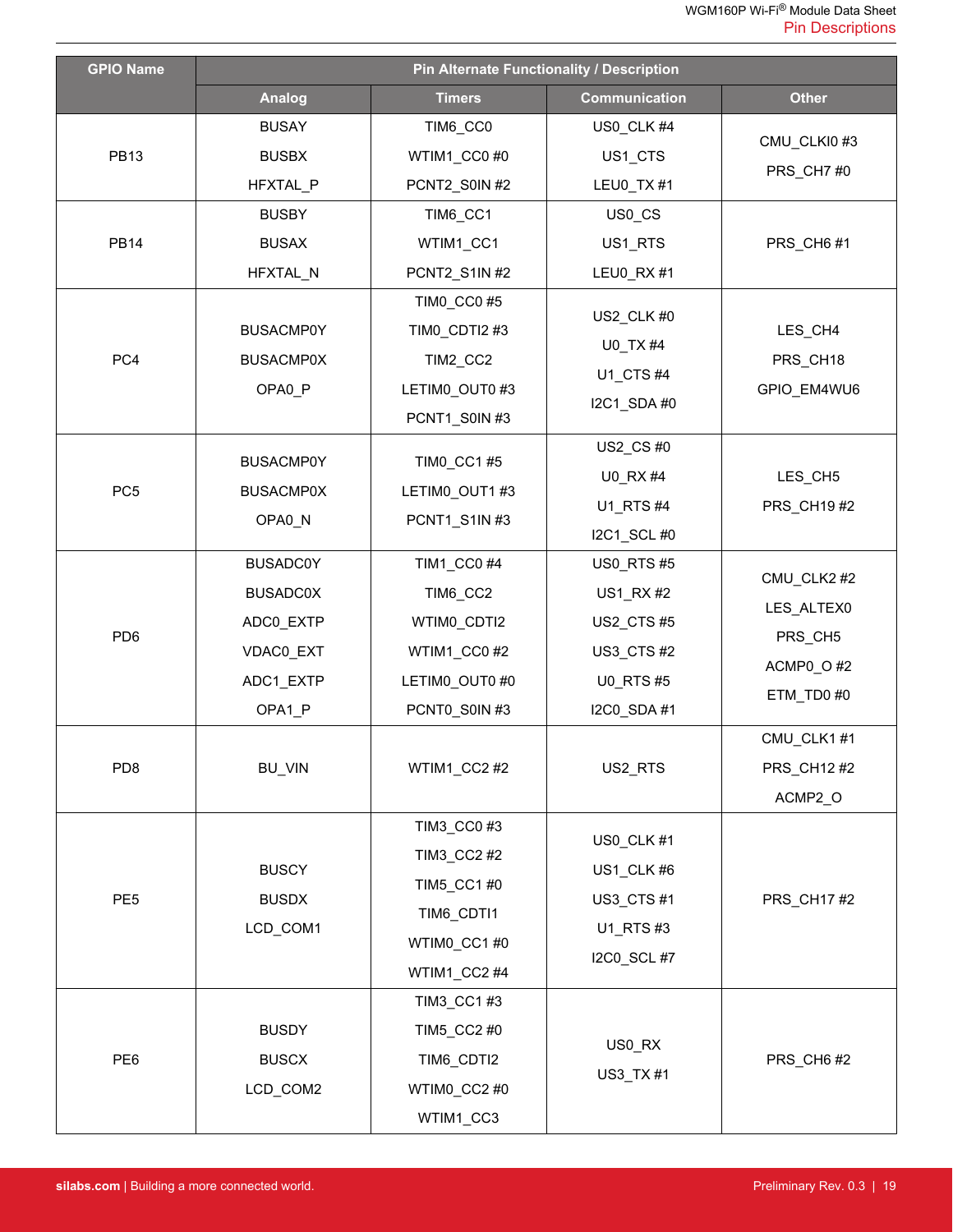| <b>GPIO Name</b> | Pin Alternate Functionality / Description                                           |                                                                                         |                                                                                                 |                                                                |  |  |
|------------------|-------------------------------------------------------------------------------------|-----------------------------------------------------------------------------------------|-------------------------------------------------------------------------------------------------|----------------------------------------------------------------|--|--|
|                  | <b>Analog</b>                                                                       | <b>Timers</b>                                                                           | <b>Communication</b>                                                                            | <b>Other</b>                                                   |  |  |
| <b>PB13</b>      | <b>BUSAY</b><br><b>BUSBX</b><br>HFXTAL_P                                            | TIM6_CC0<br>WTIM1 CC0 #0<br>PCNT2_S0IN #2                                               | US0_CLK #4<br>US1_CTS<br>LEU0_TX #1                                                             | CMU_CLKI0#3<br>PRS_CH7#0                                       |  |  |
| <b>PB14</b>      | <b>BUSBY</b><br><b>BUSAX</b><br>HFXTAL_N                                            | TIM6_CC1<br>WTIM1_CC1<br>PCNT2 S1IN #2<br>TIM0_CC0 #5                                   | US0_CS<br>US1 RTS<br>LEU0_RX #1                                                                 | PRS_CH6#1                                                      |  |  |
| PC4              | <b>BUSACMP0Y</b><br><b>BUSACMP0X</b><br>OPA0_P                                      | TIM0_CDTI2 #3<br>TIM2_CC2<br>LETIMO_OUT0 #3<br>PCNT1_S0IN#3                             | US2_CLK #0<br>U0_TX #4<br>U1_CTS #4<br>I2C1 SDA #0                                              | LES_CH4<br>PRS_CH18<br>GPIO_EM4WU6                             |  |  |
| PC <sub>5</sub>  | <b>BUSACMP0Y</b><br><b>BUSACMP0X</b><br>OPA0_N                                      | TIM0_CC1 #5<br>LETIMO_OUT1 #3<br>PCNT1_S1IN #3                                          | US2_CS #0<br>U0_RX #4<br>U1_RTS #4<br>I2C1_SCL #0                                               | LES_CH5<br>PRS_CH19#2                                          |  |  |
| PD <sub>6</sub>  | <b>BUSADC0Y</b><br><b>BUSADC0X</b><br>ADC0_EXTP<br>VDAC0_EXT<br>ADC1_EXTP<br>OPA1_P | TIM1_CC0 #4<br>TIM6_CC2<br>WTIMO_CDTI2<br>WTIM1_CC0#2<br>LETIMO_OUT0 #0<br>PCNT0_S0IN#3 | <b>US0_RTS#5</b><br>US1_RX#2<br><b>US2_CTS#5</b><br>US3_CTS#2<br><b>U0_RTS#5</b><br>I2C0_SDA #1 | CMU_CLK2 #2<br>LES_ALTEX0<br>PRS_CH5<br>ACMP0_O#2<br>ETM_TD0#0 |  |  |
| PD <sub>8</sub>  | <b>BU_VIN</b>                                                                       | WTIM1_CC2#2                                                                             | US2_RTS                                                                                         | CMU_CLK1#1<br>PRS_CH12#2<br>ACMP2_O                            |  |  |
| PE <sub>5</sub>  | <b>BUSCY</b><br><b>BUSDX</b><br>LCD_COM1                                            | TIM3_CC0 #3<br>TIM3_CC2 #2<br>TIM5_CC1 #0<br>TIM6_CDTI1<br>WTIM0_CC1#0<br>WTIM1_CC2#4   | US0_CLK #1<br>US1_CLK#6<br>US3_CTS#1<br>U1_RTS #3<br>I2C0_SCL #7                                | PRS_CH17#2                                                     |  |  |
| PE6              | <b>BUSDY</b><br><b>BUSCX</b><br>LCD_COM2                                            | TIM3_CC1#3<br>TIM5_CC2 #0<br>TIM6_CDTI2<br>WTIMO_CC2 #0<br>WTIM1_CC3                    | US0_RX<br>US3_TX #1                                                                             | PRS_CH6#2                                                      |  |  |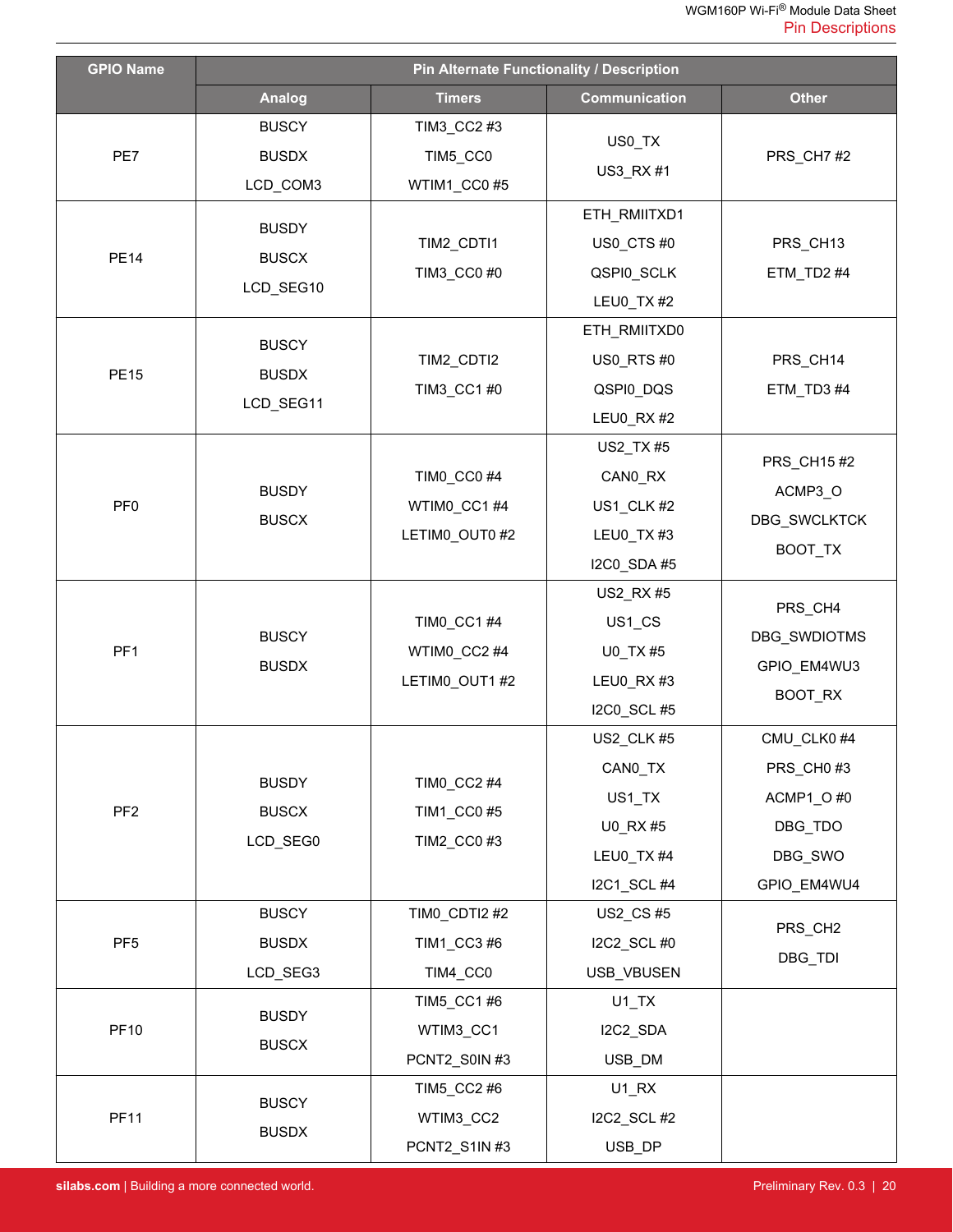| <b>GPIO Name</b> | Pin Alternate Functionality / Description |                                              |                                                                          |                                                                           |  |  |  |
|------------------|-------------------------------------------|----------------------------------------------|--------------------------------------------------------------------------|---------------------------------------------------------------------------|--|--|--|
|                  | <b>Analog</b>                             | <b>Timers</b>                                | <b>Communication</b>                                                     | <b>Other</b>                                                              |  |  |  |
| PE7              | <b>BUSCY</b><br><b>BUSDX</b><br>LCD_COM3  | TIM3_CC2 #3<br>TIM5_CC0<br>WTIM1_CC0#5       | US0_TX<br>US3_RX #1                                                      | PRS_CH7#2                                                                 |  |  |  |
| <b>PE14</b>      | <b>BUSDY</b><br><b>BUSCX</b><br>LCD_SEG10 | TIM2 CDTI1<br>TIM3_CC0 #0                    | ETH_RMIITXD1<br>US0_CTS#0<br>QSPI0_SCLK<br>LEU0_TX #2                    | PRS_CH13<br>ETM_TD2#4                                                     |  |  |  |
| <b>PE15</b>      | <b>BUSCY</b><br><b>BUSDX</b><br>LCD SEG11 | TIM2_CDTI2<br>TIM3_CC1 #0                    | ETH_RMIITXD0<br>US0 RTS #0<br>QSPI0_DQS<br>LEU0_RX#2                     | PRS_CH14<br>ETM TD3 #4                                                    |  |  |  |
| PF <sub>0</sub>  | <b>BUSDY</b><br><b>BUSCX</b>              | TIMO_CC0 #4<br>WTIM0_CC1#4<br>LETIMO_OUT0 #2 | US2_TX #5<br>CANO_RX<br>US1_CLK #2<br>LEU0_TX#3<br>I2C0_SDA #5           | PRS_CH15#2<br>ACMP3_O<br>DBG_SWCLKTCK<br>BOOT_TX                          |  |  |  |
| PF <sub>1</sub>  | <b>BUSCY</b><br><b>BUSDX</b>              | TIM0_CC1 #4<br>WTIM0_CC2#4<br>LETIMO_OUT1 #2 | US2_RX #5<br>US1_CS<br>U0_TX #5<br>LEU0_RX#3<br>I2C0_SCL #5              | PRS_CH4<br>DBG_SWDIOTMS<br>GPIO_EM4WU3<br>BOOT_RX                         |  |  |  |
| PF <sub>2</sub>  | <b>BUSDY</b><br><b>BUSCX</b><br>LCD_SEG0  | TIM0_CC2 #4<br>TIM1_CC0 #5<br>TIM2_CC0 #3    | US2_CLK #5<br>CANO_TX<br>US1_TX<br>U0_RX #5<br>LEU0_TX #4<br>I2C1_SCL #4 | CMU_CLK0#4<br>PRS_CH0#3<br>ACMP1_O#0<br>DBG_TDO<br>DBG_SWO<br>GPIO_EM4WU4 |  |  |  |
| PF <sub>5</sub>  | <b>BUSCY</b><br><b>BUSDX</b><br>LCD_SEG3  | TIM0_CDTI2 #2<br>TIM1_CC3 #6<br>TIM4_CC0     | US2_CS #5<br>I2C2_SCL #0<br>USB_VBUSEN                                   | PRS_CH <sub>2</sub><br>DBG_TDI                                            |  |  |  |
| <b>PF10</b>      | <b>BUSDY</b><br><b>BUSCX</b>              | TIM5_CC1 #6<br>WTIM3_CC1<br>PCNT2_S0IN #3    | $U1$ <sub>_</sub> TX<br>I2C2_SDA<br>USB_DM                               |                                                                           |  |  |  |
| <b>PF11</b>      | <b>BUSCY</b><br><b>BUSDX</b>              | TIM5_CC2 #6<br>WTIM3_CC2<br>PCNT2_S1IN #3    | $U1_RX$<br>I2C2_SCL #2<br>USB_DP                                         |                                                                           |  |  |  |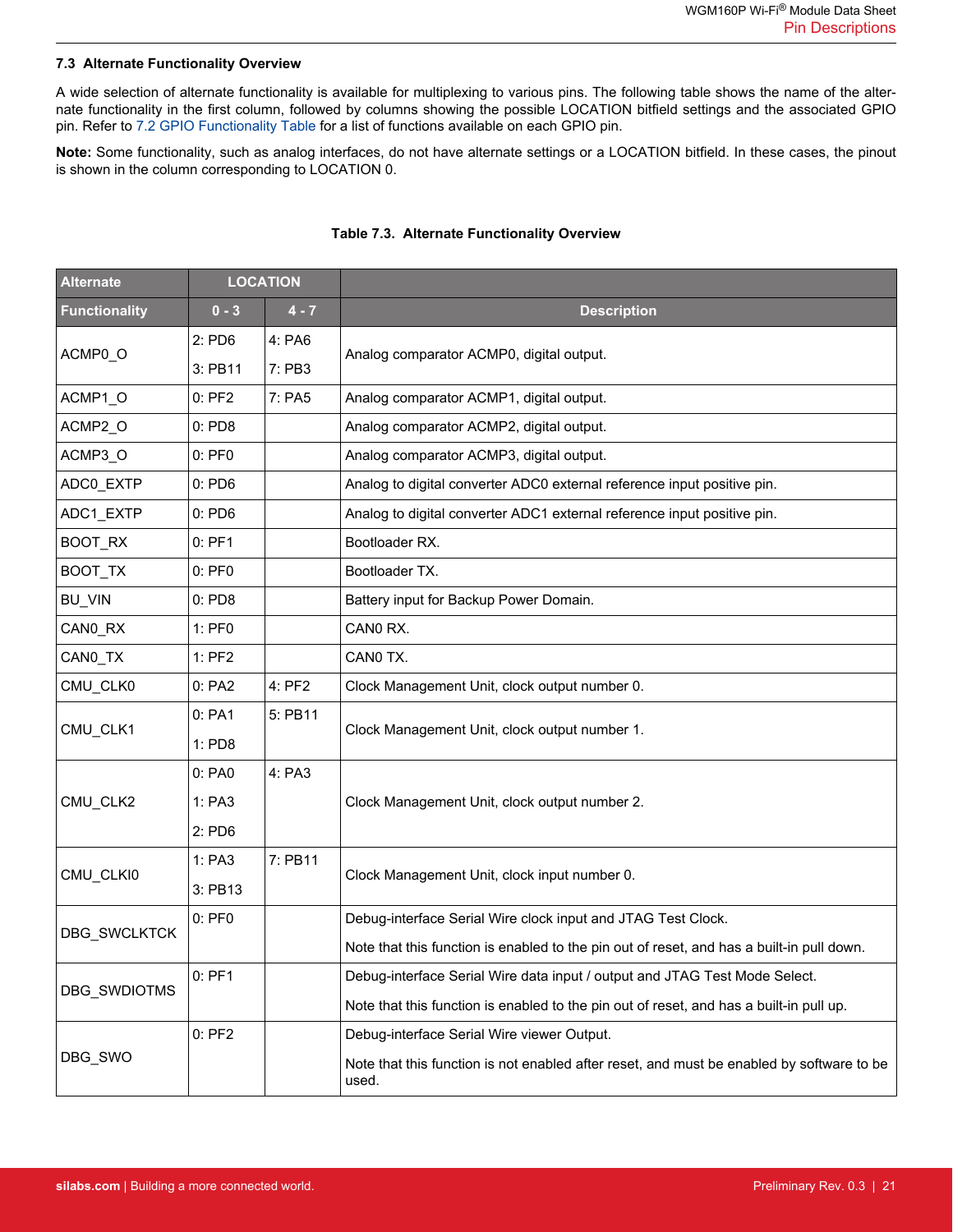#### <span id="page-20-0"></span>**7.3 Alternate Functionality Overview**

A wide selection of alternate functionality is available for multiplexing to various pins. The following table shows the name of the alternate functionality in the first column, followed by columns showing the possible LOCATION bitfield settings and the associated GPIO pin. Refer to [7.2 GPIO Functionality Table](#page-16-0) for a list of functions available on each GPIO pin.

**Note:** Some functionality, such as analog interfaces, do not have alternate settings or a LOCATION bitfield. In these cases, the pinout is shown in the column corresponding to LOCATION 0.

| <b>Alternate</b>     | <b>LOCATION</b> |         |                                                                                                    |
|----------------------|-----------------|---------|----------------------------------------------------------------------------------------------------|
| <b>Functionality</b> | $0 - 3$         | $4 - 7$ | <b>Description</b>                                                                                 |
|                      | $2:$ PD6        | 4: PA6  |                                                                                                    |
| ACMP0_O              | 3: PB11         | 7: PB3  | Analog comparator ACMP0, digital output.                                                           |
| ACMP1_O              | $0:$ PF2        | 7: PA5  | Analog comparator ACMP1, digital output.                                                           |
| ACMP2_O              | $0:$ PD8        |         | Analog comparator ACMP2, digital output.                                                           |
| ACMP3 O              | $0:$ PF $0$     |         | Analog comparator ACMP3, digital output.                                                           |
| ADC0_EXTP            | $0:$ PD6        |         | Analog to digital converter ADC0 external reference input positive pin.                            |
| ADC1_EXTP            | $0:$ PD6        |         | Analog to digital converter ADC1 external reference input positive pin.                            |
| BOOT_RX              | $0:$ PF1        |         | Bootloader RX.                                                                                     |
| BOOT_TX              | $0:$ PF $0$     |         | Bootloader TX.                                                                                     |
| BU_VIN               | 0: PDS          |         | Battery input for Backup Power Domain.                                                             |
| CANO_RX              | 1: PF0          |         | CANO RX.                                                                                           |
| CAN0 TX              | $1:$ PF2        |         | CANO TX.                                                                                           |
| CMU_CLK0             | 0: PA2          | 4: PF2  | Clock Management Unit, clock output number 0.                                                      |
|                      | 0: PA1          | 5: PB11 |                                                                                                    |
| CMU_CLK1             | 1: PD8          |         | Clock Management Unit, clock output number 1.                                                      |
|                      | 0: PA0          | 4: PA3  |                                                                                                    |
| CMU_CLK2             | 1: PA3          |         | Clock Management Unit, clock output number 2.                                                      |
|                      | $2:$ PD6        |         |                                                                                                    |
|                      | 1: PA3          | 7: PB11 |                                                                                                    |
| CMU_CLKI0            | 3: PB13         |         | Clock Management Unit, clock input number 0.                                                       |
|                      | $0:$ PF $0$     |         | Debug-interface Serial Wire clock input and JTAG Test Clock.                                       |
| <b>DBG SWCLKTCK</b>  |                 |         | Note that this function is enabled to the pin out of reset, and has a built-in pull down.          |
|                      | $0:$ PF1        |         | Debug-interface Serial Wire data input / output and JTAG Test Mode Select.                         |
| DBG_SWDIOTMS         |                 |         | Note that this function is enabled to the pin out of reset, and has a built-in pull up.            |
|                      | $0:$ PF2        |         | Debug-interface Serial Wire viewer Output.                                                         |
| DBG_SWO              |                 |         | Note that this function is not enabled after reset, and must be enabled by software to be<br>used. |

#### **Table 7.3. Alternate Functionality Overview**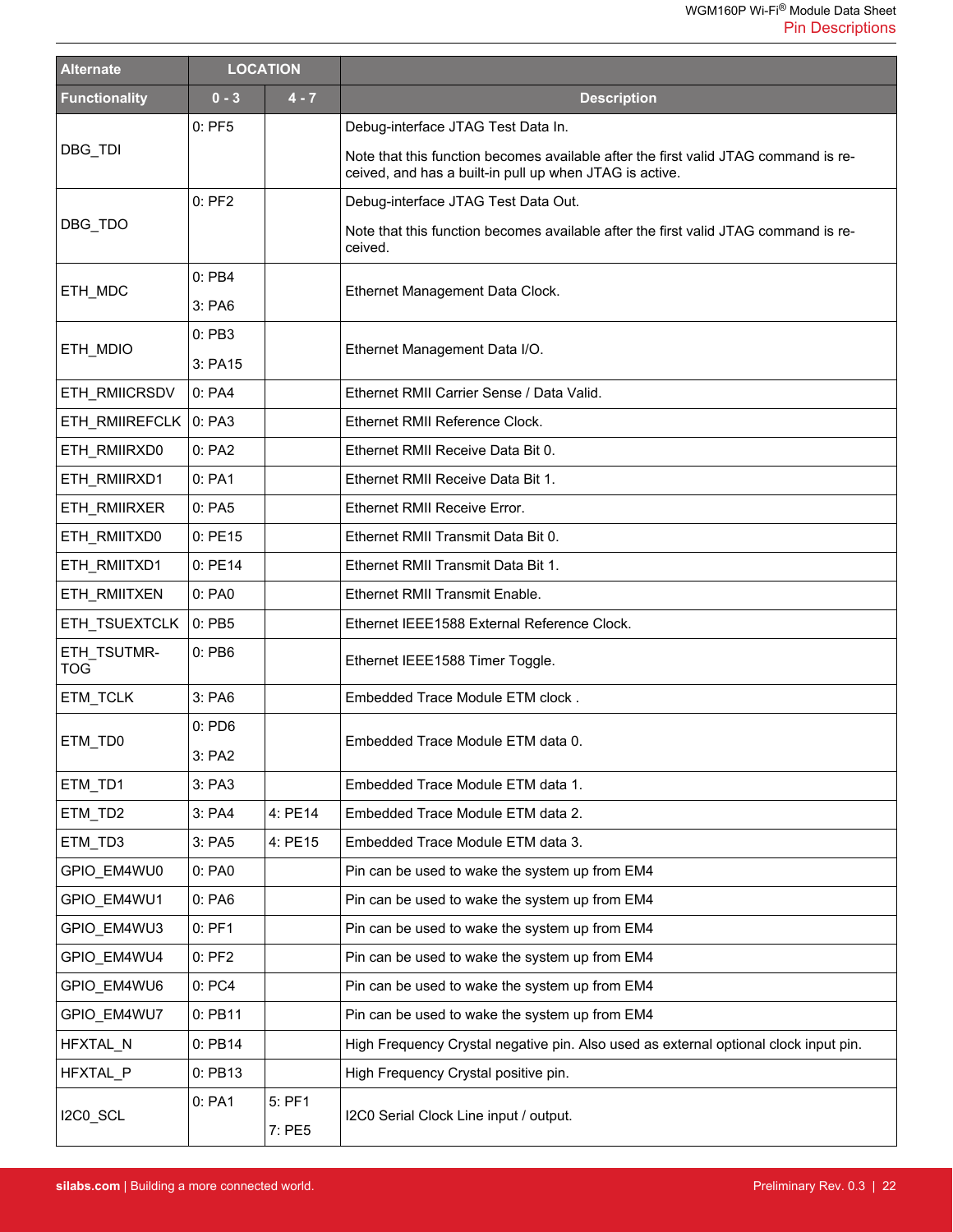| <b>Alternate</b>          | <b>LOCATION</b> |                  |                                                                                                                                                |
|---------------------------|-----------------|------------------|------------------------------------------------------------------------------------------------------------------------------------------------|
| <b>Functionality</b>      | $0 - 3$         | $4 - 7$          | <b>Description</b>                                                                                                                             |
|                           | $0:$ PF5        |                  | Debug-interface JTAG Test Data In.                                                                                                             |
| DBG_TDI                   |                 |                  | Note that this function becomes available after the first valid JTAG command is re-<br>ceived, and has a built-in pull up when JTAG is active. |
|                           | $0:$ PF2        |                  | Debug-interface JTAG Test Data Out.                                                                                                            |
| DBG_TDO                   |                 |                  | Note that this function becomes available after the first valid JTAG command is re-<br>ceived.                                                 |
|                           | $0:$ PB4        |                  |                                                                                                                                                |
| ETH_MDC                   | 3: PA6          |                  | Ethernet Management Data Clock.                                                                                                                |
|                           | 0: PB3          |                  |                                                                                                                                                |
| ETH_MDIO                  | 3: PA15         |                  | Ethernet Management Data I/O.                                                                                                                  |
| ETH_RMIICRSDV             | 0:PA4           |                  | Ethernet RMII Carrier Sense / Data Valid.                                                                                                      |
| ETH RMIIREFCLK            | 0: PA3          |                  | Ethernet RMII Reference Clock.                                                                                                                 |
| ETH_RMIIRXD0              | 0: PA2          |                  | Ethernet RMII Receive Data Bit 0.                                                                                                              |
| ETH_RMIIRXD1              | 0: PA1          |                  | Ethernet RMII Receive Data Bit 1.                                                                                                              |
| ETH RMIIRXER              | 0: PA5          |                  | Ethernet RMII Receive Error.                                                                                                                   |
| ETH_RMIITXD0              | 0:PE15          |                  | Ethernet RMII Transmit Data Bit 0.                                                                                                             |
| ETH_RMIITXD1              | 0: PE14         |                  | Ethernet RMII Transmit Data Bit 1.                                                                                                             |
| ETH_RMIITXEN              | 0: PA0          |                  | Ethernet RMII Transmit Enable.                                                                                                                 |
| ETH_TSUEXTCLK             | 0: PB5          |                  | Ethernet IEEE1588 External Reference Clock.                                                                                                    |
| ETH_TSUTMR-<br><b>TOG</b> | 0: PB6          |                  | Ethernet IEEE1588 Timer Toggle.                                                                                                                |
| ETM_TCLK                  | 3: PA6          |                  | Embedded Trace Module ETM clock.                                                                                                               |
|                           | $0:$ PD6        |                  | Embedded Trace Module ETM data 0.                                                                                                              |
| ETM TD0                   | 3: PA2          |                  |                                                                                                                                                |
| ETM_TD1                   | 3: PA3          |                  | Embedded Trace Module ETM data 1.                                                                                                              |
| ETM_TD2                   | 3: PA4          | 4: PE14          | Embedded Trace Module ETM data 2.                                                                                                              |
| ETM TD3                   | 3: PA5          | 4: PE15          | Embedded Trace Module ETM data 3.                                                                                                              |
| GPIO EM4WU0               | 0: PA0          |                  | Pin can be used to wake the system up from EM4                                                                                                 |
| GPIO_EM4WU1               | 0: PA6          |                  | Pin can be used to wake the system up from EM4                                                                                                 |
| GPIO EM4WU3               | $0:$ PF1        |                  | Pin can be used to wake the system up from EM4                                                                                                 |
| GPIO_EM4WU4               | $0:$ PF2        |                  | Pin can be used to wake the system up from EM4                                                                                                 |
| GPIO_EM4WU6               | 0: PC4          |                  | Pin can be used to wake the system up from EM4                                                                                                 |
| GPIO_EM4WU7               | 0: PB11         |                  | Pin can be used to wake the system up from EM4                                                                                                 |
| HFXTAL_N                  | 0: PB14         |                  | High Frequency Crystal negative pin. Also used as external optional clock input pin.                                                           |
| HFXTAL P                  | 0: PB13         |                  | High Frequency Crystal positive pin.                                                                                                           |
| I2C0_SCL                  | 0: PA1          | 5: PF1<br>7: PE5 | I2C0 Serial Clock Line input / output.                                                                                                         |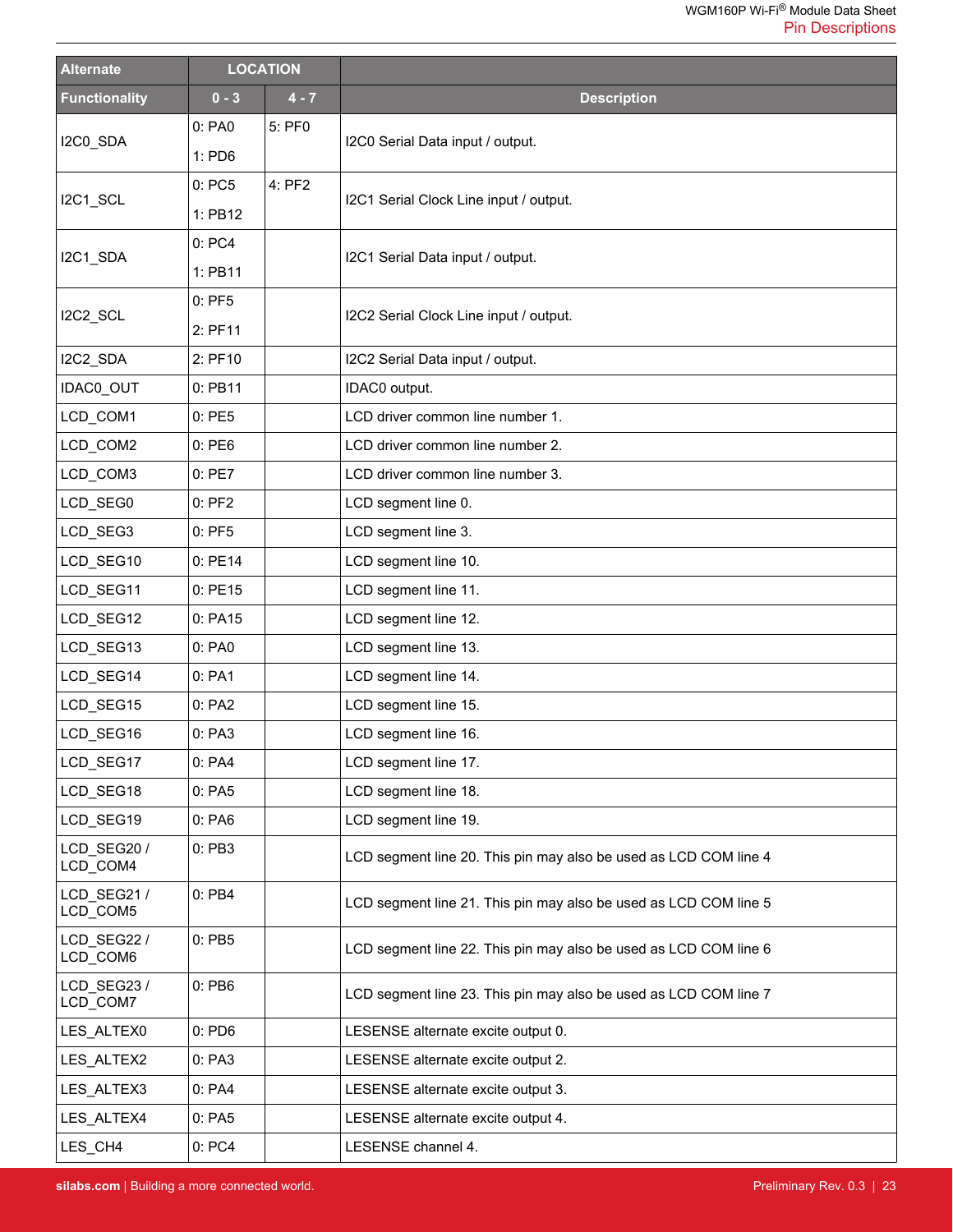| <b>Alternate</b>        | <b>LOCATION</b> |         |                                                                  |
|-------------------------|-----------------|---------|------------------------------------------------------------------|
| <b>Functionality</b>    | $0 - 3$         | $4 - 7$ | <b>Description</b>                                               |
| I2C0_SDA                | 0: PA0          | 5: PF0  | I2C0 Serial Data input / output.                                 |
|                         | 1: PD6          |         |                                                                  |
| I2C1_SCL                | 0:PC5           | 4: PF2  | I2C1 Serial Clock Line input / output.                           |
|                         | 1: PB12         |         |                                                                  |
| I2C1_SDA                | 0: PC4          |         | I2C1 Serial Data input / output.                                 |
|                         | 1: PB11         |         |                                                                  |
| I2C2_SCL                | $0:$ PF5        |         | I2C2 Serial Clock Line input / output.                           |
|                         | 2: PF11         |         |                                                                  |
| I2C2_SDA                | 2: PF10         |         | I2C2 Serial Data input / output.                                 |
| IDAC0_OUT               | 0: PB11         |         | IDAC0 output.                                                    |
| LCD_COM1                | 0:PE5           |         | LCD driver common line number 1.                                 |
| LCD_COM2                | 0:PE6           |         | LCD driver common line number 2.                                 |
| LCD_COM3                | 0:PE7           |         | LCD driver common line number 3.                                 |
| LCD_SEG0                | $0:$ PF2        |         | LCD segment line 0.                                              |
| LCD_SEG3                | $0:$ PF5        |         | LCD segment line 3.                                              |
| LCD_SEG10               | 0: PE14         |         | LCD segment line 10.                                             |
| LCD_SEG11               | 0: PE15         |         | LCD segment line 11.                                             |
| LCD_SEG12               | 0: PA15         |         | LCD segment line 12.                                             |
| LCD_SEG13               | 0: PA0          |         | LCD segment line 13.                                             |
| LCD_SEG14               | 0: PA1          |         | LCD segment line 14.                                             |
| LCD_SEG15               | 0: PA2          |         | LCD segment line 15.                                             |
| LCD SEG16               | 0: PA3          |         | LCD segment line 16.                                             |
| LCD_SEG17               | 0: PA4          |         | LCD segment line 17.                                             |
| LCD SEG18               | 0: PA5          |         | LCD segment line 18.                                             |
| LCD_SEG19               | 0:PA6           |         | LCD segment line 19.                                             |
| LCD SEG20/<br>LCD_COM4  | 0:PB3           |         | LCD segment line 20. This pin may also be used as LCD COM line 4 |
| LCD SEG21/<br>LCD_COM5  | 0: PB4          |         | LCD segment line 21. This pin may also be used as LCD COM line 5 |
| LCD SEG22 /<br>LCD_COM6 | $0:$ PB5        |         | LCD segment line 22. This pin may also be used as LCD COM line 6 |
| LCD SEG23/<br>LCD_COM7  | $0:$ PB6        |         | LCD segment line 23. This pin may also be used as LCD COM line 7 |
| LES_ALTEX0              | $0:$ PD6        |         | LESENSE alternate excite output 0.                               |
| LES_ALTEX2              | 0: PA3          |         | LESENSE alternate excite output 2.                               |
| LES_ALTEX3              | 0: PA4          |         | LESENSE alternate excite output 3.                               |
| LES_ALTEX4              | 0: PA5          |         | LESENSE alternate excite output 4.                               |
| LES_CH4                 | 0: PC4          |         | LESENSE channel 4.                                               |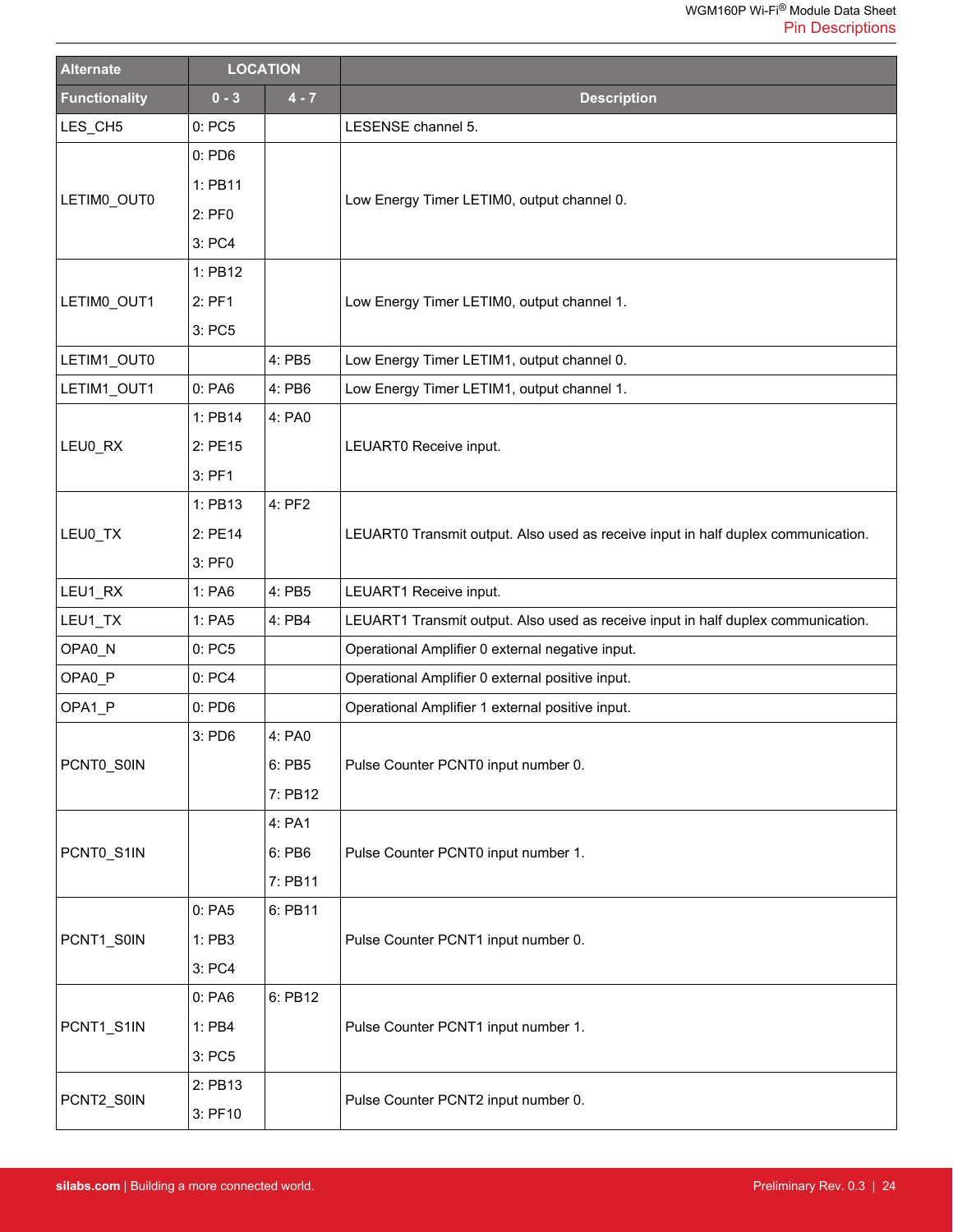| <b>Alternate</b>     |          | <b>LOCATION</b> |                                                                                   |  |
|----------------------|----------|-----------------|-----------------------------------------------------------------------------------|--|
| <b>Functionality</b> | $0 - 3$  | $4 - 7$         | <b>Description</b>                                                                |  |
| LES_CH5              | 0:PC5    |                 | LESENSE channel 5.                                                                |  |
|                      | $0:$ PD6 |                 |                                                                                   |  |
|                      | 1: PB11  |                 |                                                                                   |  |
| LETIMO_OUT0          | 2: PF0   |                 | Low Energy Timer LETIM0, output channel 0.                                        |  |
|                      | 3: PC4   |                 |                                                                                   |  |
|                      | 1: PB12  |                 |                                                                                   |  |
| LETIM0_OUT1          | 2: PF1   |                 | Low Energy Timer LETIM0, output channel 1.                                        |  |
|                      | 3: PC5   |                 |                                                                                   |  |
| LETIM1_OUT0          |          | 4: PB5          | Low Energy Timer LETIM1, output channel 0.                                        |  |
| LETIM1_OUT1          | 0: PA6   | 4: PB6          | Low Energy Timer LETIM1, output channel 1.                                        |  |
|                      | 1: PB14  | 4: PA0          |                                                                                   |  |
| LEU0_RX              | 2: PE15  |                 | LEUART0 Receive input.                                                            |  |
|                      | $3:$ PF1 |                 |                                                                                   |  |
|                      | 1: PB13  | 4: PF2          |                                                                                   |  |
| LEU0_TX              | 2: PE14  |                 | LEUART0 Transmit output. Also used as receive input in half duplex communication. |  |
|                      | 3: PF0   |                 |                                                                                   |  |
| LEU1_RX              | 1: PA6   | 4: PB5          | LEUART1 Receive input.                                                            |  |
| LEU1_TX              | 1: PA5   | 4: PB4          | LEUART1 Transmit output. Also used as receive input in half duplex communication. |  |
| OPA0_N               | 0:PC5    |                 | Operational Amplifier 0 external negative input.                                  |  |
| OPA0 P               | 0: PC4   |                 | Operational Amplifier 0 external positive input.                                  |  |
| OPA1_P               | $0:$ PD6 |                 | Operational Amplifier 1 external positive input.                                  |  |
|                      | 3: PD6   | 4: PA0          |                                                                                   |  |
| PCNT0_S0IN           |          | 6: PB5          | Pulse Counter PCNT0 input number 0.                                               |  |
|                      |          | 7: PB12         |                                                                                   |  |
|                      |          | 4: PA1          |                                                                                   |  |
| PCNT0_S1IN           |          | 6: PB6          | Pulse Counter PCNT0 input number 1.                                               |  |
|                      |          | 7: PB11         |                                                                                   |  |
|                      | 0: PA5   | 6: PB11         |                                                                                   |  |
| PCNT1_S0IN           | 1: PB3   |                 | Pulse Counter PCNT1 input number 0.                                               |  |
|                      | 3: PC4   |                 |                                                                                   |  |
|                      | 0: PA6   | 6: PB12         |                                                                                   |  |
| PCNT1_S1IN           | 1: PB4   |                 | Pulse Counter PCNT1 input number 1.                                               |  |
|                      | 3: PC5   |                 |                                                                                   |  |
|                      | 2: PB13  |                 |                                                                                   |  |
| PCNT2_S0IN           | 3: PF10  |                 | Pulse Counter PCNT2 input number 0.                                               |  |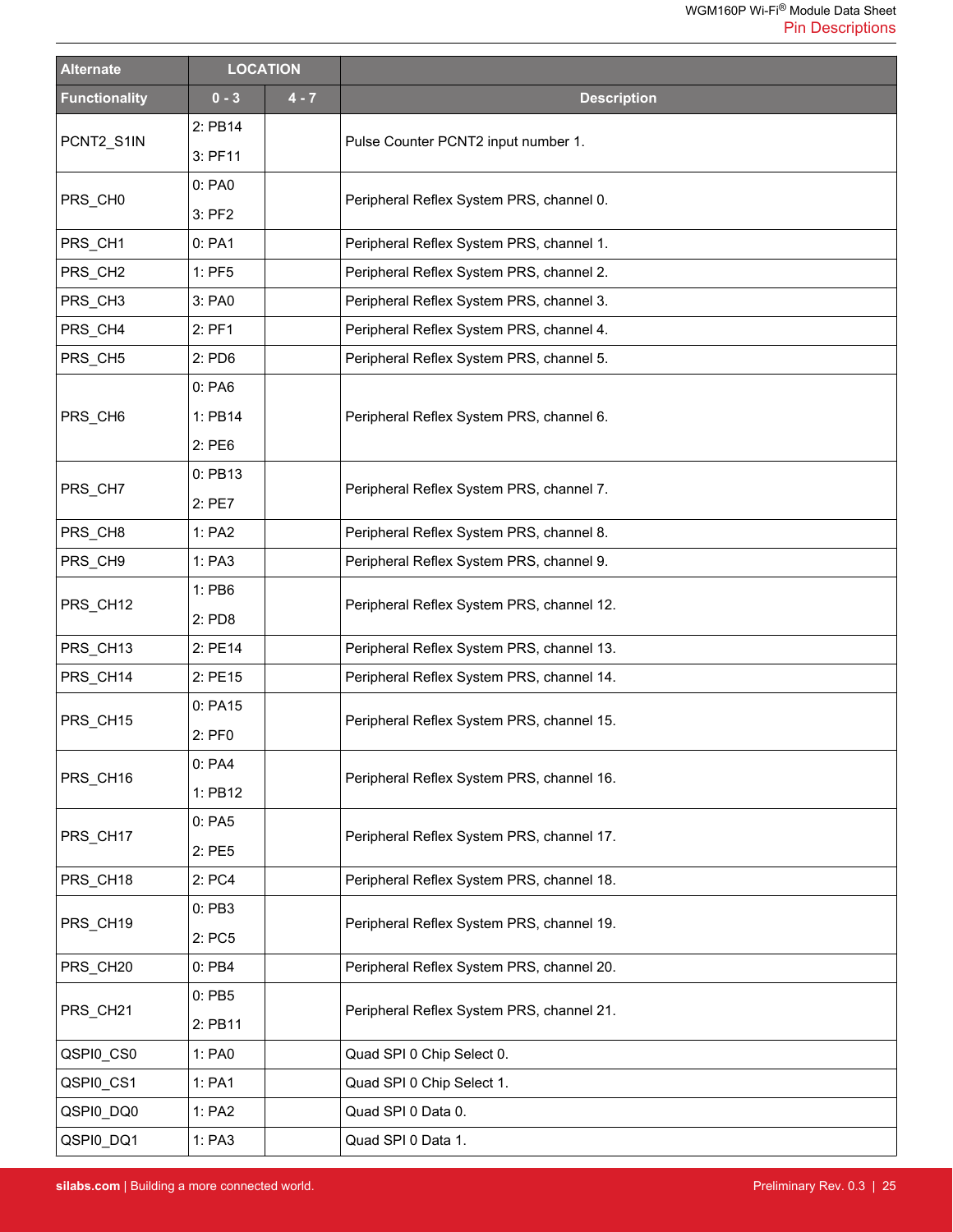| <b>Alternate</b>     | <b>LOCATION</b> |         |                                           |
|----------------------|-----------------|---------|-------------------------------------------|
| <b>Functionality</b> | $0 - 3$         | $4 - 7$ | <b>Description</b>                        |
| PCNT2_S1IN           | 2: PB14         |         | Pulse Counter PCNT2 input number 1.       |
|                      | 3: PF11         |         |                                           |
| PRS_CH0              | 0: PA0          |         |                                           |
|                      | $3:$ PF2        |         | Peripheral Reflex System PRS, channel 0.  |
| PRS CH1              | 0: PA1          |         | Peripheral Reflex System PRS, channel 1.  |
| PRS_CH <sub>2</sub>  | $1:$ PF5        |         | Peripheral Reflex System PRS, channel 2.  |
| PRS_CH3              | 3: PA0          |         | Peripheral Reflex System PRS, channel 3.  |
| PRS_CH4              | 2: PF1          |         | Peripheral Reflex System PRS, channel 4.  |
| PRS_CH5              | 2: PD6          |         | Peripheral Reflex System PRS, channel 5.  |
|                      | 0:PA6           |         |                                           |
| PRS_CH6              | 1: PB14         |         | Peripheral Reflex System PRS, channel 6.  |
|                      | 2: PE6          |         |                                           |
|                      | 0: PB13         |         |                                           |
| PRS CH7              | 2: PE7          |         | Peripheral Reflex System PRS, channel 7.  |
| PRS_CH8              | 1: PA2          |         | Peripheral Reflex System PRS, channel 8.  |
| PRS_CH9              | 1: PA3          |         | Peripheral Reflex System PRS, channel 9.  |
|                      | 1: PB6          |         |                                           |
| PRS_CH12             | 2: PD8          |         | Peripheral Reflex System PRS, channel 12. |
| PRS_CH13             | 2: PE14         |         | Peripheral Reflex System PRS, channel 13. |
| PRS_CH14             | 2: PE15         |         | Peripheral Reflex System PRS, channel 14. |
|                      | 0: PA15         |         | Peripheral Reflex System PRS, channel 15. |
| PRS_CH15             | 2: PF0          |         |                                           |
|                      | 0: PA4          |         |                                           |
| PRS_CH16             | 1: PB12         |         | Peripheral Reflex System PRS, channel 16. |
|                      | 0:PA5           |         |                                           |
| PRS_CH17             | 2: PE5          |         | Peripheral Reflex System PRS, channel 17. |
| PRS CH18             | 2: PC4          |         | Peripheral Reflex System PRS, channel 18. |
|                      | 0:PB3           |         |                                           |
| PRS_CH19             | 2: PC5          |         | Peripheral Reflex System PRS, channel 19. |
| PRS_CH20             | $0:$ PB4        |         | Peripheral Reflex System PRS, channel 20. |
|                      | $0:$ PB5        |         |                                           |
| PRS_CH21             | 2: PB11         |         | Peripheral Reflex System PRS, channel 21. |
| QSPI0_CS0            | 1: PA0          |         | Quad SPI 0 Chip Select 0.                 |
| QSPI0_CS1            | 1: PA1          |         | Quad SPI 0 Chip Select 1.                 |
| QSPI0_DQ0            | 1: PA2          |         | Quad SPI 0 Data 0.                        |
| QSPI0_DQ1            | 1: PA3          |         | Quad SPI 0 Data 1.                        |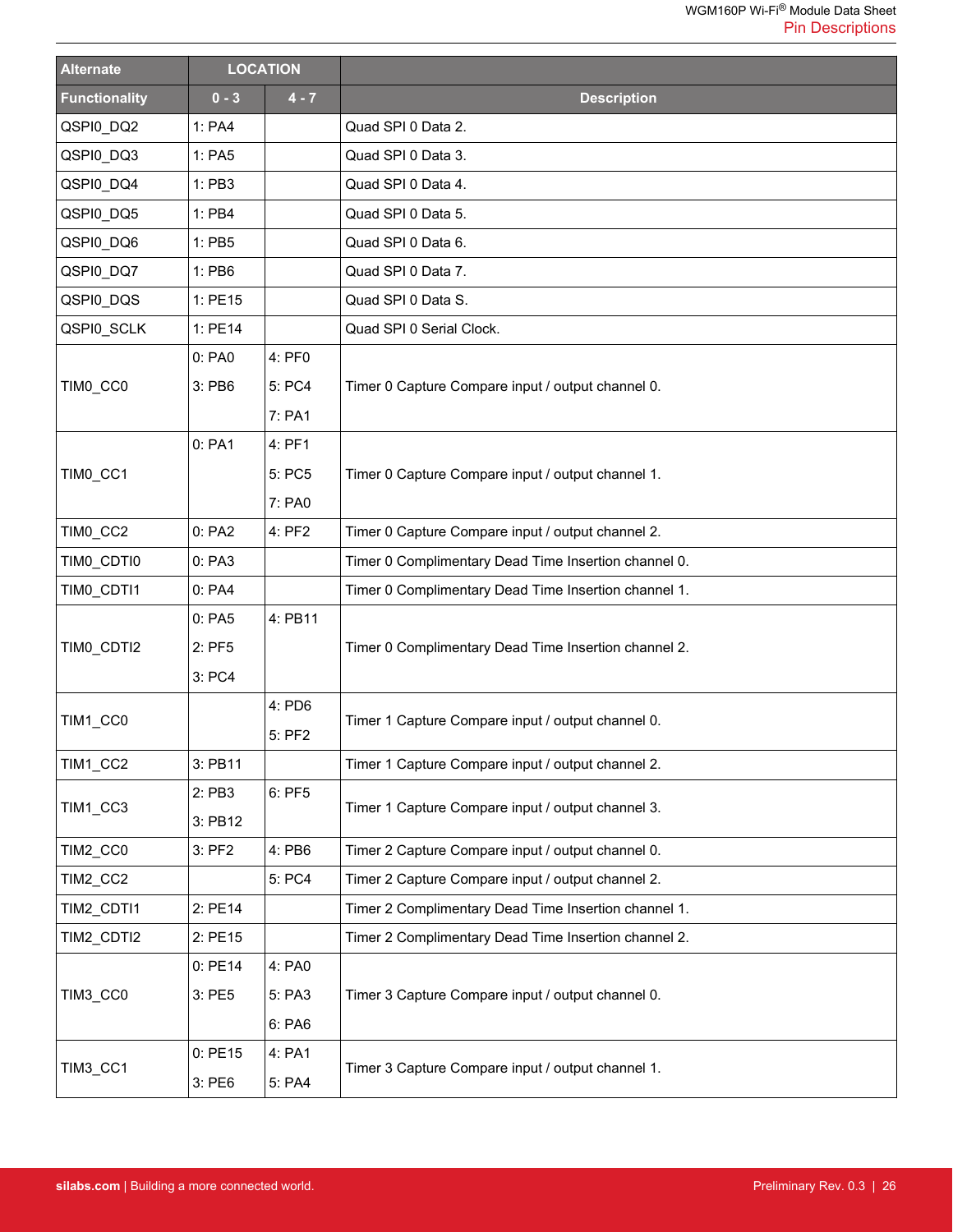| <b>Alternate</b>     | <b>LOCATION</b> |         |                                                      |  |
|----------------------|-----------------|---------|------------------------------------------------------|--|
| <b>Functionality</b> | $0 - 3$         | $4 - 7$ | <b>Description</b>                                   |  |
| QSPI0_DQ2            | 1: PA4          |         | Quad SPI 0 Data 2.                                   |  |
| QSPI0_DQ3            | 1: PA5          |         | Quad SPI 0 Data 3.                                   |  |
| QSPI0_DQ4            | 1: PB3          |         | Quad SPI 0 Data 4.                                   |  |
| QSPI0_DQ5            | 1: PB4          |         | Quad SPI 0 Data 5.                                   |  |
| QSPI0_DQ6            | 1: PB5          |         | Quad SPI 0 Data 6.                                   |  |
| QSPI0_DQ7            | 1: PB6          |         | Quad SPI 0 Data 7.                                   |  |
| QSPI0_DQS            | 1: PE15         |         | Quad SPI 0 Data S.                                   |  |
| QSPI0_SCLK           | 1: PE14         |         | Quad SPI 0 Serial Clock.                             |  |
|                      | 0: PA0          | 4: PF0  |                                                      |  |
| TIMO_CCO             | 3: PB6          | 5: PC4  | Timer 0 Capture Compare input / output channel 0.    |  |
|                      |                 | 7: PA1  |                                                      |  |
|                      | 0: PA1          | 4: PF1  |                                                      |  |
| TIMO CC1             |                 | 5: PC5  | Timer 0 Capture Compare input / output channel 1.    |  |
|                      |                 | 7: PA0  |                                                      |  |
| TIMO_CC2             | 0: PA2          | 4: PF2  | Timer 0 Capture Compare input / output channel 2.    |  |
| TIMO_CDTI0           | 0: PA3          |         | Timer 0 Complimentary Dead Time Insertion channel 0. |  |
| TIMO_CDTI1           | 0: PA4          |         | Timer 0 Complimentary Dead Time Insertion channel 1. |  |
|                      | 0: PA5          | 4: PB11 |                                                      |  |
| TIMO_CDTI2           | 2: PF5          |         | Timer 0 Complimentary Dead Time Insertion channel 2. |  |
|                      | 3: PC4          |         |                                                      |  |
|                      |                 | 4: PD6  |                                                      |  |
| TIM1_CC0             |                 | 5: PF2  | Timer 1 Capture Compare input / output channel 0.    |  |
| TIM1_CC2             | 3: PB11         |         | Timer 1 Capture Compare input / output channel 2.    |  |
|                      | 2: PB3          | 6: PF5  |                                                      |  |
| TIM1_CC3             | 3: PB12         |         | Timer 1 Capture Compare input / output channel 3.    |  |
| TIM2_CC0             | 3: PF2          | 4: PB6  | Timer 2 Capture Compare input / output channel 0.    |  |
| TIM2_CC2             |                 | 5: PC4  | Timer 2 Capture Compare input / output channel 2.    |  |
| TIM2_CDTI1           | 2: PE14         |         | Timer 2 Complimentary Dead Time Insertion channel 1. |  |
| TIM2_CDTI2           | 2: PE15         |         | Timer 2 Complimentary Dead Time Insertion channel 2. |  |
|                      | 0: PE14         | 4: PA0  |                                                      |  |
| TIM3_CC0             | 3: PE5          | 5: PA3  | Timer 3 Capture Compare input / output channel 0.    |  |
|                      |                 | 6: PA6  |                                                      |  |
|                      | 0:PE15          | 4: PA1  |                                                      |  |
| <b>TIM3_CC1</b>      | 3: PE6          | 5: PA4  | Timer 3 Capture Compare input / output channel 1.    |  |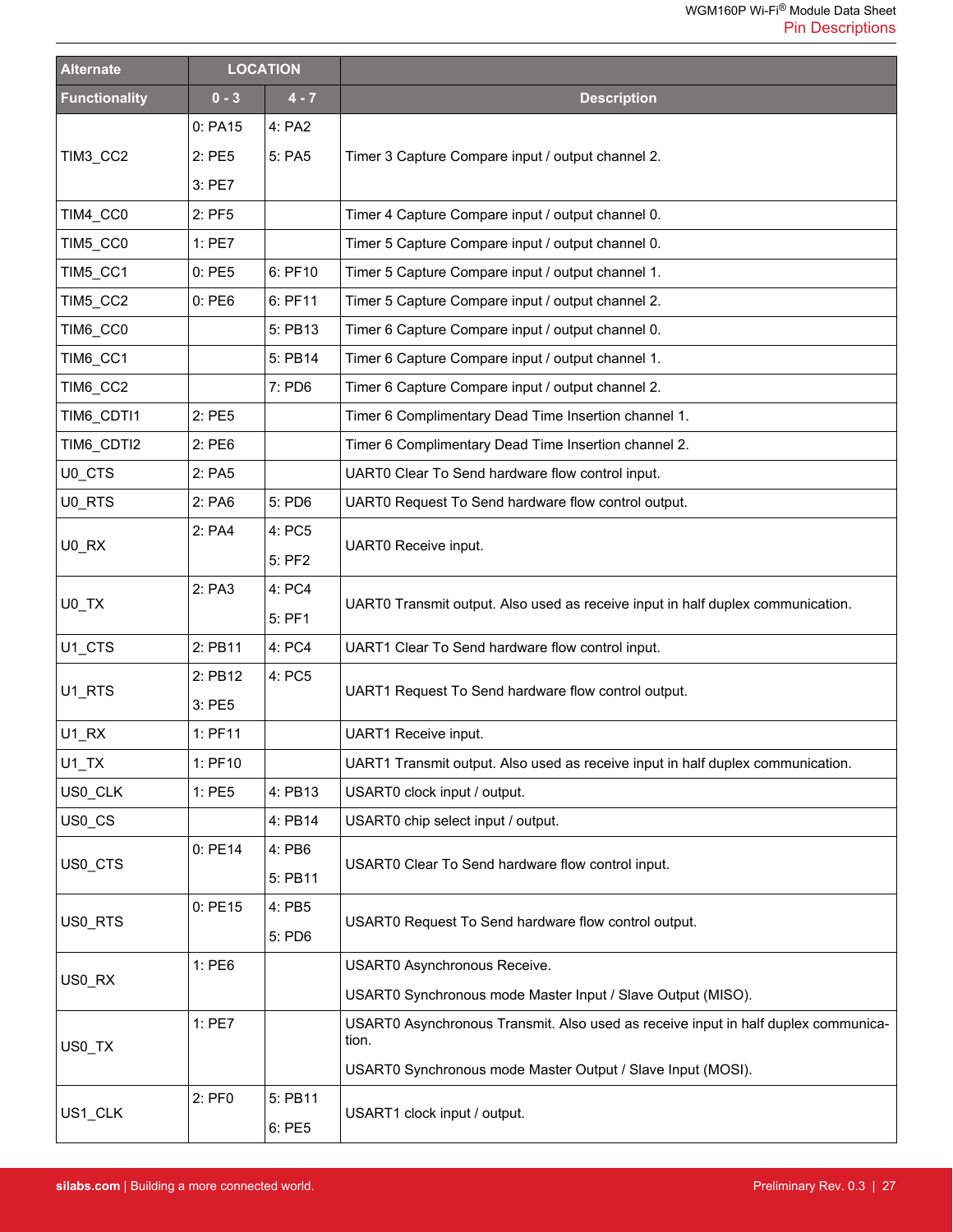| <b>Alternate</b>     | <b>LOCATION</b> |         |                                                                                    |  |
|----------------------|-----------------|---------|------------------------------------------------------------------------------------|--|
| <b>Functionality</b> | $0 - 3$         | $4 - 7$ | <b>Description</b>                                                                 |  |
|                      | 0: PA15         | 4: PA2  |                                                                                    |  |
| TIM3_CC2             | 2:PE5           | 5: PA5  | Timer 3 Capture Compare input / output channel 2.                                  |  |
|                      | 3: PE7          |         |                                                                                    |  |
| TIM4_CC0             | 2: PF5          |         | Timer 4 Capture Compare input / output channel 0.                                  |  |
| TIM5_CC0             | 1: PE7          |         | Timer 5 Capture Compare input / output channel 0.                                  |  |
| TIM5_CC1             | 0:PE5           | 6: PF10 | Timer 5 Capture Compare input / output channel 1.                                  |  |
| TIM5_CC2             | 0:PE6           | 6: PF11 | Timer 5 Capture Compare input / output channel 2.                                  |  |
| TIM6_CC0             |                 | 5: PB13 | Timer 6 Capture Compare input / output channel 0.                                  |  |
| TIM6_CC1             |                 | 5: PB14 | Timer 6 Capture Compare input / output channel 1.                                  |  |
| TIM6_CC2             |                 | 7: PD6  | Timer 6 Capture Compare input / output channel 2.                                  |  |
| TIM6_CDTI1           | 2: PE5          |         | Timer 6 Complimentary Dead Time Insertion channel 1.                               |  |
| TIM6_CDTI2           | 2: PE6          |         | Timer 6 Complimentary Dead Time Insertion channel 2.                               |  |
| U0_CTS               | 2: PA5          |         | UART0 Clear To Send hardware flow control input.                                   |  |
| U0_RTS               | 2: PA6          | 5: PD6  | UART0 Request To Send hardware flow control output.                                |  |
|                      | 2: PA4          | 4: PC5  |                                                                                    |  |
| U0_RX                |                 | 5: PF2  | UART0 Receive input.                                                               |  |
|                      | 2: PA3          | 4: PC4  |                                                                                    |  |
| U0_TX                |                 | 5: PF1  | UART0 Transmit output. Also used as receive input in half duplex communication.    |  |
| U1_CTS               | 2: PB11         | 4: PC4  | UART1 Clear To Send hardware flow control input.                                   |  |
|                      | 2: PB12         | 4: PC5  |                                                                                    |  |
| U1_RTS               | 3: PE5          |         | UART1 Request To Send hardware flow control output.                                |  |
| $U1_RX$              | 1: PF11         |         | UART1 Receive input.                                                               |  |
| $U1$ <sub>_</sub> TX | 1: PF10         |         | UART1 Transmit output. Also used as receive input in half duplex communication.    |  |
| US0_CLK              | 1: PE5          | 4: PB13 | USART0 clock input / output.                                                       |  |
| US0_CS               |                 | 4: PB14 | USART0 chip select input / output.                                                 |  |
|                      | 0: PE14         | 4: PB6  | USART0 Clear To Send hardware flow control input.                                  |  |
| US0_CTS              |                 | 5: PB11 |                                                                                    |  |
|                      | 0:PE15          | 4: PB5  | USART0 Request To Send hardware flow control output.                               |  |
| US0 RTS              |                 | 5: PD6  |                                                                                    |  |
|                      | 1: PE6          |         | USART0 Asynchronous Receive.                                                       |  |
| US0_RX               |                 |         | USART0 Synchronous mode Master Input / Slave Output (MISO).                        |  |
|                      | 1:PE7           |         | USART0 Asynchronous Transmit. Also used as receive input in half duplex communica- |  |
| US0_TX               |                 |         | tion.                                                                              |  |
|                      |                 |         | USART0 Synchronous mode Master Output / Slave Input (MOSI).                        |  |
| US1_CLK              | 2: PF0          | 5: PB11 | USART1 clock input / output.                                                       |  |
|                      |                 | 6: PE5  |                                                                                    |  |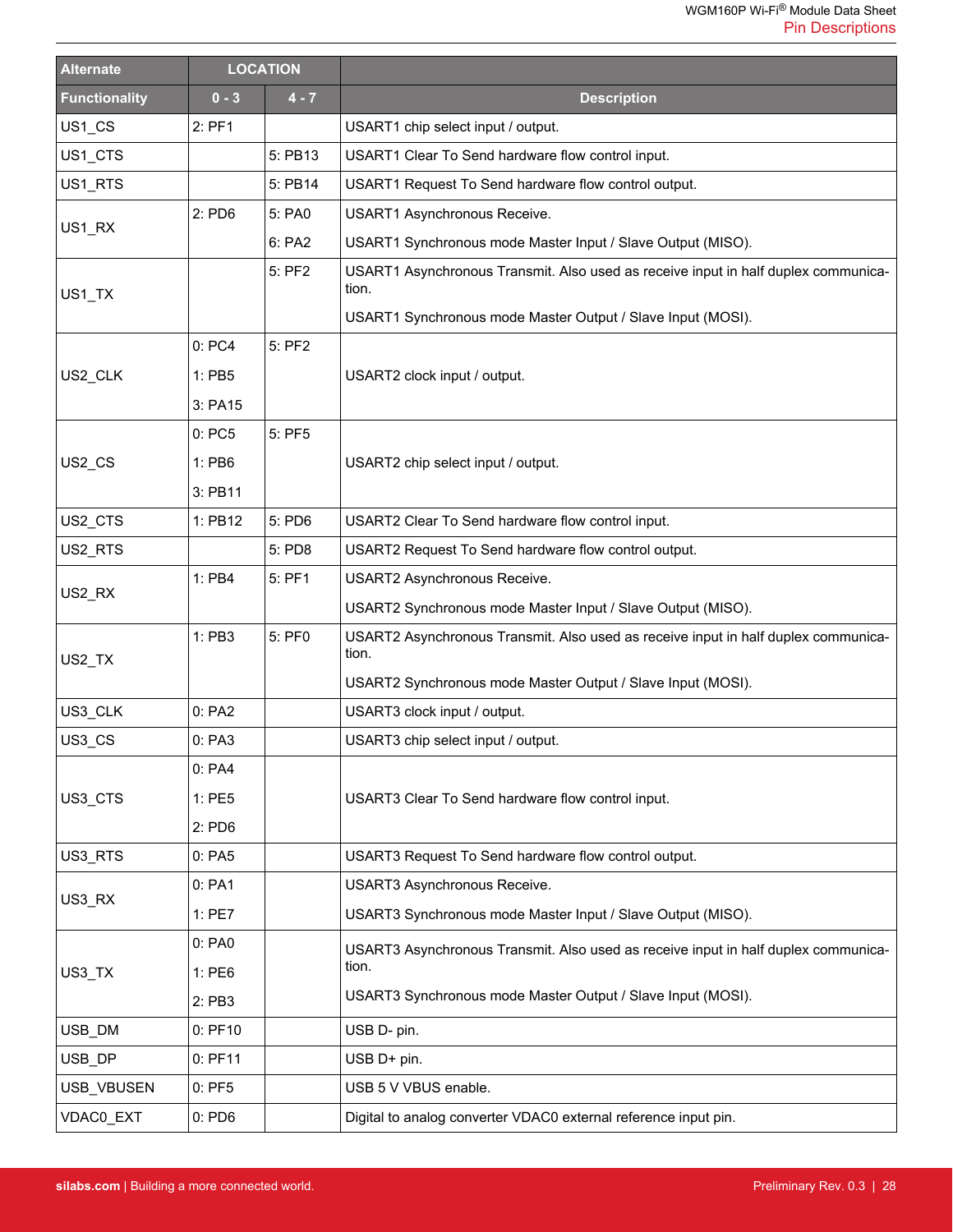| <b>Alternate</b>     | <b>LOCATION</b>  |         |                                                                                             |  |
|----------------------|------------------|---------|---------------------------------------------------------------------------------------------|--|
| <b>Functionality</b> | $0 - 3$          | $4 - 7$ | <b>Description</b>                                                                          |  |
| US1_CS               | $2:$ PF1         |         | USART1 chip select input / output.                                                          |  |
| US1_CTS              |                  | 5: PB13 | USART1 Clear To Send hardware flow control input.                                           |  |
| US1_RTS              |                  | 5: PB14 | USART1 Request To Send hardware flow control output.                                        |  |
|                      | $2:$ PD6         | 5: PA0  | USART1 Asynchronous Receive.                                                                |  |
| US1_RX               |                  | 6: PA2  | USART1 Synchronous mode Master Input / Slave Output (MISO).                                 |  |
| US1_TX               |                  | 5: PF2  | USART1 Asynchronous Transmit. Also used as receive input in half duplex communica-<br>tion. |  |
|                      |                  |         | USART1 Synchronous mode Master Output / Slave Input (MOSI).                                 |  |
|                      | 0: PC4           | 5: PF2  |                                                                                             |  |
| US2_CLK              | 1: PB5           |         | USART2 clock input / output.                                                                |  |
|                      | 3: PA15          |         |                                                                                             |  |
|                      | 0: PC5           | 5: PF5  |                                                                                             |  |
| US2_CS               | 1: PB6           |         | USART2 chip select input / output.                                                          |  |
|                      | 3: PB11          |         |                                                                                             |  |
| US2_CTS              | 1: PB12          | 5: PD6  | USART2 Clear To Send hardware flow control input.                                           |  |
| US2_RTS              |                  | 5: PD8  | USART2 Request To Send hardware flow control output.                                        |  |
| US2_RX               | 1: PB4<br>5: PF1 |         | USART2 Asynchronous Receive.                                                                |  |
|                      |                  |         | USART2 Synchronous mode Master Input / Slave Output (MISO).                                 |  |
| US2_TX               | 1: PB3           | 5: PF0  | USART2 Asynchronous Transmit. Also used as receive input in half duplex communica-<br>tion. |  |
|                      |                  |         | USART2 Synchronous mode Master Output / Slave Input (MOSI).                                 |  |
| US3_CLK              | 0: PA2           |         | USART3 clock input / output.                                                                |  |
| US3_CS               | 0: PA3           |         | USART3 chip select input / output.                                                          |  |
|                      | 0: PA4           |         | USART3 Clear To Send hardware flow control input.                                           |  |
| US3_CTS              | 1: PE5           |         |                                                                                             |  |
|                      | $2:$ PD6         |         |                                                                                             |  |
| US3_RTS              | 0: PA5           |         | USART3 Request To Send hardware flow control output.                                        |  |
|                      | 0: PA1           |         | USART3 Asynchronous Receive.                                                                |  |
| US3_RX               | 1: PE7           |         | USART3 Synchronous mode Master Input / Slave Output (MISO).                                 |  |
|                      | 0: PA0           |         | USART3 Asynchronous Transmit. Also used as receive input in half duplex communica-          |  |
| US3_TX               | 1: PE6           |         | tion.                                                                                       |  |
|                      | 2: PB3           |         | USART3 Synchronous mode Master Output / Slave Input (MOSI).                                 |  |
| USB_DM               | $0:$ PF10        |         | USB D- pin.                                                                                 |  |
| USB DP               | 0: PF11          |         | USB D+ pin.                                                                                 |  |
| USB_VBUSEN           | $0:$ PF5         |         | USB 5 V VBUS enable.                                                                        |  |
| VDAC0_EXT            | $0:$ PD6         |         | Digital to analog converter VDAC0 external reference input pin.                             |  |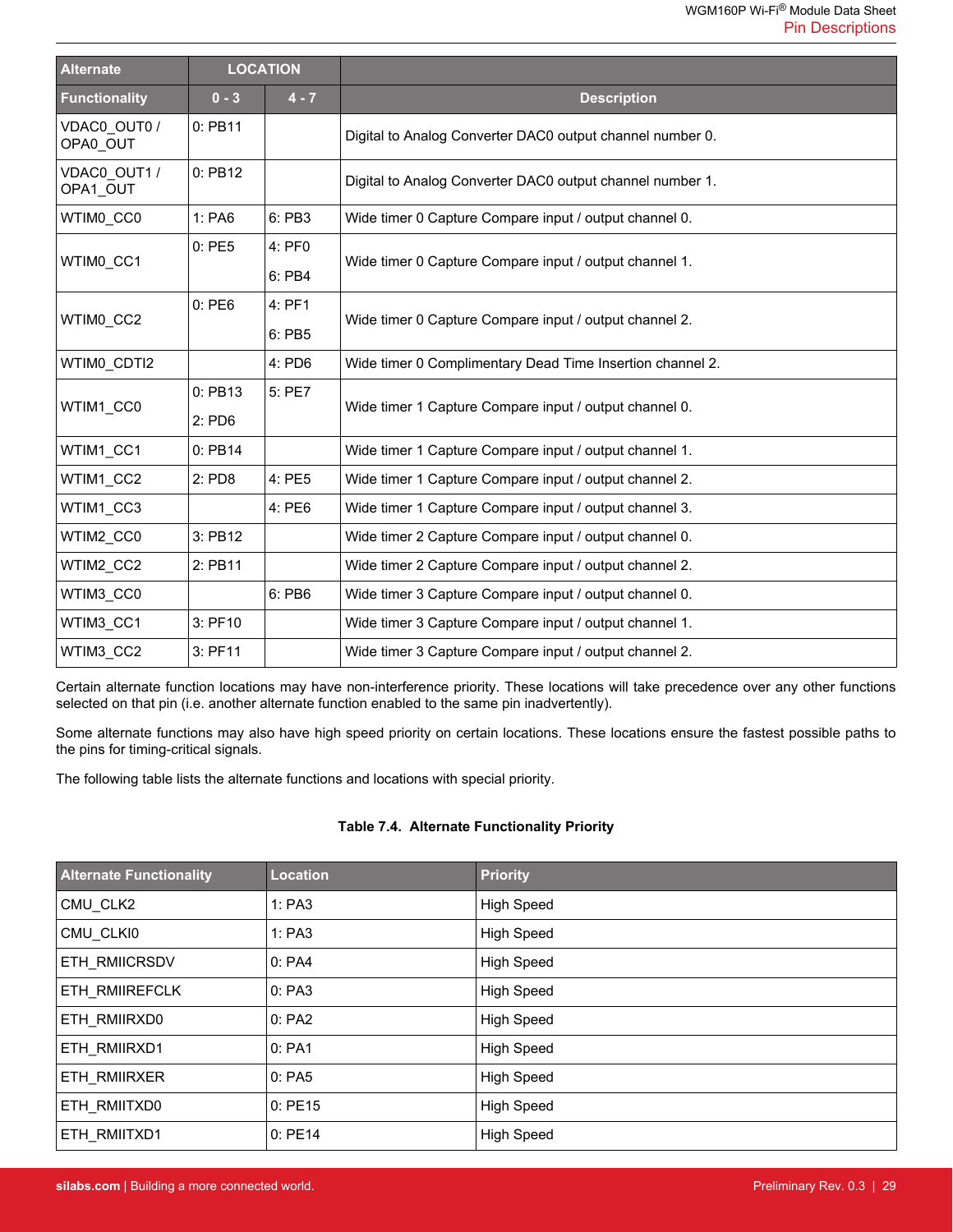| <b>Alternate</b>         | <b>LOCATION</b>     |                  |                                                           |  |
|--------------------------|---------------------|------------------|-----------------------------------------------------------|--|
| <b>Functionality</b>     | $0 - 3$             | $4 - 7$          | <b>Description</b>                                        |  |
| VDAC0 OUT0 /<br>OPA0 OUT | 0: PB11             |                  | Digital to Analog Converter DAC0 output channel number 0. |  |
| VDAC0 OUT1 /<br>OPA1 OUT | 0: PB12             |                  | Digital to Analog Converter DAC0 output channel number 1. |  |
| WTIMO CCO                | 1:PA6               | 6: PB3           | Wide timer 0 Capture Compare input / output channel 0.    |  |
| WTIM0 CC1                | 0:PE5               | 4: PF0<br>6: PB4 | Wide timer 0 Capture Compare input / output channel 1.    |  |
| WTIM0 CC2                | 0:PE6               | 4: PF1<br>6: PB5 | Wide timer 0 Capture Compare input / output channel 2.    |  |
| WTIMO CDTI2              |                     | 4: PD6           | Wide timer 0 Complimentary Dead Time Insertion channel 2. |  |
| WTIM1 CC0                | 0: PB13<br>$2:$ PD6 | 5: PE7           | Wide timer 1 Capture Compare input / output channel 0.    |  |
| WTIM1 CC1                | 0: PB14             |                  | Wide timer 1 Capture Compare input / output channel 1.    |  |
| WTIM1 CC2                | 2: PD8              | 4: PE5           | Wide timer 1 Capture Compare input / output channel 2.    |  |
| WTIM1 CC3                |                     | 4: PE6           | Wide timer 1 Capture Compare input / output channel 3.    |  |
| WTIM2 CC0                | 3: PB12             |                  | Wide timer 2 Capture Compare input / output channel 0.    |  |
| WTIM2 CC2                | 2: PB11             |                  | Wide timer 2 Capture Compare input / output channel 2.    |  |
| WTIM3 CC0                |                     | 6: PB6           | Wide timer 3 Capture Compare input / output channel 0.    |  |
| WTIM3 CC1                | 3: PF10             |                  | Wide timer 3 Capture Compare input / output channel 1.    |  |
| WTIM3 CC2                | 3: PF11             |                  | Wide timer 3 Capture Compare input / output channel 2.    |  |

Certain alternate function locations may have non-interference priority. These locations will take precedence over any other functions selected on that pin (i.e. another alternate function enabled to the same pin inadvertently).

Some alternate functions may also have high speed priority on certain locations. These locations ensure the fastest possible paths to the pins for timing-critical signals.

The following table lists the alternate functions and locations with special priority.

#### **Table 7.4. Alternate Functionality Priority**

| <b>Alternate Functionality</b> | <b>Location</b> | <b>Priority</b>   |
|--------------------------------|-----------------|-------------------|
| CMU CLK2                       | 1:PA3           | <b>High Speed</b> |
| CMU CLKI0                      | 1:PA3           | <b>High Speed</b> |
| ETH RMIICRSDV                  | 0: PA4          | <b>High Speed</b> |
| ETH RMIIREFCLK                 | 0: PA3          | <b>High Speed</b> |
| ETH RMIIRXD0                   | 0: PA2          | <b>High Speed</b> |
| ETH RMIIRXD1                   | 0: PA1          | <b>High Speed</b> |
| ETH RMIIRXER                   | 0: PA5          | <b>High Speed</b> |
| ETH RMIITXD0                   | 0:PE15          | <b>High Speed</b> |
| ETH RMIITXD1                   | 0:PE14          | High Speed        |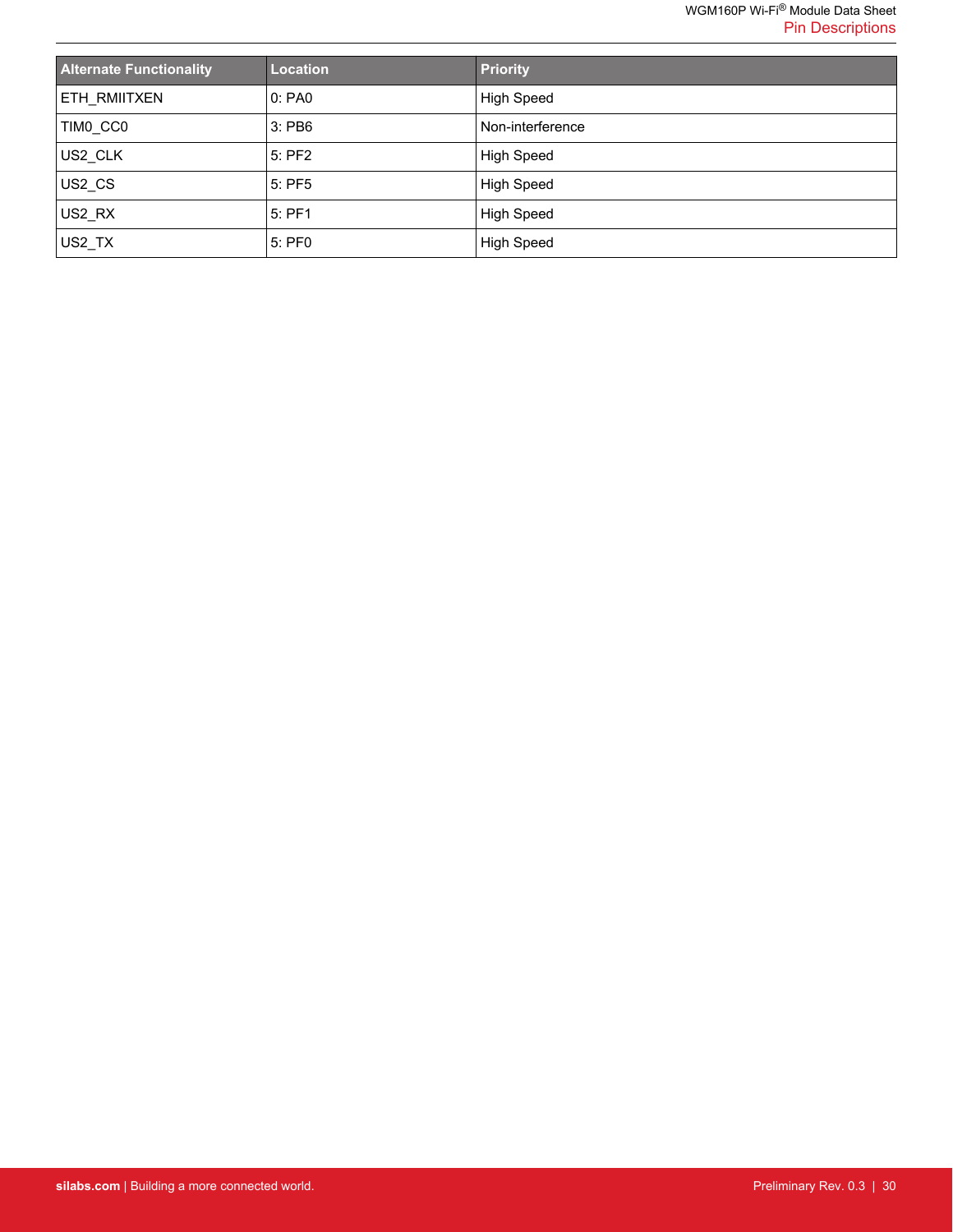| <b>Alternate Functionality</b> | <b>Location</b> | <b>Priority</b>   |
|--------------------------------|-----------------|-------------------|
| ETH_RMIITXEN                   | 0:PA0           | <b>High Speed</b> |
| TIMO CCO                       | $3:$ PB6        | Non-interference  |
| US2 CLK                        | 5: PF2          | <b>High Speed</b> |
| US2 CS                         | 5: PF5          | <b>High Speed</b> |
| US2 RX                         | 5: PF1          | <b>High Speed</b> |
| US2_TX                         | 5: PF0          | High Speed        |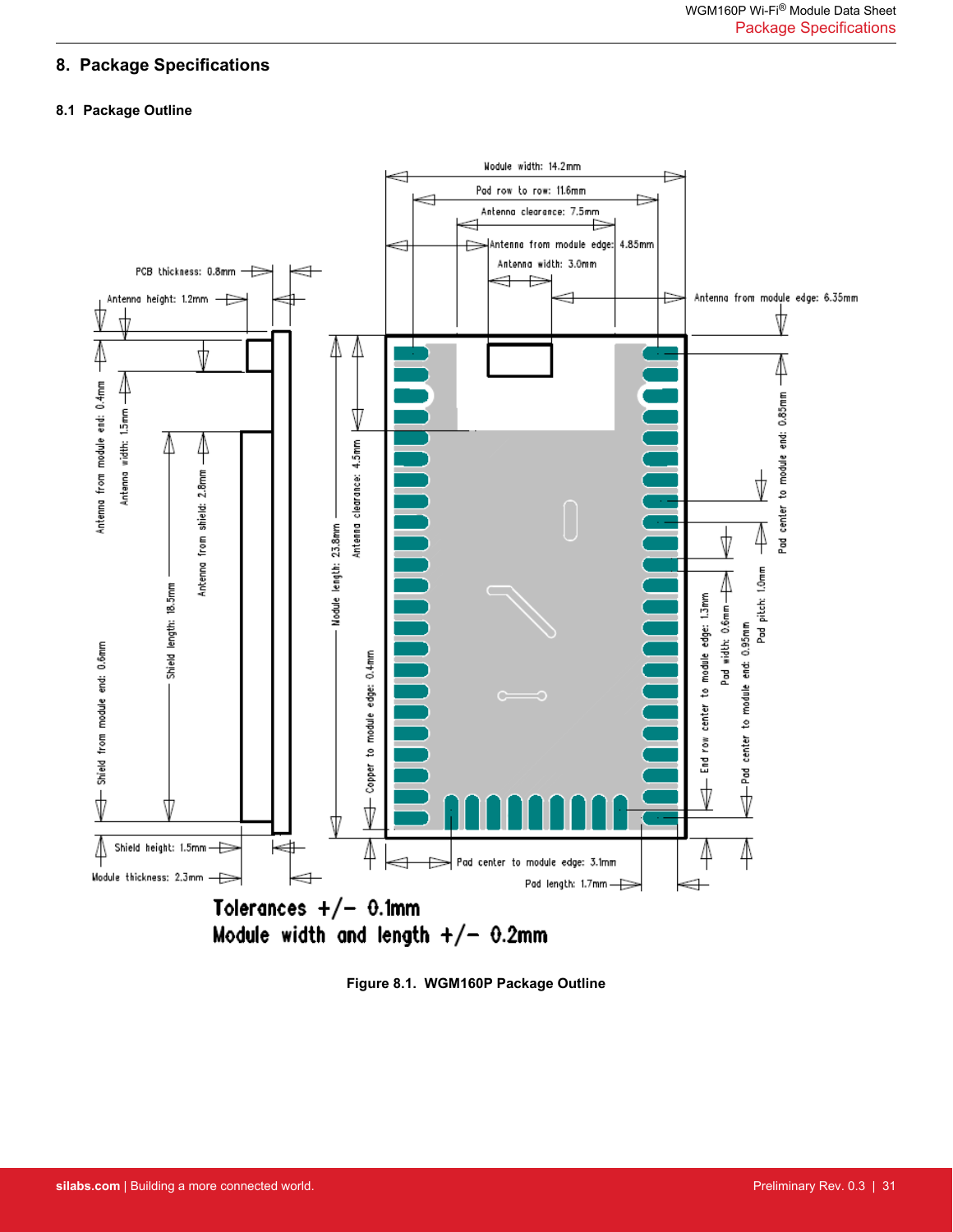# <span id="page-30-0"></span>**8. Package Specifications**

#### **8.1 Package Outline**



**Figure 8.1. WGM160P Package Outline**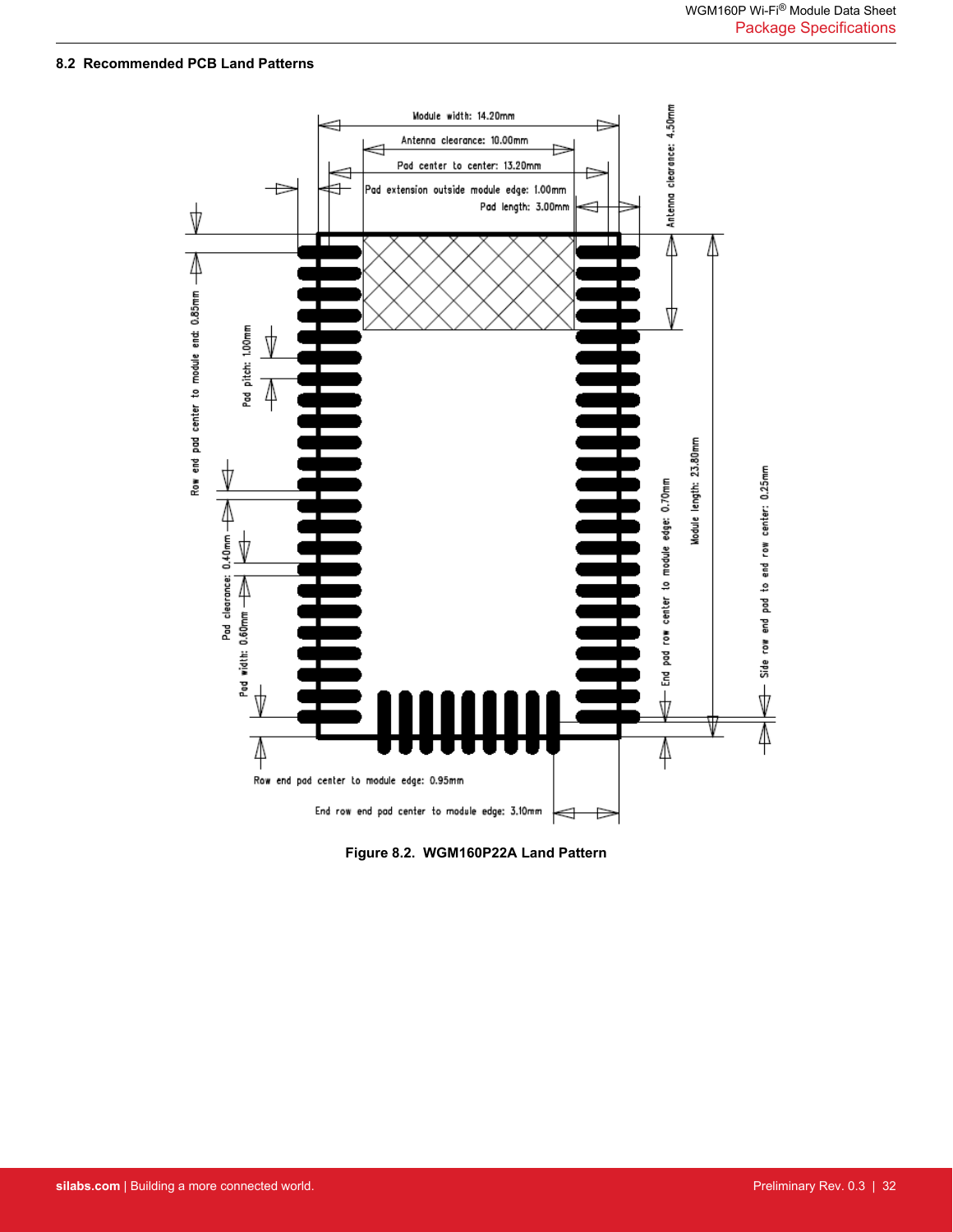### <span id="page-31-0"></span>**8.2 Recommended PCB Land Patterns**



**Figure 8.2. WGM160P22A Land Pattern**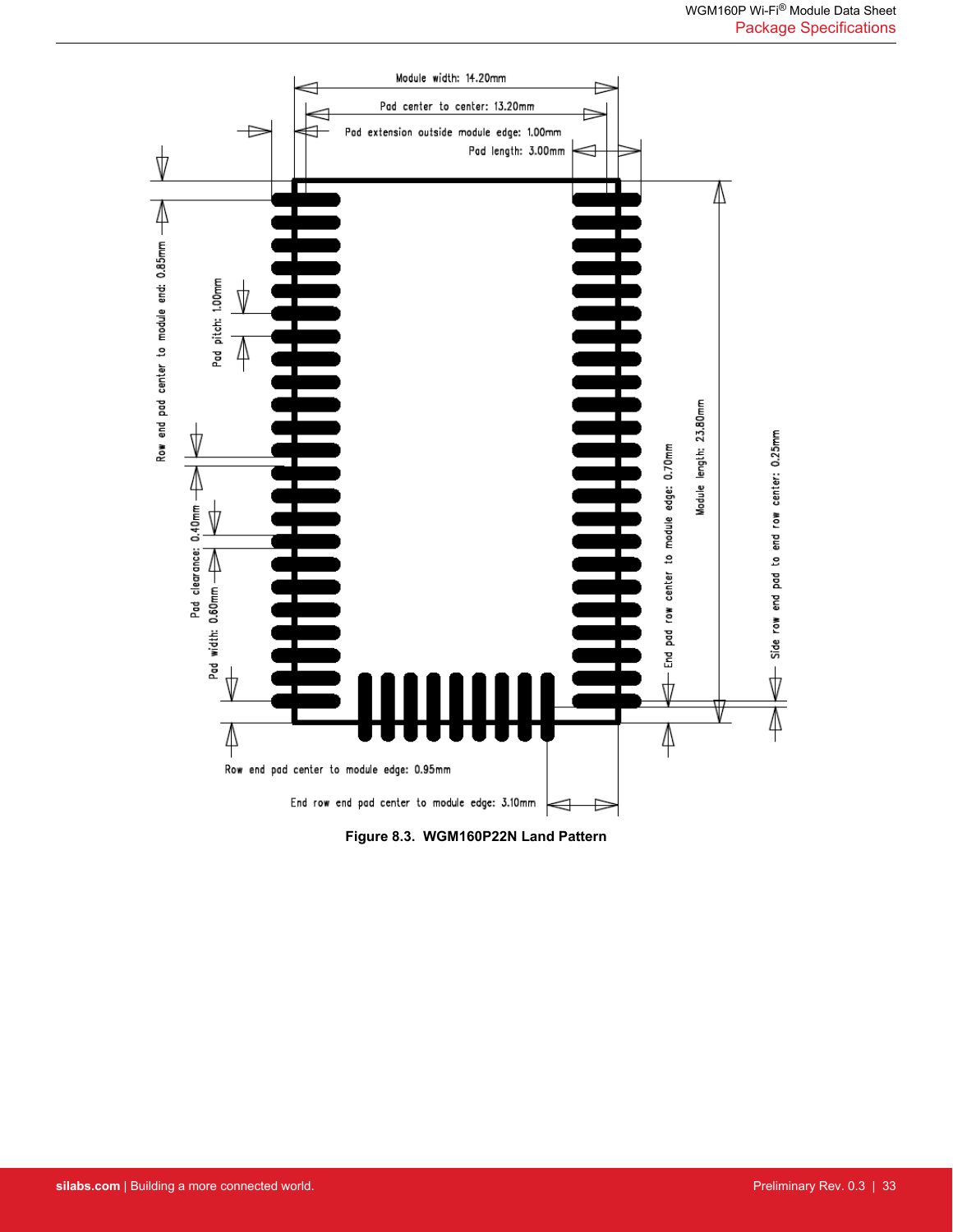

**Figure 8.3. WGM160P22N Land Pattern**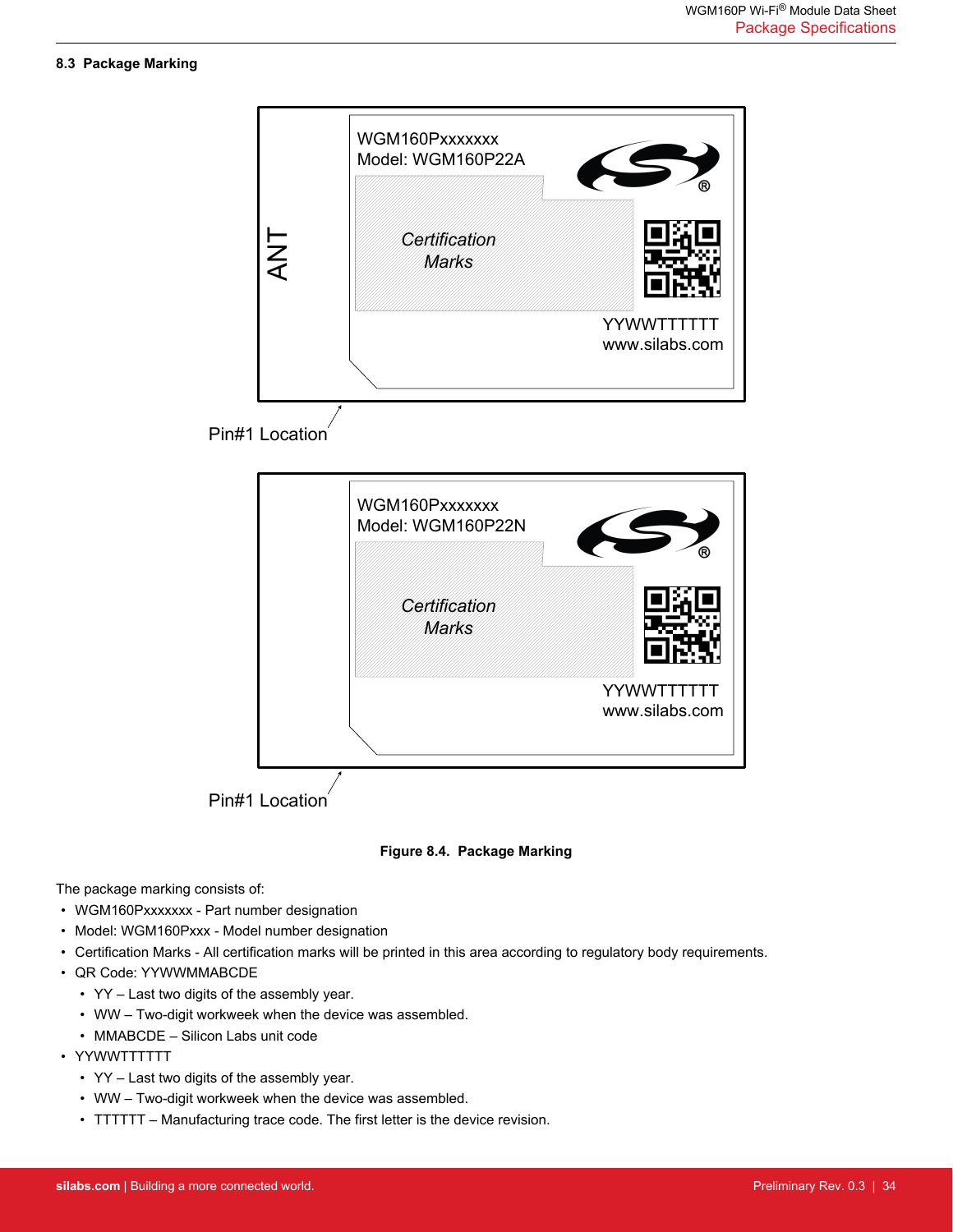#### <span id="page-33-0"></span>**8.3 Package Marking**



**Figure 8.4. Package Marking**

The package marking consists of:

- WGM160Pxxxxxxx Part number designation
- Model: WGM160Pxxx Model number designation
- Certification Marks All certification marks will be printed in this area according to regulatory body requirements.
- QR Code: YYWWMMABCDE
	- YY Last two digits of the assembly year.
	- WW Two-digit workweek when the device was assembled.
	- MMABCDE Silicon Labs unit code
- YYWWTTTTTT
	- YY Last two digits of the assembly year.
	- WW Two-digit workweek when the device was assembled.
	- TTTTTT Manufacturing trace code. The first letter is the device revision.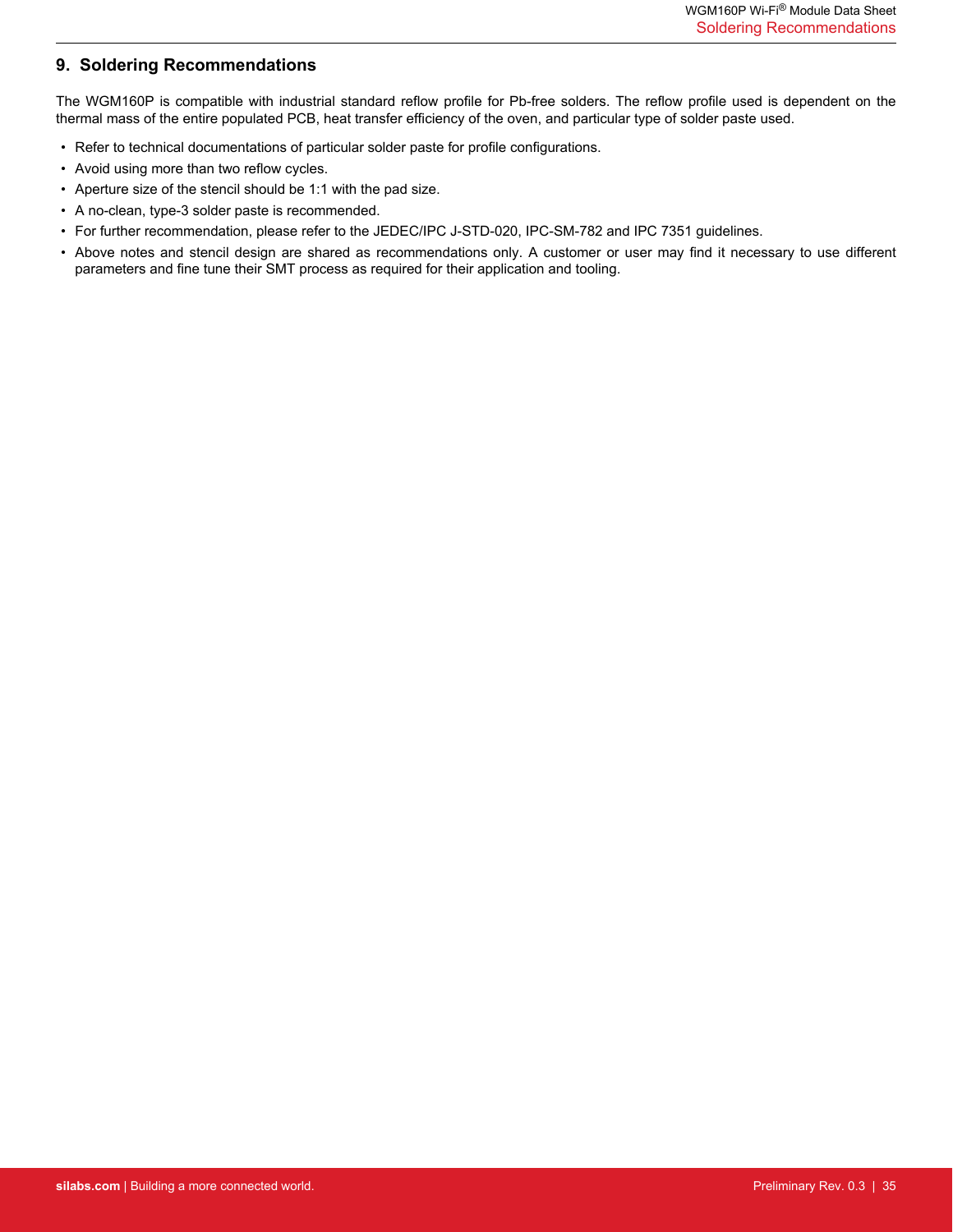# <span id="page-34-0"></span>**9. Soldering Recommendations**

The WGM160P is compatible with industrial standard reflow profile for Pb-free solders. The reflow profile used is dependent on the thermal mass of the entire populated PCB, heat transfer efficiency of the oven, and particular type of solder paste used.

- Refer to technical documentations of particular solder paste for profile configurations.
- Avoid using more than two reflow cycles.
- Aperture size of the stencil should be 1:1 with the pad size.
- A no-clean, type-3 solder paste is recommended.
- For further recommendation, please refer to the JEDEC/IPC J-STD-020, IPC-SM-782 and IPC 7351 guidelines.
- Above notes and stencil design are shared as recommendations only. A customer or user may find it necessary to use different parameters and fine tune their SMT process as required for their application and tooling.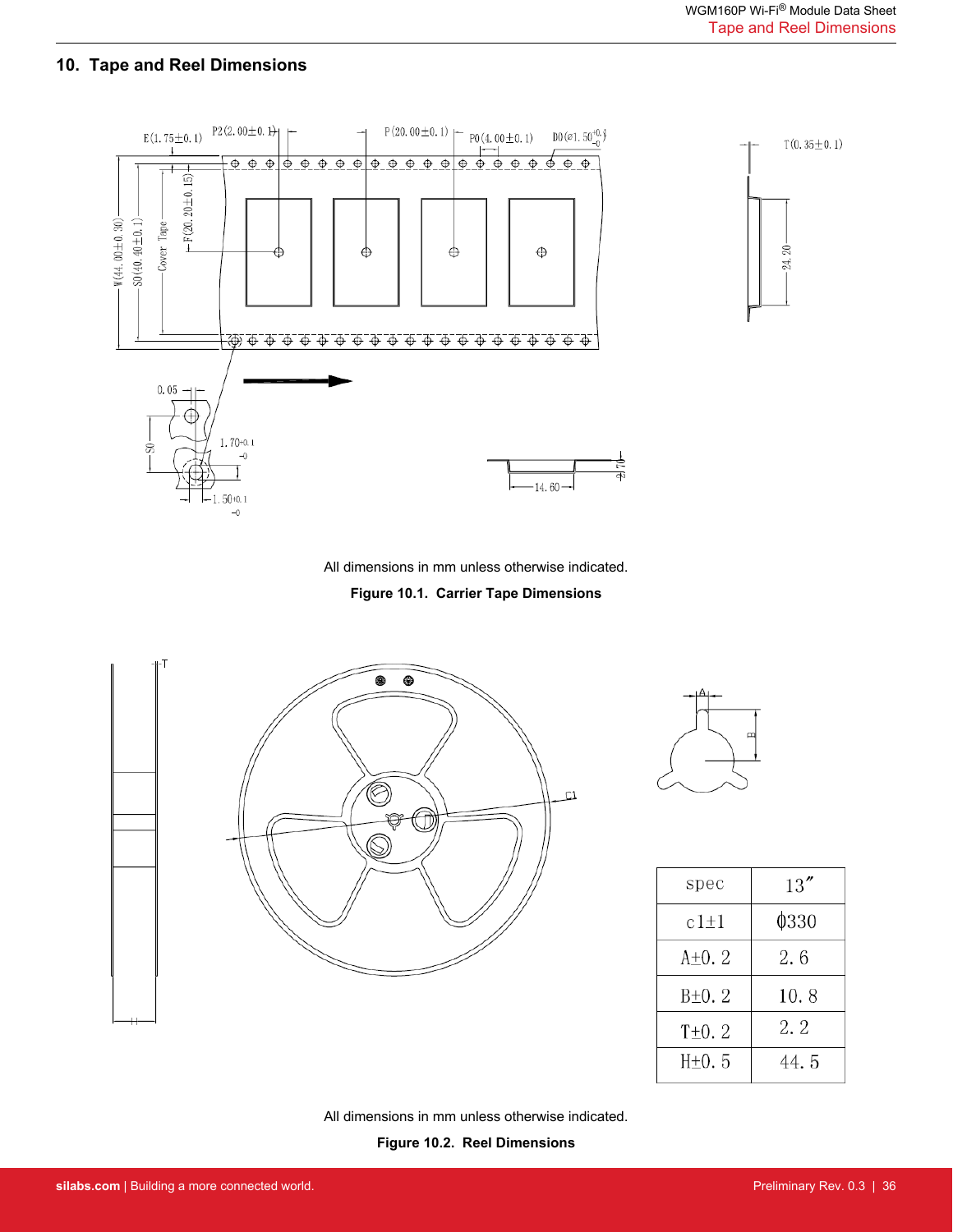# <span id="page-35-0"></span>**10. Tape and Reel Dimensions**



All dimensions in mm unless otherwise indicated.

**Figure 10.1. Carrier Tape Dimensions**





| spec        | 13''  |
|-------------|-------|
| $c1 \pm 1$  | 0330  |
| $A+0.2$     | 2.6   |
| $B\pm 0.2$  | 10.8  |
| $T\pm 0.2$  | 2. 2  |
| $H\npm 0.5$ | 44. 5 |

All dimensions in mm unless otherwise indicated.

**Figure 10.2. Reel Dimensions**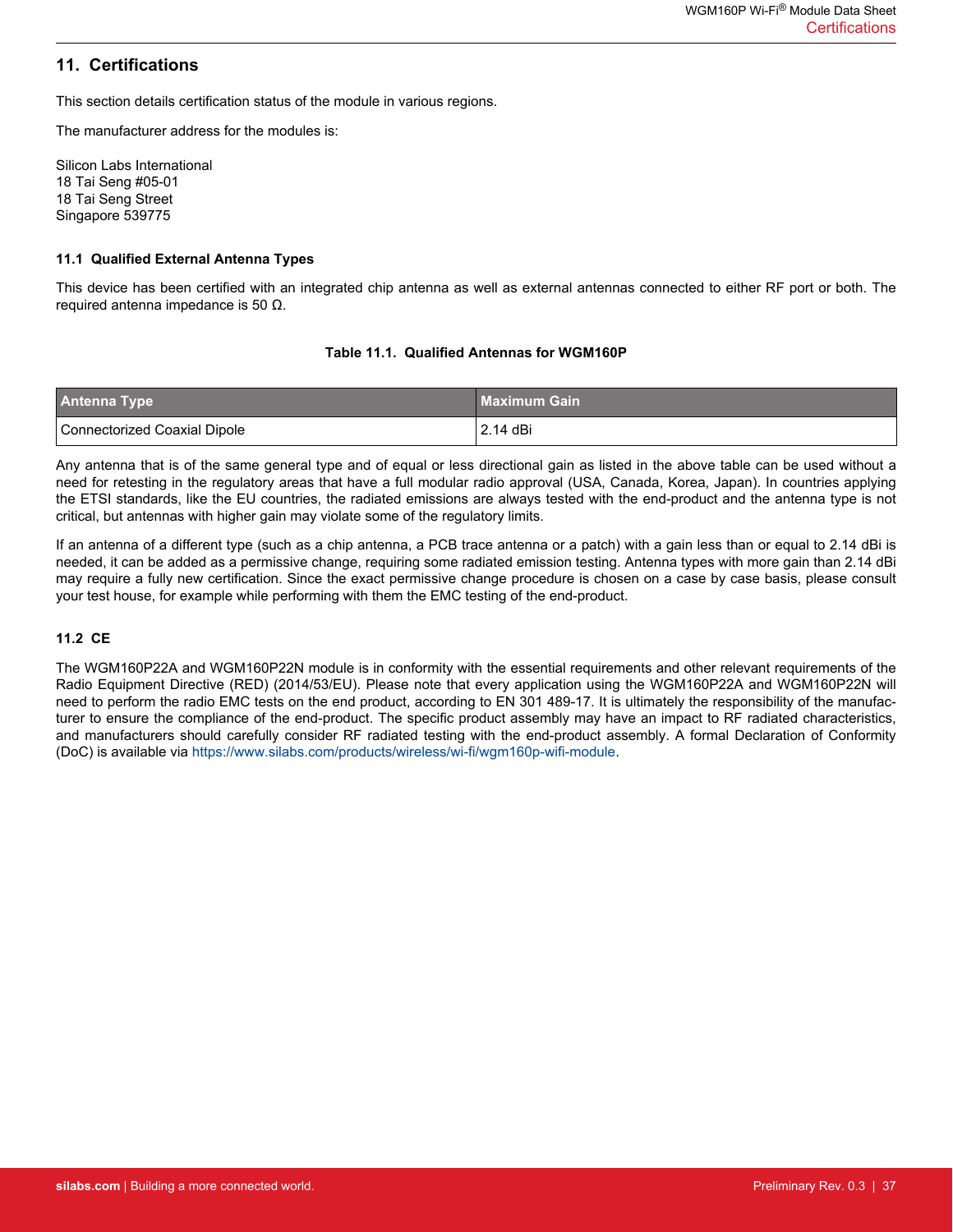# <span id="page-36-0"></span>**11. Certifications**

This section details certification status of the module in various regions.

The manufacturer address for the modules is:

Silicon Labs International 18 Tai Seng #05-01 18 Tai Seng Street Singapore 539775

#### **11.1 Qualified External Antenna Types**

This device has been certified with an integrated chip antenna as well as external antennas connected to either RF port or both. The required antenna impedance is 50 Ω.

#### **Table 11.1. Qualified Antennas for WGM160P**

| <b>Antenna Type</b>          | <b>Maximum Gain</b> |
|------------------------------|---------------------|
| Connectorized Coaxial Dipole | 2.14 dBi            |

Any antenna that is of the same general type and of equal or less directional gain as listed in the above table can be used without a need for retesting in the regulatory areas that have a full modular radio approval (USA, Canada, Korea, Japan). In countries applying the ETSI standards, like the EU countries, the radiated emissions are always tested with the end-product and the antenna type is not critical, but antennas with higher gain may violate some of the regulatory limits.

If an antenna of a different type (such as a chip antenna, a PCB trace antenna or a patch) with a gain less than or equal to 2.14 dBi is needed, it can be added as a permissive change, requiring some radiated emission testing. Antenna types with more gain than 2.14 dBi may require a fully new certification. Since the exact permissive change procedure is chosen on a case by case basis, please consult your test house, for example while performing with them the EMC testing of the end-product.

#### **11.2 CE**

The WGM160P22A and WGM160P22N module is in conformity with the essential requirements and other relevant requirements of the Radio Equipment Directive (RED) (2014/53/EU). Please note that every application using the WGM160P22A and WGM160P22N will need to perform the radio EMC tests on the end product, according to EN 301 489-17. It is ultimately the responsibility of the manufacturer to ensure the compliance of the end-product. The specific product assembly may have an impact to RF radiated characteristics, and manufacturers should carefully consider RF radiated testing with the end-product assembly. A formal Declaration of Conformity (DoC) is available via [https://www.silabs.com/products/wireless/wi-fi/wgm160p-wifi-module.](https://www.silabs.com/products/wireless/wi-fi/wgm160p-wifi-module)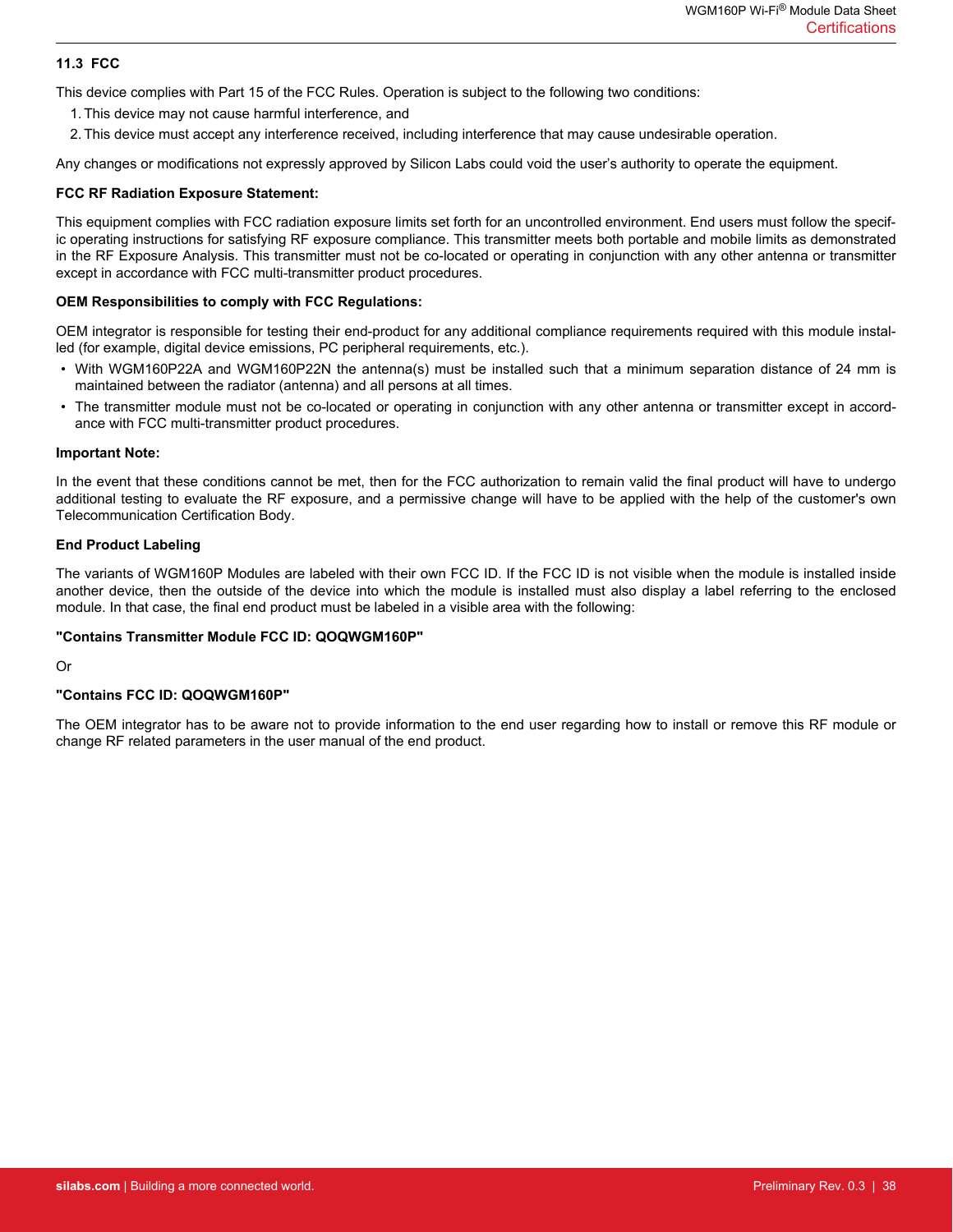#### <span id="page-37-0"></span>**11.3 FCC**

This device complies with Part 15 of the FCC Rules. Operation is subject to the following two conditions:

- 1. This device may not cause harmful interference, and
- 2. This device must accept any interference received, including interference that may cause undesirable operation.

Any changes or modifications not expressly approved by Silicon Labs could void the user's authority to operate the equipment.

#### **FCC RF Radiation Exposure Statement:**

This equipment complies with FCC radiation exposure limits set forth for an uncontrolled environment. End users must follow the specific operating instructions for satisfying RF exposure compliance. This transmitter meets both portable and mobile limits as demonstrated in the RF Exposure Analysis. This transmitter must not be co-located or operating in conjunction with any other antenna or transmitter except in accordance with FCC multi-transmitter product procedures.

#### **OEM Responsibilities to comply with FCC Regulations:**

OEM integrator is responsible for testing their end-product for any additional compliance requirements required with this module installed (for example, digital device emissions, PC peripheral requirements, etc.).

- With WGM160P22A and WGM160P22N the antenna(s) must be installed such that a minimum separation distance of 24 mm is maintained between the radiator (antenna) and all persons at all times.
- The transmitter module must not be co-located or operating in conjunction with any other antenna or transmitter except in accordance with FCC multi-transmitter product procedures.

#### **Important Note:**

In the event that these conditions cannot be met, then for the FCC authorization to remain valid the final product will have to undergo additional testing to evaluate the RF exposure, and a permissive change will have to be applied with the help of the customer's own Telecommunication Certification Body.

#### **End Product Labeling**

The variants of WGM160P Modules are labeled with their own FCC ID. If the FCC ID is not visible when the module is installed inside another device, then the outside of the device into which the module is installed must also display a label referring to the enclosed module. In that case, the final end product must be labeled in a visible area with the following:

#### **"Contains Transmitter Module FCC ID: QOQWGM160P"**

Or

#### **"Contains FCC ID: QOQWGM160P"**

The OEM integrator has to be aware not to provide information to the end user regarding how to install or remove this RF module or change RF related parameters in the user manual of the end product.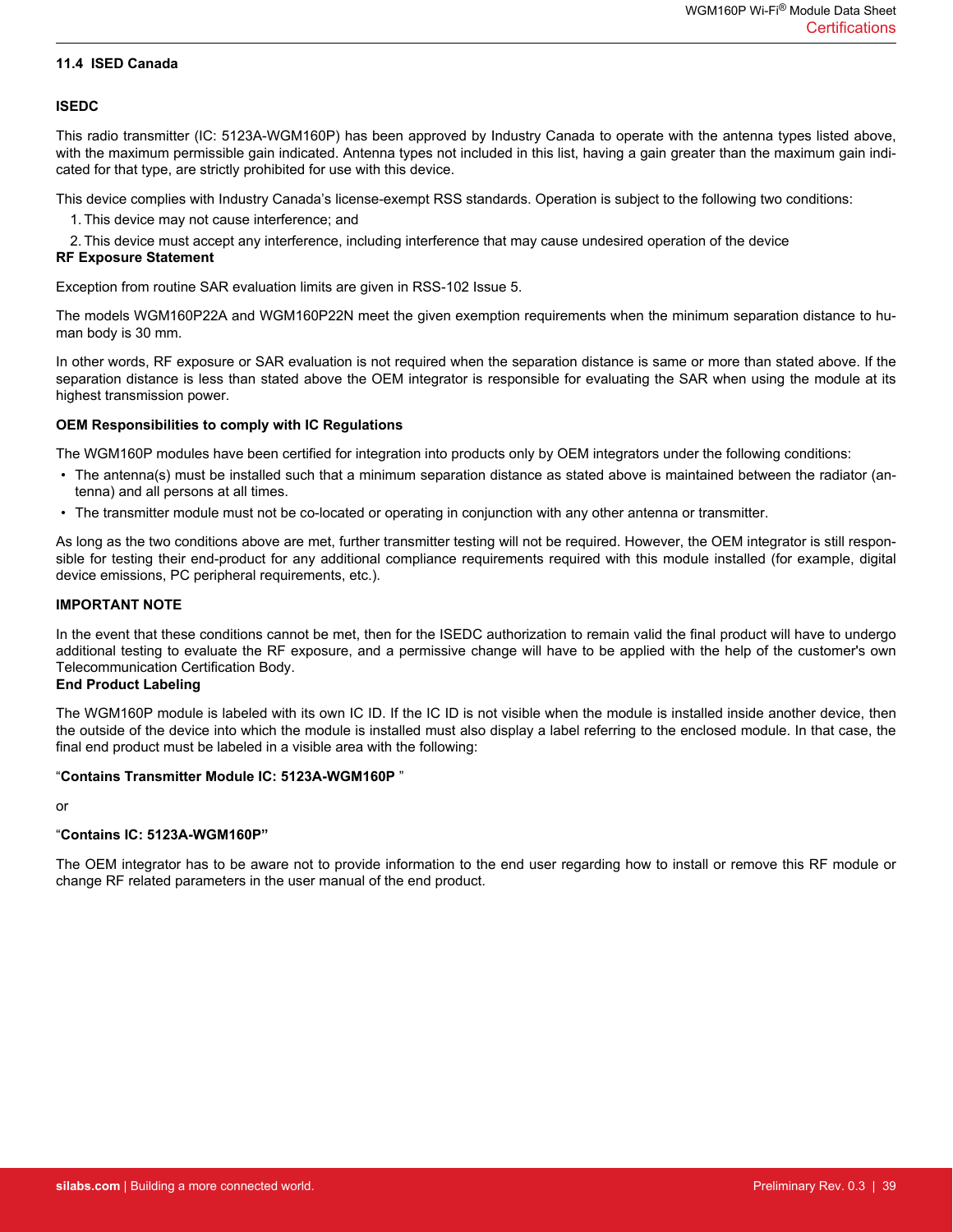#### <span id="page-38-0"></span>**11.4 ISED Canada**

#### **ISEDC**

This radio transmitter (IC: 5123A-WGM160P) has been approved by Industry Canada to operate with the antenna types listed above, with the maximum permissible gain indicated. Antenna types not included in this list, having a gain greater than the maximum gain indicated for that type, are strictly prohibited for use with this device.

This device complies with Industry Canada's license-exempt RSS standards. Operation is subject to the following two conditions:

1. This device may not cause interference; and

2. This device must accept any interference, including interference that may cause undesired operation of the device **RF Exposure Statement**

Exception from routine SAR evaluation limits are given in RSS-102 Issue 5.

The models WGM160P22A and WGM160P22N meet the given exemption requirements when the minimum separation distance to human body is 30 mm.

In other words, RF exposure or SAR evaluation is not required when the separation distance is same or more than stated above. If the separation distance is less than stated above the OEM integrator is responsible for evaluating the SAR when using the module at its highest transmission power.

#### **OEM Responsibilities to comply with IC Regulations**

The WGM160P modules have been certified for integration into products only by OEM integrators under the following conditions:

- The antenna(s) must be installed such that a minimum separation distance as stated above is maintained between the radiator (antenna) and all persons at all times.
- The transmitter module must not be co-located or operating in conjunction with any other antenna or transmitter.

As long as the two conditions above are met, further transmitter testing will not be required. However, the OEM integrator is still responsible for testing their end-product for any additional compliance requirements required with this module installed (for example, digital device emissions, PC peripheral requirements, etc.).

#### **IMPORTANT NOTE**

In the event that these conditions cannot be met, then for the ISEDC authorization to remain valid the final product will have to undergo additional testing to evaluate the RF exposure, and a permissive change will have to be applied with the help of the customer's own Telecommunication Certification Body.

#### **End Product Labeling**

The WGM160P module is labeled with its own IC ID. If the IC ID is not visible when the module is installed inside another device, then the outside of the device into which the module is installed must also display a label referring to the enclosed module. In that case, the final end product must be labeled in a visible area with the following:

#### "**Contains Transmitter Module IC: 5123A-WGM160P** "

or

#### "**Contains IC: 5123A-WGM160P"**

The OEM integrator has to be aware not to provide information to the end user regarding how to install or remove this RF module or change RF related parameters in the user manual of the end product.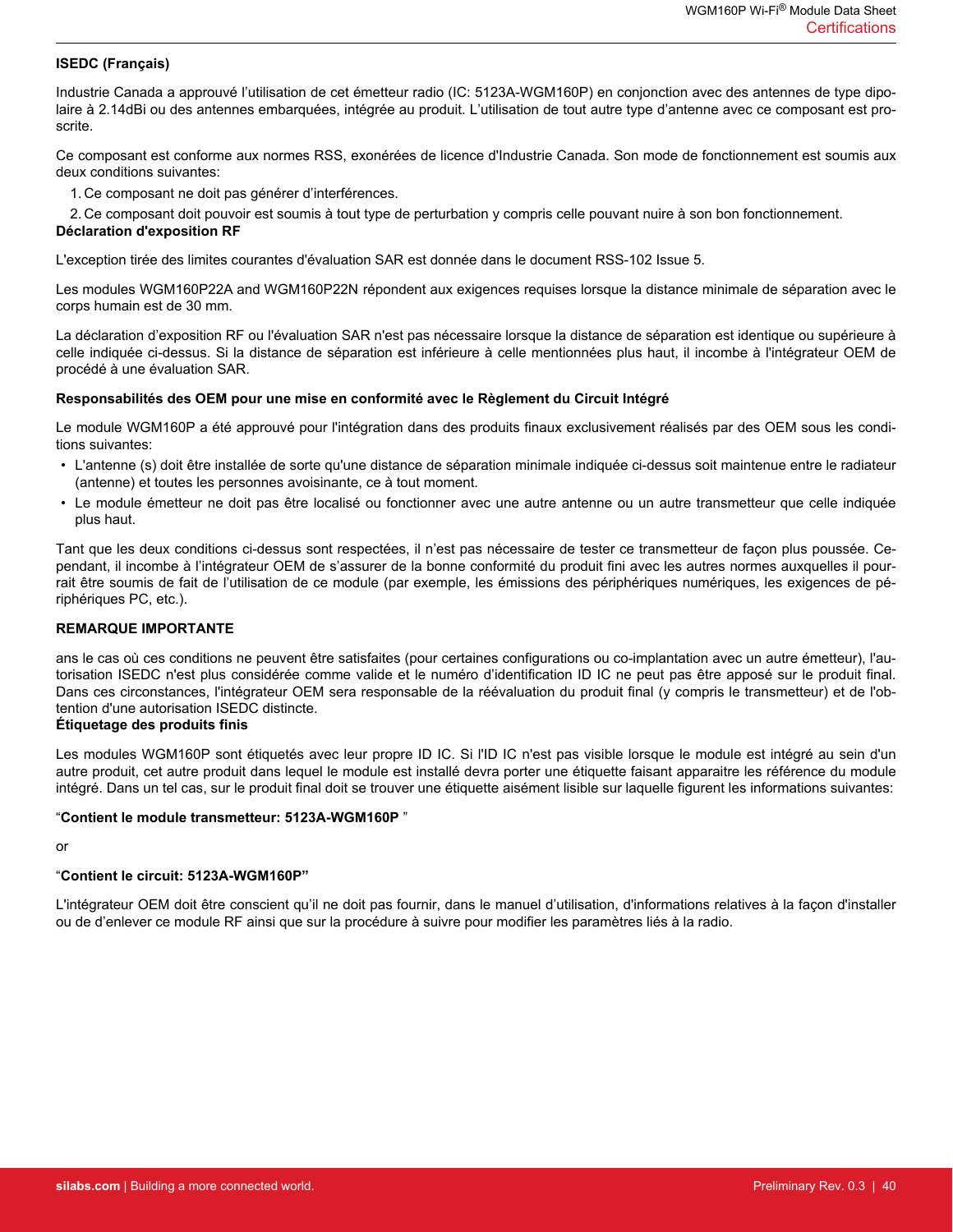#### **ISEDC (Français)**

Industrie Canada a approuvé l'utilisation de cet émetteur radio (IC: 5123A-WGM160P) en conjonction avec des antennes de type dipolaire à 2.14dBi ou des antennes embarquées, intégrée au produit. L'utilisation de tout autre type d'antenne avec ce composant est proscrite.

Ce composant est conforme aux normes RSS, exonérées de licence d'Industrie Canada. Son mode de fonctionnement est soumis aux deux conditions suivantes:

1. Ce composant ne doit pas générer d'interférences.

2. Ce composant doit pouvoir est soumis à tout type de perturbation y compris celle pouvant nuire à son bon fonctionnement. **Déclaration d'exposition RF**

L'exception tirée des limites courantes d'évaluation SAR est donnée dans le document RSS-102 Issue 5.

Les modules WGM160P22A and WGM160P22N répondent aux exigences requises lorsque la distance minimale de séparation avec le corps humain est de 30 mm.

La déclaration d'exposition RF ou l'évaluation SAR n'est pas nécessaire lorsque la distance de séparation est identique ou supérieure à celle indiquée ci-dessus. Si la distance de séparation est inférieure à celle mentionnées plus haut, il incombe à l'intégrateur OEM de procédé à une évaluation SAR.

#### **Responsabilités des OEM pour une mise en conformité avec le Règlement du Circuit Intégré**

Le module WGM160P a été approuvé pour l'intégration dans des produits finaux exclusivement réalisés par des OEM sous les conditions suivantes:

- L'antenne (s) doit être installée de sorte qu'une distance de séparation minimale indiquée ci-dessus soit maintenue entre le radiateur (antenne) et toutes les personnes avoisinante, ce à tout moment.
- Le module émetteur ne doit pas être localisé ou fonctionner avec une autre antenne ou un autre transmetteur que celle indiquée plus haut.

Tant que les deux conditions ci-dessus sont respectées, il n'est pas nécessaire de tester ce transmetteur de façon plus poussée. Cependant, il incombe à l'intégrateur OEM de s'assurer de la bonne conformité du produit fini avec les autres normes auxquelles il pourrait être soumis de fait de l'utilisation de ce module (par exemple, les émissions des périphériques numériques, les exigences de périphériques PC, etc.).

#### **REMARQUE IMPORTANTE**

ans le cas où ces conditions ne peuvent être satisfaites (pour certaines configurations ou co-implantation avec un autre émetteur), l'autorisation ISEDC n'est plus considérée comme valide et le numéro d'identification ID IC ne peut pas être apposé sur le produit final. Dans ces circonstances, l'intégrateur OEM sera responsable de la réévaluation du produit final (y compris le transmetteur) et de l'obtention d'une autorisation ISEDC distincte.

#### **Étiquetage des produits finis**

Les modules WGM160P sont étiquetés avec leur propre ID IC. Si l'ID IC n'est pas visible lorsque le module est intégré au sein d'un autre produit, cet autre produit dans lequel le module est installé devra porter une étiquette faisant apparaitre les référence du module intégré. Dans un tel cas, sur le produit final doit se trouver une étiquette aisément lisible sur laquelle figurent les informations suivantes:

#### "**Contient le module transmetteur: 5123A-WGM160P** "

#### or

#### "**Contient le circuit: 5123A-WGM160P"**

L'intégrateur OEM doit être conscient qu'il ne doit pas fournir, dans le manuel d'utilisation, d'informations relatives à la façon d'installer ou de d'enlever ce module RF ainsi que sur la procédure à suivre pour modifier les paramètres liés à la radio.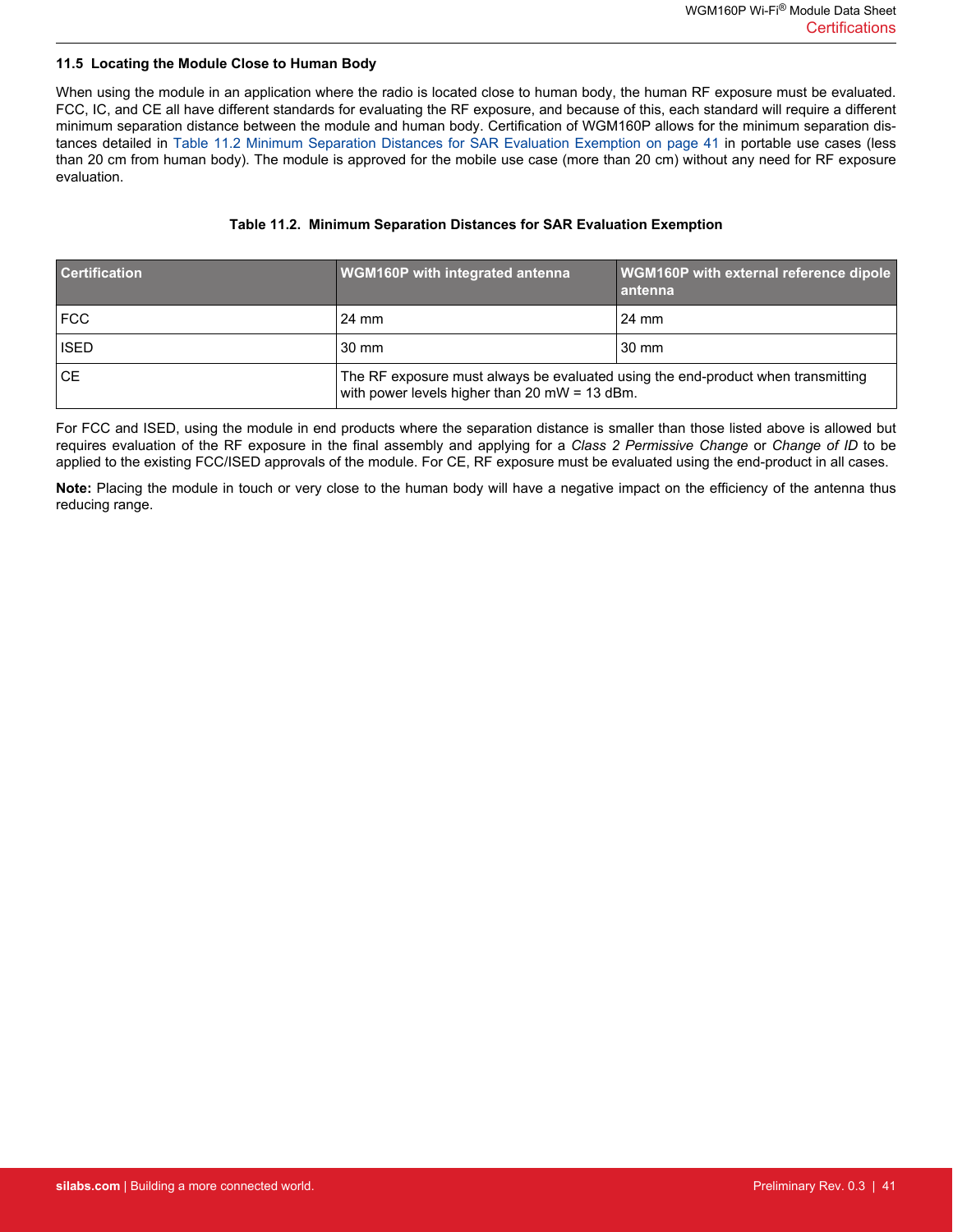#### <span id="page-40-0"></span>**11.5 Locating the Module Close to Human Body**

When using the module in an application where the radio is located close to human body, the human RF exposure must be evaluated. FCC, IC, and CE all have different standards for evaluating the RF exposure, and because of this, each standard will require a different minimum separation distance between the module and human body. Certification of WGM160P allows for the minimum separation distances detailed in Table 11.2 Minimum Separation Distances for SAR Evaluation Exemption on page 41 in portable use cases (less than 20 cm from human body). The module is approved for the mobile use case (more than 20 cm) without any need for RF exposure evaluation.

#### **Table 11.2. Minimum Separation Distances for SAR Evaluation Exemption**

| <b>Certification</b> | <b>WGM160P</b> with integrated antenna                                                                                            | WGM160P with external reference dipole<br>antenna |
|----------------------|-----------------------------------------------------------------------------------------------------------------------------------|---------------------------------------------------|
| FCC                  | 24 mm                                                                                                                             | 24 mm                                             |
| <b>ISED</b>          | $30 \text{ mm}$                                                                                                                   | $30 \text{ mm}$                                   |
| ⊦CE.                 | The RF exposure must always be evaluated using the end-product when transmitting<br>with power levels higher than 20 mW = 13 dBm. |                                                   |

For FCC and ISED, using the module in end products where the separation distance is smaller than those listed above is allowed but requires evaluation of the RF exposure in the final assembly and applying for a *Class 2 Permissive Change* or *Change of ID* to be applied to the existing FCC/ISED approvals of the module. For CE, RF exposure must be evaluated using the end-product in all cases.

**Note:** Placing the module in touch or very close to the human body will have a negative impact on the efficiency of the antenna thus reducing range.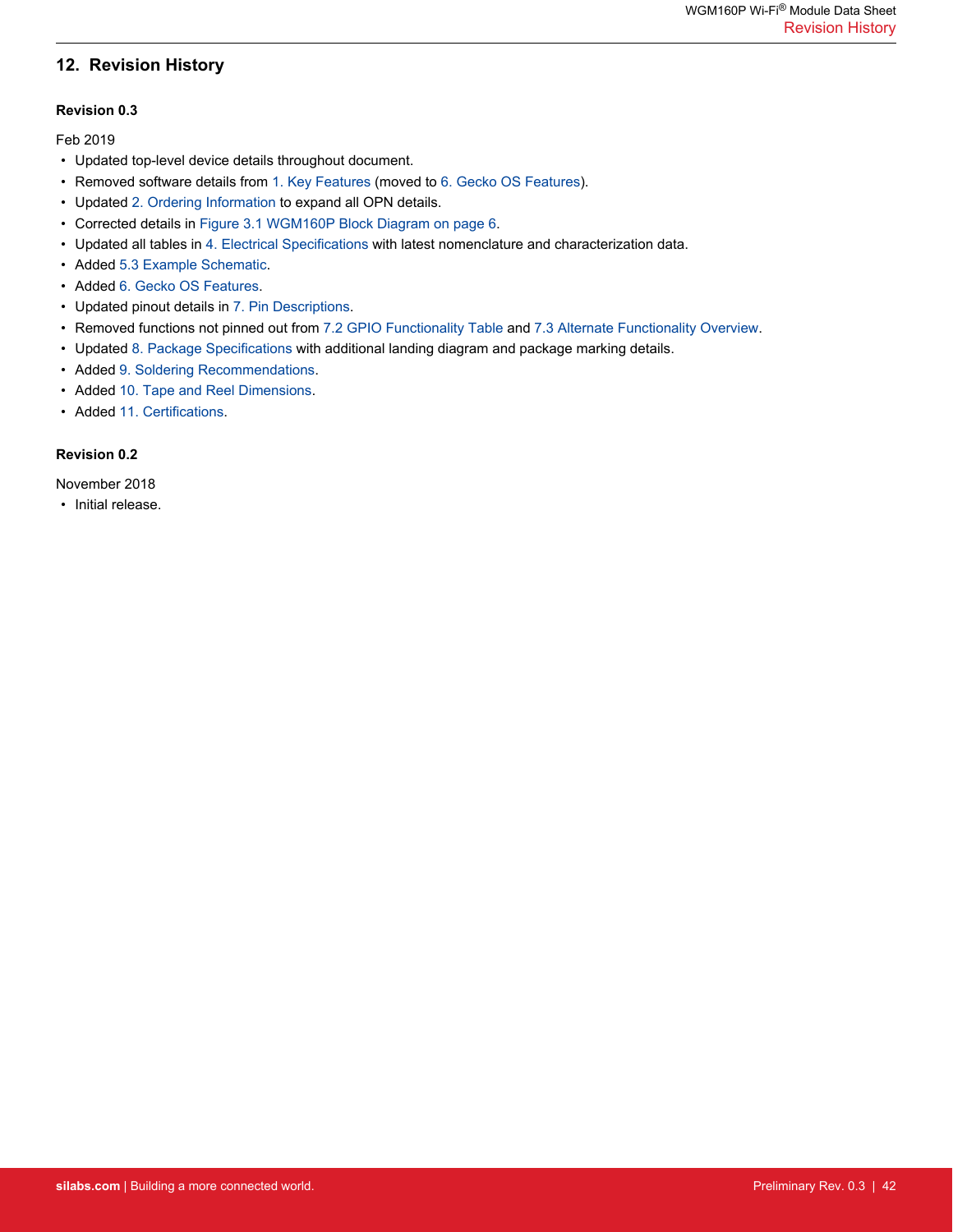# <span id="page-41-0"></span>**12. Revision History**

#### **Revision 0.3**

Feb 2019

- Updated top-level device details throughout document.
- Removed software details from [1. Key Features](#page-1-0) (moved to [6. Gecko OS Features\)](#page-13-0).
- Updated [2. Ordering Information](#page-2-0) to expand all OPN details.
- Corrected details in [Figure 3.1 WGM160P Block Diagram on page 6.](#page-5-0)
- Updated all tables in [4. Electrical Specifications](#page-6-0) with latest nomenclature and characterization data.
- Added [5.3 Example Schematic](#page-12-0).
- Added [6. Gecko OS Features](#page-13-0).
- Updated pinout details in [7. Pin Descriptions.](#page-14-0)
- Removed functions not pinned out from [7.2 GPIO Functionality Table](#page-16-0) and [7.3 Alternate Functionality Overview.](#page-20-0)
- Updated [8. Package Specifications](#page-30-0) with additional landing diagram and package marking details.
- Added [9. Soldering Recommendations](#page-34-0).
- Added [10. Tape and Reel Dimensions](#page-35-0).
- Added [11. Certifications.](#page-36-0)

#### **Revision 0.2**

November 2018

• Initial release.